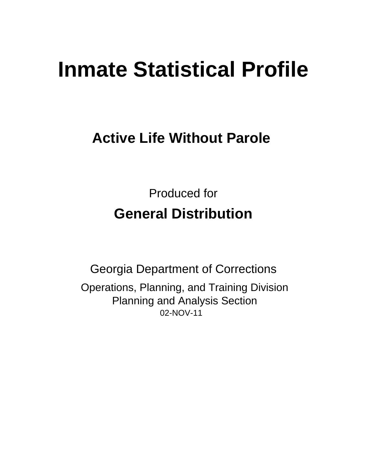# **Inmate Statistical Profile**

# **Active Life Without Parole**

**Produced for General Distribution** 

**Georgia Department of Corrections** Operations, Planning, and Training Division **Planning and Analysis Section** 02-NOV-11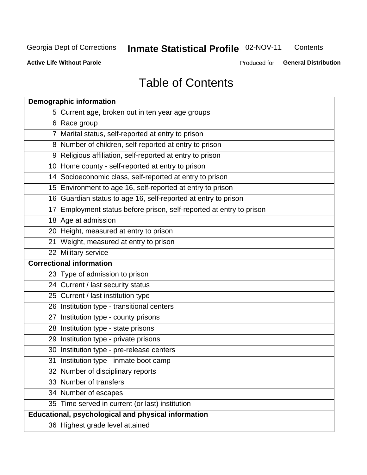# Inmate Statistical Profile 02-NOV-11

Contents

**Active Life Without Parole** 

Produced for General Distribution

# **Table of Contents**

| <b>Demographic information</b>                                       |
|----------------------------------------------------------------------|
| 5 Current age, broken out in ten year age groups                     |
| 6 Race group                                                         |
| 7 Marital status, self-reported at entry to prison                   |
| 8 Number of children, self-reported at entry to prison               |
| 9 Religious affiliation, self-reported at entry to prison            |
| 10 Home county - self-reported at entry to prison                    |
| 14 Socioeconomic class, self-reported at entry to prison             |
| 15 Environment to age 16, self-reported at entry to prison           |
| 16 Guardian status to age 16, self-reported at entry to prison       |
| 17 Employment status before prison, self-reported at entry to prison |
| 18 Age at admission                                                  |
| 20 Height, measured at entry to prison                               |
| 21 Weight, measured at entry to prison                               |
| 22 Military service                                                  |
| <b>Correctional information</b>                                      |
| 23 Type of admission to prison                                       |
| 24 Current / last security status                                    |
| 25 Current / last institution type                                   |
| 26 Institution type - transitional centers                           |
| 27 Institution type - county prisons                                 |
| 28 Institution type - state prisons                                  |
| 29 Institution type - private prisons                                |
| 30 Institution type - pre-release centers                            |
| 31 Institution type - inmate boot camp                               |
| 32 Number of disciplinary reports                                    |
| 33 Number of transfers                                               |
| 34 Number of escapes                                                 |
| 35 Time served in current (or last) institution                      |
| Educational, psychological and physical information                  |
| 36 Highest grade level attained                                      |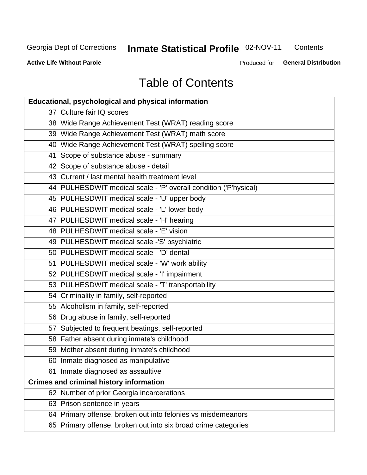# **Inmate Statistical Profile 02-NOV-11**

Contents

**Active Life Without Parole** 

Produced for General Distribution

# **Table of Contents**

| <b>Educational, psychological and physical information</b>       |
|------------------------------------------------------------------|
| 37 Culture fair IQ scores                                        |
| 38 Wide Range Achievement Test (WRAT) reading score              |
| 39 Wide Range Achievement Test (WRAT) math score                 |
| 40 Wide Range Achievement Test (WRAT) spelling score             |
| 41 Scope of substance abuse - summary                            |
| 42 Scope of substance abuse - detail                             |
| 43 Current / last mental health treatment level                  |
| 44 PULHESDWIT medical scale - 'P' overall condition ('P'hysical) |
| 45 PULHESDWIT medical scale - 'U' upper body                     |
| 46 PULHESDWIT medical scale - 'L' lower body                     |
| 47 PULHESDWIT medical scale - 'H' hearing                        |
| 48 PULHESDWIT medical scale - 'E' vision                         |
| 49 PULHESDWIT medical scale -'S' psychiatric                     |
| 50 PULHESDWIT medical scale - 'D' dental                         |
| 51 PULHESDWIT medical scale - 'W' work ability                   |
| 52 PULHESDWIT medical scale - 'I' impairment                     |
| 53 PULHESDWIT medical scale - 'T' transportability               |
| 54 Criminality in family, self-reported                          |
| 55 Alcoholism in family, self-reported                           |
| 56 Drug abuse in family, self-reported                           |
| 57 Subjected to frequent beatings, self-reported                 |
| 58 Father absent during inmate's childhood                       |
| 59 Mother absent during inmate's childhood                       |
| 60 Inmate diagnosed as manipulative                              |
| 61 Inmate diagnosed as assaultive                                |
| <b>Crimes and criminal history information</b>                   |
| 62 Number of prior Georgia incarcerations                        |
| 63 Prison sentence in years                                      |
| 64 Primary offense, broken out into felonies vs misdemeanors     |
| 65 Primary offense, broken out into six broad crime categories   |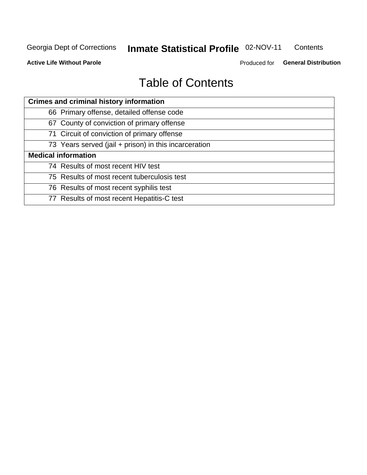# Inmate Statistical Profile 02-NOV-11

Contents

**Active Life Without Parole** 

Produced for General Distribution

# **Table of Contents**

| <b>Crimes and criminal history information</b>        |
|-------------------------------------------------------|
| 66 Primary offense, detailed offense code             |
| 67 County of conviction of primary offense            |
| 71 Circuit of conviction of primary offense           |
| 73 Years served (jail + prison) in this incarceration |
| <b>Medical information</b>                            |
| 74 Results of most recent HIV test                    |
| 75 Results of most recent tuberculosis test           |
| 76 Results of most recent syphilis test               |
| 77 Results of most recent Hepatitis-C test            |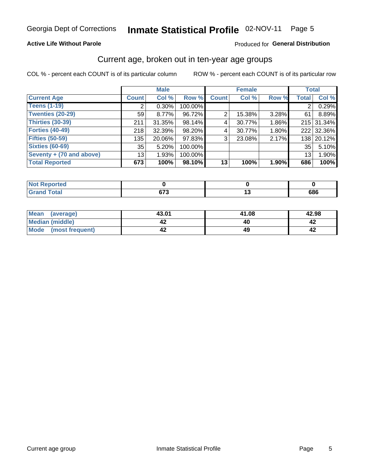# Inmate Statistical Profile 02-NOV-11 Page 5

#### **Active Life Without Parole**

#### Produced for General Distribution

### Current age, broken out in ten-year age groups

COL % - percent each COUNT is of its particular column

|                          |                 | <b>Male</b> |         |              | <b>Female</b> |          | <b>Total</b>    |            |
|--------------------------|-----------------|-------------|---------|--------------|---------------|----------|-----------------|------------|
| <b>Current Age</b>       | <b>Count</b>    | Col %       | Row %   | <b>Count</b> | Col %         | Row %    | <b>Total</b>    | Col %      |
| <b>Teens (1-19)</b>      | 2               | $0.30\%$    | 100.00% |              |               |          | $\overline{2}$  | 0.29%      |
| <b>Twenties (20-29)</b>  | 59              | $8.77\%$    | 96.72%  | 2            | 15.38%        | $3.28\%$ | 61              | 8.89%      |
| Thirties (30-39)         | 211             | $31.35\%$   | 98.14%  | 4            | 30.77%        | 1.86%    |                 | 215 31.34% |
| <b>Forties (40-49)</b>   | 218             | 32.39%      | 98.20%  | 4            | 30.77%        | 1.80%    |                 | 222 32.36% |
| <b>Fifties (50-59)</b>   | 135             | 20.06%      | 97.83%  | 3            | 23.08%        | 2.17%    |                 | 138 20.12% |
| <b>Sixties (60-69)</b>   | 35              | 5.20%       | 100.00% |              |               |          | 35              | 5.10%      |
| Seventy + (70 and above) | 13 <sub>1</sub> | 1.93%       | 100.00% |              |               |          | 13 <sub>1</sub> | 1.90%      |
| <b>Total Reported</b>    | 673             | 100%        | 98.10%  | 13           | 100%          | 1.90%    | 686             | 100%       |

| .                    |     |        |     |
|----------------------|-----|--------|-----|
| $C = 4 - 7$<br>_____ | 672 | $\sim$ | 686 |

| Mean<br>(average)    | 43.01 | 41.08 | 42.98 |
|----------------------|-------|-------|-------|
| Median (middle)      |       |       |       |
| Mode (most frequent) |       |       |       |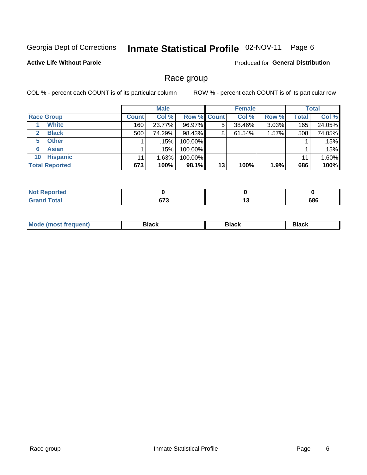#### Inmate Statistical Profile 02-NOV-11 Page 6

#### **Active Life Without Parole**

**Produced for General Distribution** 

### Race group

COL % - percent each COUNT is of its particular column

|                              |              | <b>Male</b> |                    |    | <b>Female</b> |       |              | <b>Total</b> |
|------------------------------|--------------|-------------|--------------------|----|---------------|-------|--------------|--------------|
| <b>Race Group</b>            | <b>Count</b> | Col %       | <b>Row % Count</b> |    | Col %         | Row % | <b>Total</b> | Col %        |
| <b>White</b>                 | 160          | 23.77%      | 96.97%             | 5  | 38.46%        | 3.03% | 165          | 24.05%       |
| <b>Black</b><br>$\mathbf{2}$ | 500          | 74.29%      | 98.43%             | 8  | 61.54%        | 1.57% | 508          | 74.05%       |
| <b>Other</b><br>5.           |              | .15%        | 100.00%            |    |               |       |              | .15%         |
| <b>Asian</b><br>6            |              | .15%        | 100.00%            |    |               |       |              | .15%         |
| <b>Hispanic</b><br>10        | 11           | 1.63%       | 100.00%            |    |               |       | 11           | 1.60%        |
| <b>Total Reported</b>        | 673          | 100%        | 98.1%              | 13 | 100%          | 1.9%  | 686          | 100%         |

| <b>ported</b> |                   |         |
|---------------|-------------------|---------|
| <b>Total</b>  | 070<br>07 J<br>__ | <br>686 |

| M | --- | $-1$ |
|---|-----|------|
|   |     |      |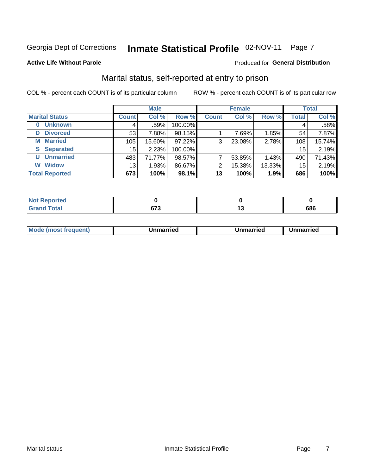# Inmate Statistical Profile 02-NOV-11 Page 7

#### **Active Life Without Parole**

#### Produced for General Distribution

### Marital status, self-reported at entry to prison

COL % - percent each COUNT is of its particular column

|                            |              | <b>Male</b> |         |              | <b>Female</b> |        |              | <b>Total</b> |
|----------------------------|--------------|-------------|---------|--------------|---------------|--------|--------------|--------------|
| <b>Marital Status</b>      | <b>Count</b> | Col %       | Row %   | <b>Count</b> | Col %         | Row %  | <b>Total</b> | Col %        |
| <b>Unknown</b><br>$\bf{0}$ | 4            | .59%        | 100.00% |              |               |        | 4            | .58%         |
| <b>Divorced</b><br>D       | 53           | 7.88%       | 98.15%  |              | 7.69%         | 1.85%  | 54           | 7.87%        |
| <b>Married</b><br>М        | 105          | 15.60%      | 97.22%  | 3            | 23.08%        | 2.78%  | 108          | 15.74%       |
| <b>Separated</b><br>S      | 15           | 2.23%       | 100.00% |              |               |        | 15           | 2.19%        |
| <b>Unmarried</b><br>U      | 483          | 71.77%      | 98.57%  | ⇁            | 53.85%        | 1.43%  | 490          | 71.43%       |
| <b>Widow</b><br>W          | 13           | 1.93%       | 86.67%  | 2            | 15.38%        | 13.33% | 15           | 2.19%        |
| <b>Total Reported</b>      | 673          | 100%        | 98.1%   | 13           | 100%          | 1.9%   | 686          | 100%         |

| orted<br>NOT RADO |     |     |
|-------------------|-----|-----|
| <b>Total</b>      | c71 | 686 |

|--|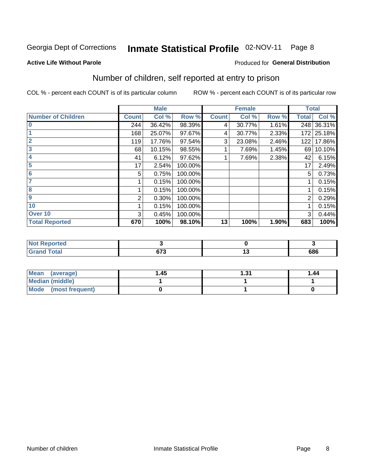#### Inmate Statistical Profile 02-NOV-11 Page 8

#### **Active Life Without Parole**

#### Produced for General Distribution

# Number of children, self reported at entry to prison

COL % - percent each COUNT is of its particular column

|                           |              | <b>Male</b> |         |              | <b>Female</b> |       | <b>Total</b> |        |
|---------------------------|--------------|-------------|---------|--------------|---------------|-------|--------------|--------|
| <b>Number of Children</b> | <b>Count</b> | Col %       | Row %   | <b>Count</b> | Col %         | Row % | <b>Total</b> | Col %  |
| $\bf{0}$                  | 244          | 36.42%      | 98.39%  | 4            | 30.77%        | 1.61% | 248          | 36.31% |
|                           | 168          | 25.07%      | 97.67%  | 4            | 30.77%        | 2.33% | 172          | 25.18% |
| $\overline{2}$            | 119          | 17.76%      | 97.54%  | 3            | 23.08%        | 2.46% | 122          | 17.86% |
| 3                         | 68           | 10.15%      | 98.55%  |              | 7.69%         | 1.45% | 69           | 10.10% |
| 4                         | 41           | 6.12%       | 97.62%  |              | 7.69%         | 2.38% | 42           | 6.15%  |
| 5                         | 17           | 2.54%       | 100.00% |              |               |       | 17           | 2.49%  |
| $\overline{6}$            | 5            | 0.75%       | 100.00% |              |               |       | 5            | 0.73%  |
|                           |              | 0.15%       | 100.00% |              |               |       |              | 0.15%  |
| 8                         |              | 0.15%       | 100.00% |              |               |       |              | 0.15%  |
| $\boldsymbol{9}$          | 2            | 0.30%       | 100.00% |              |               |       | 2            | 0.29%  |
| 10                        |              | 0.15%       | 100.00% |              |               |       |              | 0.15%  |
| Over 10                   | 3            | 0.45%       | 100.00% |              |               |       | 3            | 0.44%  |
| <b>Total Reported</b>     | 670          | 100%        | 98.10%  | 13           | 100%          | 1.90% | 683          | 100%   |

| meo<br>w              |       |     |
|-----------------------|-------|-----|
| $f = 4 \pi$<br>$\sim$ | $- -$ | 686 |

| Mean<br>(average)       | 1.45 | ∣.31 | 1.44 |
|-------------------------|------|------|------|
| Median (middle)         |      |      |      |
| Mode<br>(most frequent) |      |      |      |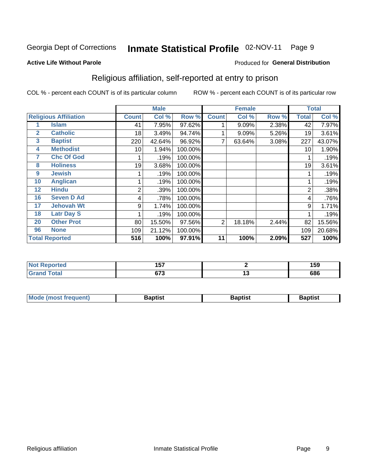#### Inmate Statistical Profile 02-NOV-11 Page 9

#### **Active Life Without Parole**

#### Produced for General Distribution

### Religious affiliation, self-reported at entry to prison

COL % - percent each COUNT is of its particular column

|              |                              |              | <b>Male</b> |         |                | <b>Female</b> |       |       | <b>Total</b> |
|--------------|------------------------------|--------------|-------------|---------|----------------|---------------|-------|-------|--------------|
|              | <b>Religious Affiliation</b> | <b>Count</b> | Col %       | Row %   | <b>Count</b>   | Col %         | Row % | Total | Col %        |
|              | <b>Islam</b>                 | 41           | 7.95%       | 97.62%  |                | 9.09%         | 2.38% | 42    | 7.97%        |
| $\mathbf{2}$ | <b>Catholic</b>              | 18           | 3.49%       | 94.74%  |                | 9.09%         | 5.26% | 19    | 3.61%        |
| 3            | <b>Baptist</b>               | 220          | 42.64%      | 96.92%  |                | 63.64%        | 3.08% | 227   | 43.07%       |
| 4            | <b>Methodist</b>             | 10           | 1.94%       | 100.00% |                |               |       | 10    | 1.90%        |
| 7            | <b>Chc Of God</b>            |              | .19%        | 100.00% |                |               |       |       | .19%         |
| 8            | <b>Holiness</b>              | 19           | 3.68%       | 100.00% |                |               |       | 19    | 3.61%        |
| 9            | <b>Jewish</b>                |              | .19%        | 100.00% |                |               |       |       | .19%         |
| 10           | <b>Anglican</b>              |              | .19%        | 100.00% |                |               |       |       | .19%         |
| 12           | <b>Hindu</b>                 | 2            | .39%        | 100.00% |                |               |       | 2     | .38%         |
| 16           | <b>Seven D Ad</b>            | 4            | .78%        | 100.00% |                |               |       | 4     | .76%         |
| 17           | <b>Jehovah Wt</b>            | 9            | 1.74%       | 100.00% |                |               |       | 9     | 1.71%        |
| 18           | <b>Latr Day S</b>            |              | .19%        | 100.00% |                |               |       |       | .19%         |
| 20           | <b>Other Prot</b>            | 80           | 15.50%      | 97.56%  | $\overline{2}$ | 18.18%        | 2.44% | 82    | 15.56%       |
| 96           | <b>None</b>                  | 109          | 21.12%      | 100.00% |                |               |       | 109   | 20.68%       |
|              | <b>Total Reported</b>        | 516          | 100%        | 97.91%  | 11             | 100%          | 2.09% | 527   | 100%         |

| rreo<br>. | ---<br>וטו |    | 159 |
|-----------|------------|----|-----|
|           | 570        | ., | 686 |

| <b>Mode (most frequent)</b> | 3aptist | Baptist | Baptist |
|-----------------------------|---------|---------|---------|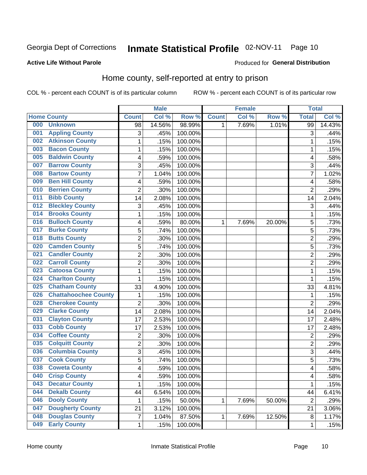# Inmate Statistical Profile 02-NOV-11 Page 10

#### **Active Life Without Parole**

#### **Produced for General Distribution**

### Home county, self-reported at entry to prison

COL % - percent each COUNT is of its particular column

|     |                             |                | <b>Male</b> |         |              | <b>Female</b> |        | <b>Total</b>   |        |
|-----|-----------------------------|----------------|-------------|---------|--------------|---------------|--------|----------------|--------|
|     | <b>Home County</b>          | <b>Count</b>   | Col %       | Row %   | <b>Count</b> | Col %         | Row %  | <b>Total</b>   | Col %  |
| 000 | <b>Unknown</b>              | 98             | 14.56%      | 98.99%  | 1            | 7.69%         | 1.01%  | 99             | 14.43% |
| 001 | <b>Appling County</b>       | 3              | .45%        | 100.00% |              |               |        | 3              | .44%   |
| 002 | <b>Atkinson County</b>      | $\mathbf 1$    | .15%        | 100.00% |              |               |        | 1              | .15%   |
| 003 | <b>Bacon County</b>         | $\mathbf 1$    | .15%        | 100.00% |              |               |        | 1              | .15%   |
| 005 | <b>Baldwin County</b>       | 4              | .59%        | 100.00% |              |               |        | 4              | .58%   |
| 007 | <b>Barrow County</b>        | 3              | .45%        | 100.00% |              |               |        | 3              | .44%   |
| 008 | <b>Bartow County</b>        | $\overline{7}$ | 1.04%       | 100.00% |              |               |        | 7              | 1.02%  |
| 009 | <b>Ben Hill County</b>      | 4              | .59%        | 100.00% |              |               |        | 4              | .58%   |
| 010 | <b>Berrien County</b>       | $\overline{2}$ | .30%        | 100.00% |              |               |        | $\overline{2}$ | .29%   |
| 011 | <b>Bibb County</b>          | 14             | 2.08%       | 100.00% |              |               |        | 14             | 2.04%  |
| 012 | <b>Bleckley County</b>      | 3              | .45%        | 100.00% |              |               |        | 3              | .44%   |
| 014 | <b>Brooks County</b>        | 1              | .15%        | 100.00% |              |               |        | 1              | .15%   |
| 016 | <b>Bulloch County</b>       | 4              | .59%        | 80.00%  | 1            | 7.69%         | 20.00% | 5              | .73%   |
| 017 | <b>Burke County</b>         | 5              | .74%        | 100.00% |              |               |        | 5              | .73%   |
| 018 | <b>Butts County</b>         | $\overline{2}$ | .30%        | 100.00% |              |               |        | $\overline{2}$ | .29%   |
| 020 | <b>Camden County</b>        | 5              | .74%        | 100.00% |              |               |        | 5              | .73%   |
| 021 | <b>Candler County</b>       | $\overline{2}$ | .30%        | 100.00% |              |               |        | $\overline{2}$ | .29%   |
| 022 | <b>Carroll County</b>       | $\overline{c}$ | .30%        | 100.00% |              |               |        | $\overline{2}$ | .29%   |
| 023 | <b>Catoosa County</b>       | $\mathbf 1$    | .15%        | 100.00% |              |               |        | 1              | .15%   |
| 024 | <b>Charlton County</b>      | 1              | .15%        | 100.00% |              |               |        | 1              | .15%   |
| 025 | <b>Chatham County</b>       | 33             | 4.90%       | 100.00% |              |               |        | 33             | 4.81%  |
| 026 | <b>Chattahoochee County</b> | 1              | .15%        | 100.00% |              |               |        | 1              | .15%   |
| 028 | <b>Cherokee County</b>      | $\overline{2}$ | .30%        | 100.00% |              |               |        | $\overline{2}$ | .29%   |
| 029 | <b>Clarke County</b>        | 14             | 2.08%       | 100.00% |              |               |        | 14             | 2.04%  |
| 031 | <b>Clayton County</b>       | 17             | 2.53%       | 100.00% |              |               |        | 17             | 2.48%  |
| 033 | <b>Cobb County</b>          | 17             | 2.53%       | 100.00% |              |               |        | 17             | 2.48%  |
| 034 | <b>Coffee County</b>        | $\overline{2}$ | .30%        | 100.00% |              |               |        | $\overline{2}$ | .29%   |
| 035 | <b>Colquitt County</b>      | $\overline{c}$ | .30%        | 100.00% |              |               |        | $\overline{2}$ | .29%   |
| 036 | <b>Columbia County</b>      | 3              | .45%        | 100.00% |              |               |        | 3              | .44%   |
| 037 | <b>Cook County</b>          | 5              | .74%        | 100.00% |              |               |        | 5              | .73%   |
| 038 | <b>Coweta County</b>        | 4              | .59%        | 100.00% |              |               |        | 4              | .58%   |
| 040 | <b>Crisp County</b>         | 4              | .59%        | 100.00% |              |               |        | 4              | .58%   |
| 043 | <b>Decatur County</b>       | $\mathbf 1$    | .15%        | 100.00% |              |               |        | 1              | .15%   |
| 044 | <b>Dekalb County</b>        | 44             | 6.54%       | 100.00% |              |               |        | 44             | 6.41%  |
| 046 | <b>Dooly County</b>         | 1              | .15%        | 50.00%  | 1            | 7.69%         | 50.00% | $\overline{2}$ | .29%   |
| 047 | <b>Dougherty County</b>     | 21             | 3.12%       | 100.00% |              |               |        | 21             | 3.06%  |
| 048 | <b>Douglas County</b>       | $\overline{7}$ | 1.04%       | 87.50%  | 1            | 7.69%         | 12.50% | 8              | 1.17%  |
| 049 | <b>Early County</b>         | $\mathbf{1}$   | .15%        | 100.00% |              |               |        | 1              | .15%   |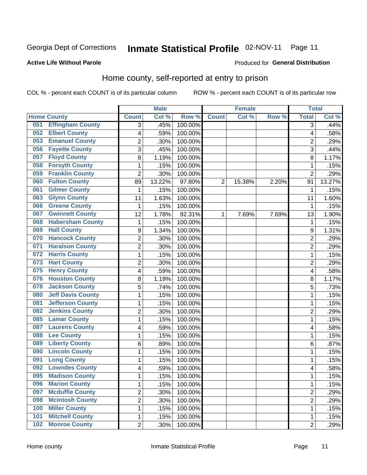# Inmate Statistical Profile 02-NOV-11 Page 11

#### **Active Life Without Parole**

#### **Produced for General Distribution**

### Home county, self-reported at entry to prison

COL % - percent each COUNT is of its particular column

|     |                          |                         | <b>Male</b> |         |                | <b>Female</b> |       | <b>Total</b>   |        |
|-----|--------------------------|-------------------------|-------------|---------|----------------|---------------|-------|----------------|--------|
|     | <b>Home County</b>       | <b>Count</b>            | Col %       | Row %   | <b>Count</b>   | Col%          | Row % | <b>Total</b>   | Col %  |
| 051 | <b>Effingham County</b>  | 3                       | .45%        | 100.00% |                |               |       | 3              | .44%   |
| 052 | <b>Elbert County</b>     | $\overline{\mathbf{4}}$ | .59%        | 100.00% |                |               |       | 4              | .58%   |
| 053 | <b>Emanuel County</b>    | $\overline{c}$          | .30%        | 100.00% |                |               |       | $\overline{c}$ | .29%   |
| 056 | <b>Fayette County</b>    | 3                       | .45%        | 100.00% |                |               |       | 3              | .44%   |
| 057 | <b>Floyd County</b>      | 8                       | 1.19%       | 100.00% |                |               |       | 8              | 1.17%  |
| 058 | <b>Forsyth County</b>    | $\mathbf{1}$            | .15%        | 100.00% |                |               |       | 1              | .15%   |
| 059 | <b>Franklin County</b>   | $\overline{2}$          | .30%        | 100.00% |                |               |       | $\overline{2}$ | .29%   |
| 060 | <b>Fulton County</b>     | 89                      | 13.22%      | 97.80%  | $\overline{2}$ | 15.38%        | 2.20% | 91             | 13.27% |
| 061 | <b>Gilmer County</b>     | 1                       | .15%        | 100.00% |                |               |       | 1              | .15%   |
| 063 | <b>Glynn County</b>      | 11                      | 1.63%       | 100.00% |                |               |       | 11             | 1.60%  |
| 066 | <b>Greene County</b>     | 1                       | .15%        | 100.00% |                |               |       | 1              | .15%   |
| 067 | <b>Gwinnett County</b>   | 12                      | 1.78%       | 92.31%  | 1              | 7.69%         | 7.69% | 13             | 1.90%  |
| 068 | <b>Habersham County</b>  | $\mathbf{1}$            | .15%        | 100.00% |                |               |       | 1              | .15%   |
| 069 | <b>Hall County</b>       | 9                       | 1.34%       | 100.00% |                |               |       | 9              | 1.31%  |
| 070 | <b>Hancock County</b>    | $\overline{2}$          | .30%        | 100.00% |                |               |       | $\overline{c}$ | .29%   |
| 071 | <b>Haralson County</b>   | $\overline{2}$          | .30%        | 100.00% |                |               |       | $\overline{2}$ | .29%   |
| 072 | <b>Harris County</b>     | $\mathbf{1}$            | .15%        | 100.00% |                |               |       | 1              | .15%   |
| 073 | <b>Hart County</b>       | $\overline{2}$          | .30%        | 100.00% |                |               |       | $\overline{2}$ | .29%   |
| 075 | <b>Henry County</b>      | $\overline{\mathbf{4}}$ | .59%        | 100.00% |                |               |       | 4              | .58%   |
| 076 | <b>Houston County</b>    | $\bf 8$                 | 1.19%       | 100.00% |                |               |       | 8              | 1.17%  |
| 078 | <b>Jackson County</b>    | 5                       | .74%        | 100.00% |                |               |       | 5              | .73%   |
| 080 | <b>Jeff Davis County</b> | $\mathbf{1}$            | .15%        | 100.00% |                |               |       | 1              | .15%   |
| 081 | <b>Jefferson County</b>  | 1                       | .15%        | 100.00% |                |               |       | 1              | .15%   |
| 082 | <b>Jenkins County</b>    | $\overline{2}$          | .30%        | 100.00% |                |               |       | $\overline{2}$ | .29%   |
| 085 | <b>Lamar County</b>      | $\mathbf{1}$            | .15%        | 100.00% |                |               |       | 1              | .15%   |
| 087 | <b>Laurens County</b>    | $\overline{\mathbf{4}}$ | .59%        | 100.00% |                |               |       | 4              | .58%   |
| 088 | <b>Lee County</b>        | $\mathbf{1}$            | .15%        | 100.00% |                |               |       | 1              | .15%   |
| 089 | <b>Liberty County</b>    | 6                       | .89%        | 100.00% |                |               |       | 6              | .87%   |
| 090 | <b>Lincoln County</b>    | 1                       | .15%        | 100.00% |                |               |       | 1              | .15%   |
| 091 | <b>Long County</b>       | $\mathbf{1}$            | .15%        | 100.00% |                |               |       | 1              | .15%   |
| 092 | <b>Lowndes County</b>    | $\overline{\mathbf{4}}$ | .59%        | 100.00% |                |               |       | 4              | .58%   |
| 095 | <b>Madison County</b>    | 1                       | .15%        | 100.00% |                |               |       | 1              | .15%   |
| 096 | <b>Marion County</b>     | $\mathbf{1}$            | .15%        | 100.00% |                |               |       | 1              | .15%   |
| 097 | <b>Mcduffie County</b>   | $\overline{2}$          | .30%        | 100.00% |                |               |       | 2              | .29%   |
| 098 | <b>Mcintosh County</b>   | $\overline{2}$          | .30%        | 100.00% |                |               |       | $\overline{2}$ | .29%   |
| 100 | <b>Miller County</b>     | $\mathbf 1$             | .15%        | 100.00% |                |               |       | 1              | .15%   |
| 101 | <b>Mitchell County</b>   | $\mathbf 1$             | .15%        | 100.00% |                |               |       | 1              | .15%   |
| 102 | <b>Monroe County</b>     | $\overline{2}$          | .30%        | 100.00% |                |               |       | $\overline{2}$ | .29%   |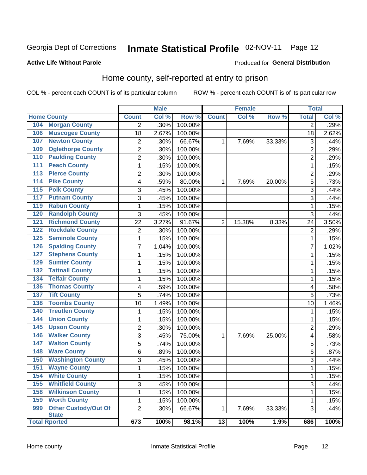# Inmate Statistical Profile 02-NOV-11 Page 12

#### **Active Life Without Parole**

#### Produced for General Distribution

### Home county, self-reported at entry to prison

COL % - percent each COUNT is of its particular column

|                  |                                             |                          | <b>Male</b> |                  |                | <b>Female</b> |        | <b>Total</b>   |       |
|------------------|---------------------------------------------|--------------------------|-------------|------------------|----------------|---------------|--------|----------------|-------|
|                  | <b>Home County</b>                          | <b>Count</b>             | Col %       | Row <sup>%</sup> | <b>Count</b>   | Col %         | Row %  | <b>Total</b>   | Col % |
| 104              | <b>Morgan County</b>                        | $\overline{2}$           | .30%        | 100.00%          |                |               |        | 2              | .29%  |
| 106              | <b>Muscogee County</b>                      | 18                       | 2.67%       | 100.00%          |                |               |        | 18             | 2.62% |
| 107              | <b>Newton County</b>                        | 2                        | .30%        | 66.67%           | 1              | 7.69%         | 33.33% | 3              | .44%  |
| 109              | <b>Oglethorpe County</b>                    | $\overline{2}$           | .30%        | 100.00%          |                |               |        | $\overline{2}$ | .29%  |
| 110              | <b>Paulding County</b>                      | $\overline{2}$           | .30%        | 100.00%          |                |               |        | 2              | .29%  |
| 111              | <b>Peach County</b>                         | $\mathbf{1}$             | .15%        | 100.00%          |                |               |        | 1              | .15%  |
| 113              | <b>Pierce County</b>                        | 2                        | .30%        | 100.00%          |                |               |        | 2              | .29%  |
| 114              | <b>Pike County</b>                          | $\overline{\mathbf{4}}$  | .59%        | 80.00%           | 1              | 7.69%         | 20.00% | 5              | .73%  |
| $\overline{115}$ | <b>Polk County</b>                          | 3                        | .45%        | 100.00%          |                |               |        | 3              | .44%  |
| 117              | <b>Putnam County</b>                        | 3                        | .45%        | 100.00%          |                |               |        | 3              | .44%  |
| 119              | <b>Rabun County</b>                         | 1                        | .15%        | 100.00%          |                |               |        | 1              | .15%  |
| 120              | <b>Randolph County</b>                      | 3                        | .45%        | 100.00%          |                |               |        | 3              | .44%  |
| 121              | <b>Richmond County</b>                      | 22                       | 3.27%       | 91.67%           | $\overline{2}$ | 15.38%        | 8.33%  | 24             | 3.50% |
| 122              | <b>Rockdale County</b>                      | $\overline{2}$           | .30%        | 100.00%          |                |               |        | $\overline{2}$ | .29%  |
| 125              | <b>Seminole County</b>                      | $\mathbf{1}$             | .15%        | 100.00%          |                |               |        | 1              | .15%  |
| 126              | <b>Spalding County</b>                      | 7                        | 1.04%       | 100.00%          |                |               |        | 7              | 1.02% |
| 127              | <b>Stephens County</b>                      | 1                        | .15%        | 100.00%          |                |               |        | 1              | .15%  |
| 129              | <b>Sumter County</b>                        | 1                        | .15%        | 100.00%          |                |               |        | 1              | .15%  |
| 132              | <b>Tattnall County</b>                      | 1                        | .15%        | 100.00%          |                |               |        | 1              | .15%  |
| 134              | <b>Telfair County</b>                       | 1                        | .15%        | 100.00%          |                |               |        | 1              | .15%  |
| 136              | <b>Thomas County</b>                        | $\overline{\mathcal{A}}$ | .59%        | 100.00%          |                |               |        | 4              | .58%  |
| 137              | <b>Tift County</b>                          | 5                        | .74%        | 100.00%          |                |               |        | 5              | .73%  |
| 138              | <b>Toombs County</b>                        | 10                       | 1.49%       | 100.00%          |                |               |        | 10             | 1.46% |
| 140              | <b>Treutlen County</b>                      | 1                        | .15%        | 100.00%          |                |               |        | 1              | .15%  |
| 144              | <b>Union County</b>                         | 1                        | .15%        | 100.00%          |                |               |        | 1              | .15%  |
| 145              | <b>Upson County</b>                         | $\overline{2}$           | .30%        | 100.00%          |                |               |        | $\overline{2}$ | .29%  |
| 146              | <b>Walker County</b>                        | 3                        | .45%        | 75.00%           | 1              | 7.69%         | 25.00% | 4              | .58%  |
| 147              | <b>Walton County</b>                        | 5                        | .74%        | 100.00%          |                |               |        | 5              | .73%  |
| 148              | <b>Ware County</b>                          | 6                        | .89%        | 100.00%          |                |               |        | 6              | .87%  |
| 150              | <b>Washington County</b>                    | 3                        | .45%        | 100.00%          |                |               |        | 3              | .44%  |
| 151              | <b>Wayne County</b>                         | $\mathbf{1}$             | .15%        | 100.00%          |                |               |        | 1              | .15%  |
| 154              | <b>White County</b>                         | 1                        | .15%        | 100.00%          |                |               |        | 1              | .15%  |
| 155              | <b>Whitfield County</b>                     | 3                        | .45%        | 100.00%          |                |               |        | 3              | .44%  |
| 158              | <b>Wilkinson County</b>                     | $\mathbf{1}$             | .15%        | 100.00%          |                |               |        | 1              | .15%  |
| 159              | <b>Worth County</b>                         | 1                        | .15%        | 100.00%          |                |               |        | 1              | .15%  |
| 999              | <b>Other Custody/Out Of</b><br><b>State</b> | $\overline{2}$           | .30%        | 66.67%           | 1              | 7.69%         | 33.33% | 3              | .44%  |
|                  | <b>Total Rported</b>                        | 673                      | 100%        | 98.1%            | 13             | 100%          | 1.9%   | 686            | 100%  |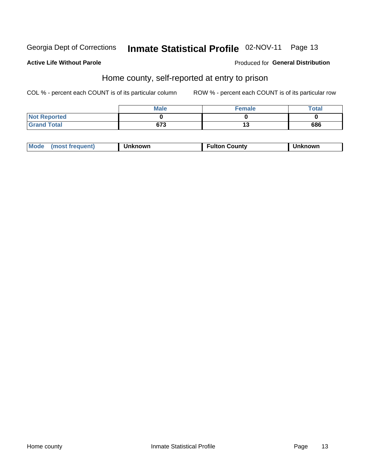# Inmate Statistical Profile 02-NOV-11 Page 13

#### **Active Life Without Parole**

#### Produced for General Distribution

### Home county, self-reported at entry to prison

COL % - percent each COUNT is of its particular column

|                     | <b>Male</b> | <b>Female</b> | Total |
|---------------------|-------------|---------------|-------|
| <b>Not Reported</b> |             |               |       |
| <b>Grand Total</b>  | 673         | . .<br>∪י     | 686   |

| Mode<br>(most frequent)<br>າknown | <b>Fulton County</b> | known |
|-----------------------------------|----------------------|-------|
|-----------------------------------|----------------------|-------|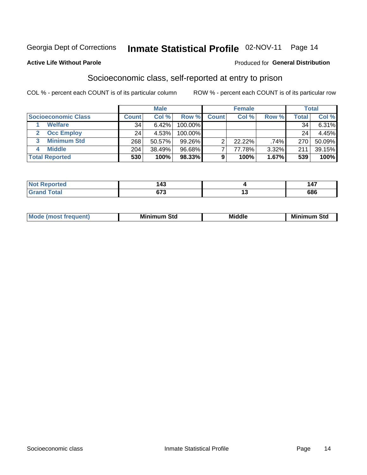# Inmate Statistical Profile 02-NOV-11 Page 14

#### **Active Life Without Parole**

#### Produced for General Distribution

### Socioeconomic class, self-reported at entry to prison

COL % - percent each COUNT is of its particular column

|                       | <b>Male</b><br><b>Female</b> |        |            | <b>Total</b> |           |       |       |          |
|-----------------------|------------------------------|--------|------------|--------------|-----------|-------|-------|----------|
| Socioeconomic Class   | <b>Count</b>                 | Col %  | Row %      | <b>Count</b> | Col %     | Row % | Total | Col %    |
| <b>Welfare</b>        | 34                           | 6.42%  | 100.00%    |              |           |       | 34    | $6.31\%$ |
| <b>Occ Employ</b>     | 24                           | 4.53%  | $100.00\%$ |              |           |       | 24    | 4.45%    |
| <b>Minimum Std</b>    | 268                          | 50.57% | $99.26\%$  |              | $22.22\%$ | .74%  | 270   | 50.09%   |
| <b>Middle</b>         | 204                          | 38.49% | 96.68%     |              | 77.78%    | 3.32% | 211   | 39.15%   |
| <b>Total Reported</b> | 530                          | 100%   | 98.33%     |              | 100%      | 1.67% | 539   | 100%     |

| τeα | 147ء               | $\overline{\phantom{a}}$ |
|-----|--------------------|--------------------------|
| .   | . TV               | $\overline{\phantom{a}}$ |
|     | <b>C70</b><br>נ וט | 686                      |

|  | Mo | Minin<br>Std<br>$- - - -$ | <b>Middle</b> | Min<br>Std<br>. |
|--|----|---------------------------|---------------|-----------------|
|--|----|---------------------------|---------------|-----------------|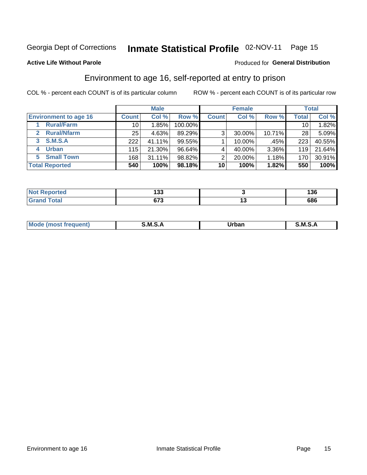# Inmate Statistical Profile 02-NOV-11 Page 15

#### **Active Life Without Parole**

#### Produced for General Distribution

### Environment to age 16, self-reported at entry to prison

COL % - percent each COUNT is of its particular column

|                                      |              | <b>Male</b> |           |                | <b>Female</b> |        |                 | <b>Total</b> |
|--------------------------------------|--------------|-------------|-----------|----------------|---------------|--------|-----------------|--------------|
| <b>Environment to age 16</b>         | <b>Count</b> | Col %       | Row %     | <b>Count</b>   | Col %         | Row %  | <b>Total</b>    | Col %        |
| <b>Rural/Farm</b>                    | 10           | 1.85%       | 100.00%   |                |               |        | 10 <sub>1</sub> | 1.82%        |
| <b>Rural/Nfarm</b><br>$\overline{2}$ | 25           | 4.63%       | 89.29%    | 3 <sub>1</sub> | 30.00%        | 10.71% | 28              | 5.09%        |
| 3 S.M.S.A                            | 222          | 41.11%      | $99.55\%$ |                | 10.00%        | .45%   | 223             | 40.55%       |
| <b>Urban</b><br>4                    | 115          | 21.30%      | 96.64%    |                | 40.00%        | 3.36%  | 119             | 21.64%       |
| <b>Small Town</b><br>5               | 168          | 31.11%      | 98.82%    | 2              | 20.00%        | 1.18%  | 170             | 30.91%       |
| <b>Total Reported</b>                | 540          | 100%        | 98.18%    | 10             | 100%          | 1.82%  | 550             | 100%         |

| <b>Not Reported</b> | ,<br>טטו      |    | 136 |
|---------------------|---------------|----|-----|
| <b>Total</b>        | $\sim$<br>ں ر | '' | 686 |

| $Mc$ | M | <b>Jrhan</b> | M.     |
|------|---|--------------|--------|
|      |   | _____        | ______ |
|      |   |              |        |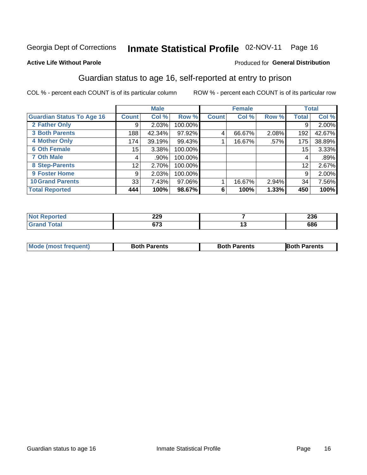# Inmate Statistical Profile 02-NOV-11 Page 16

#### **Active Life Without Parole**

#### Produced for General Distribution

### Guardian status to age 16, self-reported at entry to prison

COL % - percent each COUNT is of its particular column

|                                  |                 | <b>Male</b> |         |              | <b>Female</b> |       |              | <b>Total</b> |
|----------------------------------|-----------------|-------------|---------|--------------|---------------|-------|--------------|--------------|
| <b>Guardian Status To Age 16</b> | <b>Count</b>    | Col %       | Row %   | <b>Count</b> | Col %         | Row % | <b>Total</b> | Col %        |
| 2 Father Only                    | 9               | 2.03%       | 100.00% |              |               |       | 9            | 2.00%        |
| <b>3 Both Parents</b>            | 188             | 42.34%      | 97.92%  | 4            | 66.67%        | 2.08% | 192          | 42.67%       |
| <b>4 Mother Only</b>             | 174             | 39.19%      | 99.43%  |              | 16.67%        | .57%  | 175          | 38.89%       |
| <b>6 Oth Female</b>              | 15 <sub>1</sub> | 3.38%       | 100.00% |              |               |       | 15           | 3.33%        |
| <b>7 Oth Male</b>                | 4               | .90%        | 100.00% |              |               |       | 4            | .89%         |
| 8 Step-Parents                   | 12              | 2.70%       | 100.00% |              |               |       | 12           | 2.67%        |
| 9 Foster Home                    | 9               | 2.03%       | 100.00% |              |               |       | 9            | 2.00%        |
| <b>10 Grand Parents</b>          | 33              | 7.43%       | 97.06%  |              | 16.67%        | 2.94% | 34           | 7.56%        |
| <b>Total Reported</b>            | 444             | 100%        | 98.67%  | 6            | 100%          | 1.33% | 450          | 100%         |

| Reported<br>NOT. | 229         | ን 20<br>∠งง |
|------------------|-------------|-------------|
| Total            | ~70<br>נ וט | 686         |

| <b>Mode (most frequent)</b> | <b>Both Parents</b> | <b>Both Parents</b> | <b>Both Parents</b> |
|-----------------------------|---------------------|---------------------|---------------------|
|                             |                     |                     |                     |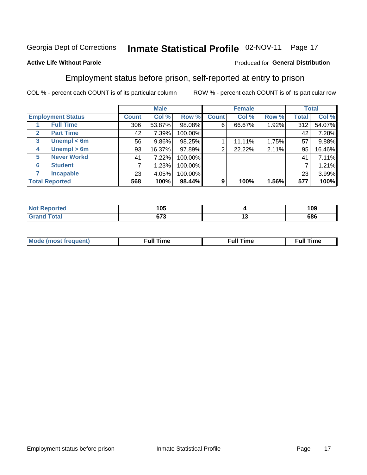#### Inmate Statistical Profile 02-NOV-11 Page 17

#### **Active Life Without Parole**

#### Produced for General Distribution

### Employment status before prison, self-reported at entry to prison

COL % - percent each COUNT is of its particular column

|                          |         |     | <b>Male</b> |         |              | <b>Female</b> |       |       | <b>Total</b> |
|--------------------------|---------|-----|-------------|---------|--------------|---------------|-------|-------|--------------|
| <b>Employment Status</b> | Count l |     | Col %       | Row %   | <b>Count</b> | Col %         | Row % | Total | Col %        |
| <b>Full Time</b>         |         | 306 | 53.87%      | 98.08%  | 6            | 66.67%        | 1.92% | 312   | 54.07%       |
| <b>Part Time</b><br>2    |         | 42  | 7.39%       | 100.00% |              |               |       | 42    | 7.28%        |
| Unempl $<$ 6m<br>3       |         | 56  | 9.86%       | 98.25%  |              | 11.11%        | 1.75% | 57    | 9.88%        |
| Unempl > 6m<br>4         |         | 93  | 16.37%      | 97.89%  | 2            | 22.22%        | 2.11% | 95    | 16.46%       |
| <b>Never Workd</b><br>5  |         | 41  | 7.22%       | 100.00% |              |               |       | 41    | 7.11%        |
| <b>Student</b><br>6      |         |     | 1.23%       | 100.00% |              |               |       | ⇁     | 1.21%        |
| <b>Incapable</b><br>7    |         | 23  | 4.05%       | 100.00% |              |               |       | 23    | 3.99%        |
| <b>Total Reported</b>    |         | 568 | 100%        | 98.44%  | 9            | 100%          | 1.56% | 577   | 100%         |

| тес | 105         | 109     |
|-----|-------------|---------|
|     | ^¬^<br>ט וט | <br>686 |

| Mc | ∴ull | ----<br>ıme<br>w |
|----|------|------------------|
|    |      |                  |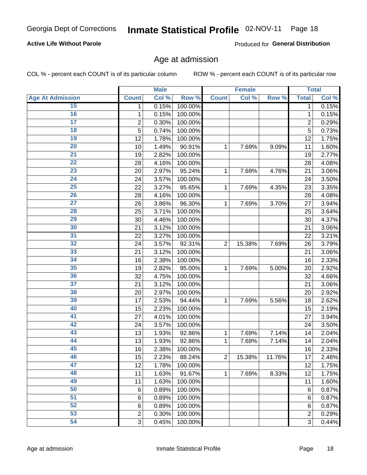# Inmate Statistical Profile 02-NOV-11 Page 18

#### **Active Life Without Parole**

Produced for General Distribution

### Age at admission

COL % - percent each COUNT is of its particular column

|                         |                         | <b>Male</b> |         |                | <b>Female</b> |        |                | <b>Total</b> |
|-------------------------|-------------------------|-------------|---------|----------------|---------------|--------|----------------|--------------|
| <b>Age At Admission</b> | <b>Count</b>            | Col %       | Row %   | <b>Count</b>   | Col %         | Row %  | <b>Total</b>   | Col %        |
| 15                      | 1                       | 0.15%       | 100.00% |                |               |        | 1              | 0.15%        |
| 16                      | 1                       | 0.15%       | 100.00% |                |               |        | $\mathbf{1}$   | 0.15%        |
| $\overline{17}$         | $\overline{\mathbf{c}}$ | 0.30%       | 100.00% |                |               |        | $\overline{2}$ | 0.29%        |
| 18                      | 5                       | 0.74%       | 100.00% |                |               |        | $\overline{5}$ | 0.73%        |
| 19                      | 12                      | 1.78%       | 100.00% |                |               |        | 12             | 1.75%        |
| 20                      | 10                      | 1.49%       | 90.91%  | 1              | 7.69%         | 9.09%  | 11             | 1.60%        |
| 21                      | 19                      | 2.82%       | 100.00% |                |               |        | 19             | 2.77%        |
| 22                      | 28                      | 4.16%       | 100.00% |                |               |        | 28             | 4.08%        |
| 23                      | 20                      | 2.97%       | 95.24%  | 1              | 7.69%         | 4.76%  | 21             | 3.06%        |
| 24                      | 24                      | 3.57%       | 100.00% |                |               |        | 24             | 3.50%        |
| $\overline{25}$         | 22                      | 3.27%       | 95.65%  | 1              | 7.69%         | 4.35%  | 23             | 3.35%        |
| 26                      | 28                      | 4.16%       | 100.00% |                |               |        | 28             | 4.08%        |
| $\overline{27}$         | 26                      | 3.86%       | 96.30%  | $\mathbf{1}$   | 7.69%         | 3.70%  | 27             | 3.94%        |
| 28                      | 25                      | 3.71%       | 100.00% |                |               |        | 25             | 3.64%        |
| 29                      | 30                      | 4.46%       | 100.00% |                |               |        | 30             | 4.37%        |
| 30                      | 21                      | 3.12%       | 100.00% |                |               |        | 21             | 3.06%        |
| 31                      | 22                      | 3.27%       | 100.00% |                |               |        | 22             | 3.21%        |
| 32                      | 24                      | 3.57%       | 92.31%  | $\overline{2}$ | 15.38%        | 7.69%  | 26             | 3.79%        |
| 33                      | 21                      | 3.12%       | 100.00% |                |               |        | 21             | 3.06%        |
| 34                      | 16                      | 2.38%       | 100.00% |                |               |        | 16             | 2.33%        |
| 35                      | 19                      | 2.82%       | 95.00%  | 1              | 7.69%         | 5.00%  | 20             | 2.92%        |
| 36                      | 32                      | 4.75%       | 100.00% |                |               |        | 32             | 4.66%        |
| $\overline{37}$         | 21                      | 3.12%       | 100.00% |                |               |        | 21             | 3.06%        |
| 38                      | 20                      | 2.97%       | 100.00% |                |               |        | 20             | 2.92%        |
| 39                      | 17                      | 2.53%       | 94.44%  | 1              | 7.69%         | 5.56%  | 18             | 2.62%        |
| 40                      | 15                      | 2.23%       | 100.00% |                |               |        | 15             | 2.19%        |
| 41                      | 27                      | 4.01%       | 100.00% |                |               |        | 27             | 3.94%        |
| 42                      | 24                      | 3.57%       | 100.00% |                |               |        | 24             | 3.50%        |
| 43                      | 13                      | 1.93%       | 92.86%  | 1              | 7.69%         | 7.14%  | 14             | 2.04%        |
| 44                      | 13                      | 1.93%       | 92.86%  | 1              | 7.69%         | 7.14%  | 14             | 2.04%        |
| 45                      | 16                      | 2.38%       | 100.00% |                |               |        | 16             | 2.33%        |
| 46                      | 15                      | 2.23%       | 88.24%  | $\overline{2}$ | 15.38%        | 11.76% | 17             | 2.48%        |
| 47                      | 12                      | 1.78%       | 100.00% |                |               |        | 12             | 1.75%        |
| 48                      | 11                      | 1.63%       | 91.67%  | 1              | 7.69%         | 8.33%  | 12             | 1.75%        |
| 49                      | 11                      | 1.63%       | 100.00% |                |               |        | 11             | 1.60%        |
| 50                      | $6\phantom{1}6$         | 0.89%       | 100.00% |                |               |        | 6              | 0.87%        |
| $\overline{51}$         | $6\phantom{1}6$         | 0.89%       | 100.00% |                |               |        | 6              | 0.87%        |
| 52                      | 6                       | 0.89%       | 100.00% |                |               |        | 6              | 0.87%        |
| 53                      | $\overline{\mathbf{c}}$ | 0.30%       | 100.00% |                |               |        | 2              | 0.29%        |
| 54                      | 3                       | 0.45%       | 100.00% |                |               |        | $\overline{3}$ | 0.44%        |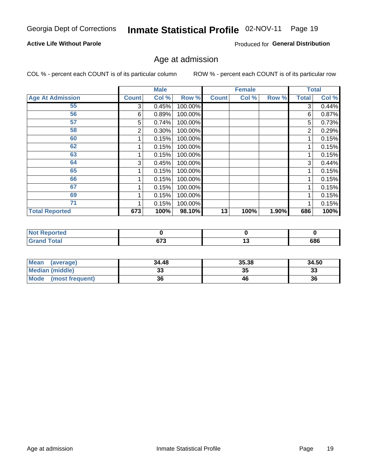# Inmate Statistical Profile 02-NOV-11 Page 19

#### **Active Life Without Parole**

Produced for General Distribution

### Age at admission

COL % - percent each COUNT is of its particular column

|                         |              | <b>Male</b> |         |              | <b>Female</b> |       |       | <b>Total</b> |
|-------------------------|--------------|-------------|---------|--------------|---------------|-------|-------|--------------|
| <b>Age At Admission</b> | <b>Count</b> | Col %       | Row %   | <b>Count</b> | Col %         | Row % | Total | Col %        |
| 55                      | 3            | 0.45%       | 100.00% |              |               |       | 3     | 0.44%        |
| 56                      | 6            | 0.89%       | 100.00% |              |               |       | 6     | 0.87%        |
| 57                      | 5            | 0.74%       | 100.00% |              |               |       | 5     | 0.73%        |
| 58                      | 2            | 0.30%       | 100.00% |              |               |       | 2     | 0.29%        |
| 60                      |              | 0.15%       | 100.00% |              |               |       |       | 0.15%        |
| 62                      |              | 0.15%       | 100.00% |              |               |       |       | 0.15%        |
| 63                      |              | 0.15%       | 100.00% |              |               |       |       | 0.15%        |
| 64                      | 3            | 0.45%       | 100.00% |              |               |       | 3     | 0.44%        |
| 65                      |              | 0.15%       | 100.00% |              |               |       |       | 0.15%        |
| 66                      |              | 0.15%       | 100.00% |              |               |       |       | 0.15%        |
| 67                      |              | 0.15%       | 100.00% |              |               |       |       | 0.15%        |
| 69                      |              | 0.15%       | 100.00% |              |               |       |       | 0.15%        |
| 71                      |              | 0.15%       | 100.00% |              |               |       |       | 0.15%        |
| <b>Total Reported</b>   | 673          | 100%        | 98.10%  | 13           | 100%          | 1.90% | 686   | 100%         |

| Reported<br>N         |        |         |
|-----------------------|--------|---------|
| <b>Total</b><br>Grand | $\sim$ | <br>686 |

| <b>Mean</b><br>(average) | 34.48 | 35.38 | 34.50     |
|--------------------------|-------|-------|-----------|
| Median (middle)          | ື     | 35    | ^^<br>-55 |
| Mode<br>(most frequent)  | 36    | 46    | 36        |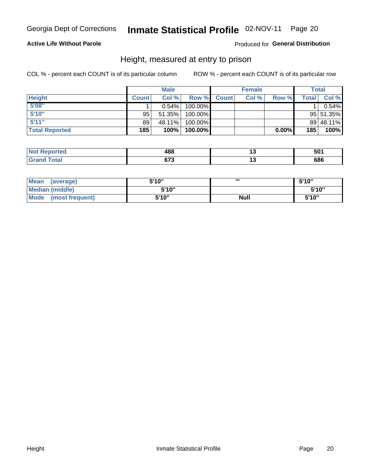# Inmate Statistical Profile 02-NOV-11 Page 20

#### **Active Life Without Parole**

Produced for General Distribution

### Height, measured at entry to prison

COL % - percent each COUNT is of its particular column

|                       |              | <b>Male</b> |         |              | <b>Female</b> |       |              | Total     |
|-----------------------|--------------|-------------|---------|--------------|---------------|-------|--------------|-----------|
| <b>Height</b>         | <b>Count</b> | Col %       | Row %   | <b>Count</b> | Col %         | Row % | <b>Total</b> | Col %     |
| 5'08''                |              | $0.54\%$    | 100.00% |              |               |       |              | 0.54%     |
| 5'10''                | 95           | 51.35%      | 100.00% |              |               |       |              | 95 51.35% |
| 5'11''                | 89           | 48.11%      | 100.00% |              |               |       |              | 89 48.11% |
| <b>Total Reported</b> | 185          | 100%        | 100.00% |              |               | 0.00% | 185          | 100%      |

| <b>Not</b><br><b>orted</b><br>renoi | 488   | vv. |
|-------------------------------------|-------|-----|
| <b>Total</b>                        | ~70   | COC |
| ' Grand                             | 0 I J | ססכ |

| <b>Mean</b><br>(average)       | 5'10'' | ш           | 5'10" |
|--------------------------------|--------|-------------|-------|
| <b>Median (middle)</b>         | 5'10"  |             | 5'10" |
| <b>Mode</b><br>(most frequent) | 5'10"  | <b>Null</b> | 5'10" |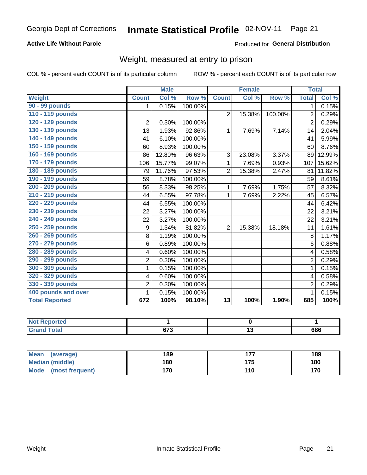# Inmate Statistical Profile 02-NOV-11 Page 21

#### **Active Life Without Parole**

#### Produced for General Distribution

# Weight, measured at entry to prison

COL % - percent each COUNT is of its particular column

|                       |                | <b>Male</b> |         |                 | <b>Female</b> |         | <b>Total</b>   |        |
|-----------------------|----------------|-------------|---------|-----------------|---------------|---------|----------------|--------|
| Weight                | <b>Count</b>   | Col %       | Row %   | <b>Count</b>    | Col %         | Row %   | <b>Total</b>   | Col %  |
| 90 - 99 pounds        | 1              | 0.15%       | 100.00% |                 |               |         | 1              | 0.15%  |
| 110 - 119 pounds      |                |             |         | $\overline{2}$  | 15.38%        | 100.00% | $\overline{2}$ | 0.29%  |
| 120 - 129 pounds      | $\overline{2}$ | 0.30%       | 100.00% |                 |               |         | $\overline{2}$ | 0.29%  |
| 130 - 139 pounds      | 13             | 1.93%       | 92.86%  | 1               | 7.69%         | 7.14%   | 14             | 2.04%  |
| 140 - 149 pounds      | 41             | 6.10%       | 100.00% |                 |               |         | 41             | 5.99%  |
| 150 - 159 pounds      | 60             | 8.93%       | 100.00% |                 |               |         | 60             | 8.76%  |
| 160 - 169 pounds      | 86             | 12.80%      | 96.63%  | 3               | 23.08%        | 3.37%   | 89             | 12.99% |
| 170 - 179 pounds      | 106            | 15.77%      | 99.07%  | 1               | 7.69%         | 0.93%   | 107            | 15.62% |
| 180 - 189 pounds      | 79             | 11.76%      | 97.53%  | $\overline{2}$  | 15.38%        | 2.47%   | 81             | 11.82% |
| 190 - 199 pounds      | 59             | 8.78%       | 100.00% |                 |               |         | 59             | 8.61%  |
| 200 - 209 pounds      | 56             | 8.33%       | 98.25%  | 1               | 7.69%         | 1.75%   | 57             | 8.32%  |
| 210 - 219 pounds      | 44             | 6.55%       | 97.78%  | 1               | 7.69%         | 2.22%   | 45             | 6.57%  |
| 220 - 229 pounds      | 44             | 6.55%       | 100.00% |                 |               |         | 44             | 6.42%  |
| 230 - 239 pounds      | 22             | 3.27%       | 100.00% |                 |               |         | 22             | 3.21%  |
| 240 - 249 pounds      | 22             | 3.27%       | 100.00% |                 |               |         | 22             | 3.21%  |
| 250 - 259 pounds      | 9              | 1.34%       | 81.82%  | $\overline{2}$  | 15.38%        | 18.18%  | 11             | 1.61%  |
| 260 - 269 pounds      | 8              | 1.19%       | 100.00% |                 |               |         | 8              | 1.17%  |
| 270 - 279 pounds      | 6              | 0.89%       | 100.00% |                 |               |         | 6              | 0.88%  |
| 280 - 289 pounds      | 4              | 0.60%       | 100.00% |                 |               |         | 4              | 0.58%  |
| 290 - 299 pounds      | $\overline{2}$ | 0.30%       | 100.00% |                 |               |         | 2              | 0.29%  |
| 300 - 309 pounds      | 1              | 0.15%       | 100.00% |                 |               |         | 1              | 0.15%  |
| 320 - 329 pounds      | 4              | 0.60%       | 100.00% |                 |               |         | 4              | 0.58%  |
| 330 - 339 pounds      | $\overline{2}$ | 0.30%       | 100.00% |                 |               |         | $\overline{2}$ | 0.29%  |
| 400 pounds and over   | 1              | 0.15%       | 100.00% |                 |               |         | 1              | 0.15%  |
| <b>Total Reported</b> | 672            | 100%        | 98.10%  | $\overline{13}$ | 100%          | 1.90%   | 685            | 100%   |

| Reported<br>N. |                |     |
|----------------|----------------|-----|
| <b>Fotal</b>   | $\sim$<br>נ וט | 686 |

| Mean<br>(average)       | 189 | --- | 189 |
|-------------------------|-----|-----|-----|
| <b>Median (middle)</b>  | 180 | 175 | 180 |
| Mode<br>(most frequent) | 170 | 110 | 170 |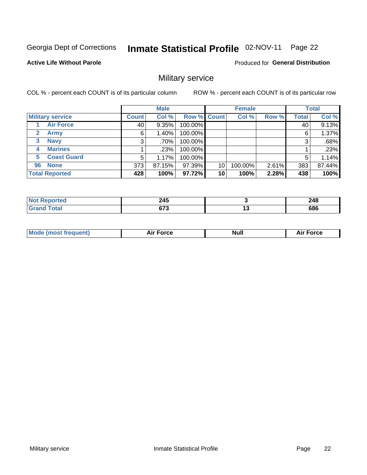#### Inmate Statistical Profile 02-NOV-11 Page 22

#### **Active Life Without Parole**

Produced for General Distribution

### Military service

COL % - percent each COUNT is of its particular column

|                          |              | <b>Male</b> |             |    | <b>Female</b> |       |              | <b>Total</b> |
|--------------------------|--------------|-------------|-------------|----|---------------|-------|--------------|--------------|
| <b>Military service</b>  | <b>Count</b> | Col %       | Row % Count |    | Col %         | Row % | <b>Total</b> | Col %        |
| <b>Air Force</b>         | 40           | 9.35%       | 100.00%     |    |               |       | 40           | 9.13%        |
| <b>Army</b>              | 6            | $1.40\%$    | 100.00%     |    |               |       | 6            | 1.37%        |
| <b>Navy</b><br>3         | 3            | $.70\%$     | 100.00%     |    |               |       | 3            | .68%         |
| <b>Marines</b><br>4      |              | .23%        | 100.00%     |    |               |       |              | .23%         |
| <b>Coast Guard</b><br>5. | 5            | 1.17%       | 100.00%     |    |               |       | 5            | 1.14%        |
| <b>None</b><br>96        | 373          | 87.15%      | 97.39%      | 10 | 100.00%       | 2.61% | 383          | 87.44%       |
| <b>Total Reported</b>    | 428          | 100%        | 97.72%      | 10 | 100%          | 2.28% | 438          | 100%         |

| <b>rted</b> | クイベ<br>24J<br>$\sim$ | 248     |
|-------------|----------------------|---------|
| iotal       | <b>C72</b><br>v / ა  | <br>686 |

|  |  | <b>Mode</b><br>uent)<br>most tren | Force<br>Aır | <b>Null</b> | orce |
|--|--|-----------------------------------|--------------|-------------|------|
|--|--|-----------------------------------|--------------|-------------|------|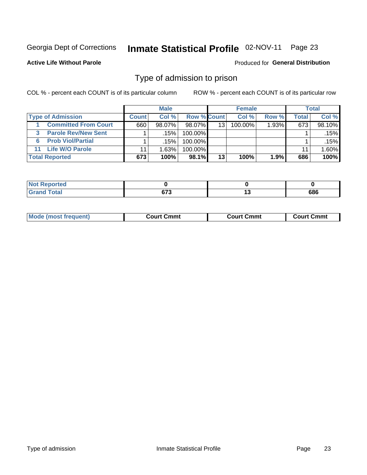#### Inmate Statistical Profile 02-NOV-11 Page 23

**Active Life Without Parole** 

Produced for General Distribution

### Type of admission to prison

COL % - percent each COUNT is of its particular column

|                                |              | <b>Male</b> |             |    | <b>Female</b> |          |       | Total  |
|--------------------------------|--------------|-------------|-------------|----|---------------|----------|-------|--------|
| <b>Type of Admission</b>       | <b>Count</b> | Col%        | Row % Count |    | Col %         | Row %    | Total | Col %  |
| <b>Committed From Court</b>    | 660          | $98.07\%$   | 98.07%      | 13 | 100.00%       | $1.93\%$ | 673   | 98.10% |
| <b>Parole Rev/New Sent</b>     |              | .15%        | 100.00%     |    |               |          |       | .15% l |
| <b>Prob Viol/Partial</b><br>6. |              | .15%        | 100.00%     |    |               |          |       | .15%   |
| 11 Life W/O Parole             |              | 1.63%       | 100.00%     |    |               |          | 11    | 1.60%  |
| <b>Total Reported</b>          | 673          | 100%        | 98.1%       | 13 | 100%          | 1.9%     | 686   | 100%   |

| <b>rted</b>                                   |                |        |     |
|-----------------------------------------------|----------------|--------|-----|
| $f \wedge f \wedge f$<br>$\sim$ $\sim$ $\sim$ | $\sim$<br>- 12 | $\sim$ | 686 |

|  | <b>Mode (most frequent)</b> | Court Cmmt | Cmmt<br>′ ourtت | Court Cmmt |
|--|-----------------------------|------------|-----------------|------------|
|--|-----------------------------|------------|-----------------|------------|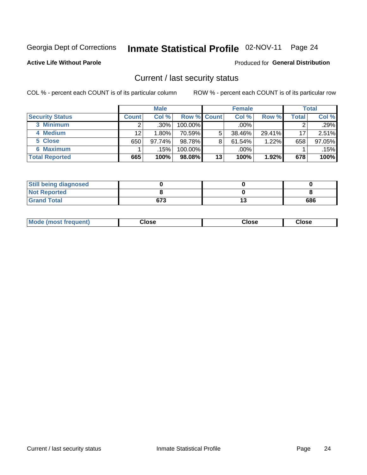# Inmate Statistical Profile 02-NOV-11 Page 24

**Active Life Without Parole** 

#### Produced for General Distribution

### Current / last security status

COL % - percent each COUNT is of its particular column

|                        |              | <b>Male</b> |                    |    | <b>Female</b> |        |       | <b>Total</b> |
|------------------------|--------------|-------------|--------------------|----|---------------|--------|-------|--------------|
| <b>Security Status</b> | <b>Count</b> | Col%        | <b>Row % Count</b> |    | Col %         | Row %  | Total | Col %        |
| 3 Minimum              |              | $.30\%$     | 100.00%            |    | $.00\%$       |        |       | .29%         |
| 4 Medium               | 12           | 1.80%       | 70.59%             | 5  | 38.46%        | 29.41% | 17    | 2.51%        |
| 5 Close                | 650          | 97.74%      | 98.78%             | 8  | 61.54%        | 1.22%  | 658   | 97.05%       |
| <b>6 Maximum</b>       |              | .15%        | 100.00%            |    | .00%          |        |       | .15%         |
| <b>Total Reported</b>  | 665          | 100%        | 98.08%             | 13 | 100%          | 1.92%  | 678   | 100%         |

| <b>Still being diagnosed</b> |     |     |
|------------------------------|-----|-----|
| <b>Not Reported</b>          |     |     |
| <b>Grand Total</b>           | 673 | 686 |

| <b>Mode</b><br>Close<br>: (most frequent)<br>oseت<br>Close<br>- - - -<br>- - - -<br>- - - - |
|---------------------------------------------------------------------------------------------|
|---------------------------------------------------------------------------------------------|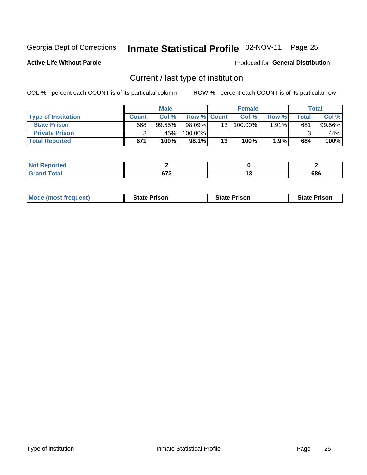# Inmate Statistical Profile 02-NOV-11 Page 25

**Active Life Without Parole** 

Produced for General Distribution

# Current / last type of institution

COL % - percent each COUNT is of its particular column

|                            |       | <b>Male</b> |                    |    | <b>Female</b> |       |                  | <b>Total</b> |
|----------------------------|-------|-------------|--------------------|----|---------------|-------|------------------|--------------|
| <b>Type of Institution</b> | Count | Col %       | <b>Row % Count</b> |    | Col %         | Row % | $\mathsf{Total}$ | Col %        |
| <b>State Prison</b>        | 668   | 99.55%      | 98.09%             | 13 | 100.00%       | 1.91% | 681              | 99.56%       |
| <b>Private Prison</b>      |       | .45%        | 100.00%            |    |               |       |                  | $.44\%$      |
| <b>Total Reported</b>      | 671   | 100%        | 98.1%              | 13 | 100%          | 1.9%  | 684              | 100%         |

| rtea |               |         |
|------|---------------|---------|
| int  | 0.70<br>u 1 J | <br>686 |

| <b>Mode (most frequent)</b> | <b>State Prison</b> | <b>State Prison</b> | <b>State Prison</b> |
|-----------------------------|---------------------|---------------------|---------------------|
|                             |                     |                     |                     |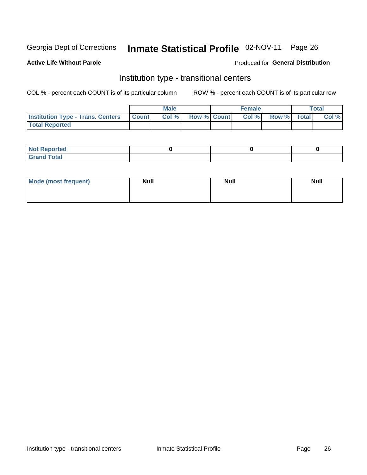# Inmate Statistical Profile 02-NOV-11 Page 26

#### **Active Life Without Parole**

#### Produced for General Distribution

### Institution type - transitional centers

COL % - percent each COUNT is of its particular column

|                                          |              | <b>Male</b> |                    | <b>Female</b> |             | <b>Total</b> |
|------------------------------------------|--------------|-------------|--------------------|---------------|-------------|--------------|
| <b>Institution Type - Trans. Centers</b> | <b>Count</b> | CoI%        | <b>Row % Count</b> | Col %         | Row % Total | Col %        |
| <b>Total Reported</b>                    |              |             |                    |               |             |              |

| <b>Reported</b><br><b>NOT</b>  |  |  |
|--------------------------------|--|--|
| $n+n$<br>C <sub>r</sub><br>--- |  |  |

| Mode (most frequent) | <b>Null</b> | <b>Null</b> | <b>Null</b> |
|----------------------|-------------|-------------|-------------|
|                      |             |             |             |
|                      |             |             |             |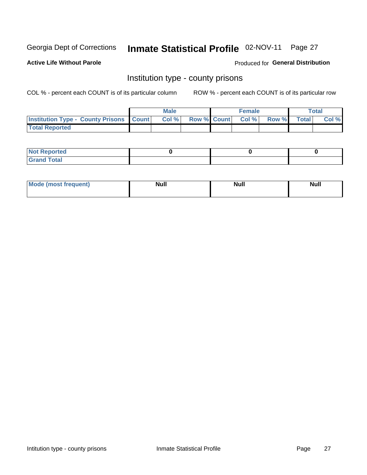# Inmate Statistical Profile 02-NOV-11 Page 27

**Active Life Without Parole** 

Produced for General Distribution

### Institution type - county prisons

COL % - percent each COUNT is of its particular column

|                                                    | <b>Male</b> |                          | <b>Female</b> |             | <b>Total</b> |
|----------------------------------------------------|-------------|--------------------------|---------------|-------------|--------------|
| <b>Institution Type - County Prisons   Count  </b> | Col %       | <b>Row % Count Col %</b> |               | Row % Total | Col %        |
| <b>Total Reported</b>                              |             |                          |               |             |              |

| <b>Not Reported</b>         |  |  |
|-----------------------------|--|--|
| <b>Total</b><br>-<br>______ |  |  |

| <b>Mode</b>      | <b>Null</b> | <b>Null</b> | <b>Null</b> |
|------------------|-------------|-------------|-------------|
| (most freauent). |             |             |             |
|                  |             |             |             |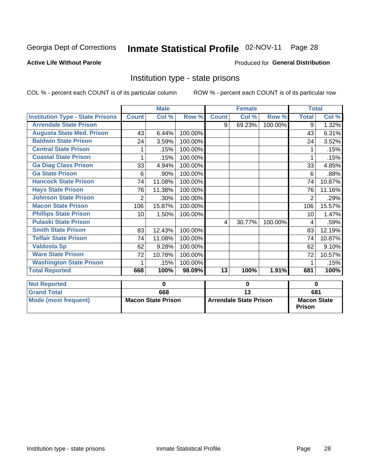# Inmate Statistical Profile 02-NOV-11 Page 28

#### **Active Life Without Parole**

#### Produced for General Distribution

### Institution type - state prisons

COL % - percent each COUNT is of its particular column

|                                         |              | <b>Male</b>               |         |                         | <b>Female</b>                 |         | <b>Total</b>                        |        |
|-----------------------------------------|--------------|---------------------------|---------|-------------------------|-------------------------------|---------|-------------------------------------|--------|
| <b>Institution Type - State Prisons</b> | <b>Count</b> | Col %                     | Row %   | <b>Count</b>            | Col %                         | Row %   | <b>Total</b>                        | Col %  |
| <b>Arrendale State Prison</b>           |              |                           |         | 9                       | 69.23%                        | 100.00% | 9                                   | 1.32%  |
| <b>Augusta State Med. Prison</b>        | 43           | 6.44%                     | 100.00% |                         |                               |         | 43                                  | 6.31%  |
| <b>Baldwin State Prison</b>             | 24           | 3.59%                     | 100.00% |                         |                               |         | 24                                  | 3.52%  |
| <b>Central State Prison</b>             | 1            | .15%                      | 100.00% |                         |                               |         |                                     | .15%   |
| <b>Coastal State Prison</b>             | 1            | .15%                      | 100.00% |                         |                               |         |                                     | .15%   |
| <b>Ga Diag Class Prison</b>             | 33           | 4.94%                     | 100.00% |                         |                               |         | 33                                  | 4.85%  |
| <b>Ga State Prison</b>                  | 6            | .90%                      | 100.00% |                         |                               |         | 6                                   | .88%   |
| <b>Hancock State Prison</b>             | 74           | 11.08%                    | 100.00% |                         |                               |         | 74                                  | 10.87% |
| <b>Hays State Prison</b>                | 76           | 11.38%                    | 100.00% |                         |                               |         | 76                                  | 11.16% |
| <b>Johnson State Prison</b>             | 2            | .30%                      | 100.00% |                         |                               |         | $\overline{2}$                      | .29%   |
| <b>Macon State Prison</b>               | 106          | 15.87%                    | 100.00% |                         |                               |         | 106                                 | 15.57% |
| <b>Phillips State Prison</b>            | 10           | 1.50%                     | 100.00% |                         |                               |         | 10                                  | 1.47%  |
| <b>Pulaski State Prison</b>             |              |                           |         | $\overline{\mathbf{4}}$ | 30.77%                        | 100.00% | 4                                   | .59%   |
| <b>Smith State Prison</b>               | 83           | 12.43%                    | 100.00% |                         |                               |         | 83                                  | 12.19% |
| <b>Telfair State Prison</b>             | 74           | 11.08%                    | 100.00% |                         |                               |         | 74                                  | 10.87% |
| <b>Valdosta Sp</b>                      | 62           | 9.28%                     | 100.00% |                         |                               |         | 62                                  | 9.10%  |
| <b>Ware State Prison</b>                | 72           | 10.78%                    | 100.00% |                         |                               |         | 72                                  | 10.57% |
| <b>Washington State Prison</b>          | 1            | .15%                      | 100.00% |                         |                               |         | 1                                   | .15%   |
| <b>Total Reported</b>                   | 668          | 100%                      | 98.09%  | $\overline{13}$         | 100%                          | 1.91%   | 681                                 | 100%   |
| <b>Not Reported</b>                     |              | 0                         |         |                         | 0                             |         | $\bf{0}$                            |        |
| <b>Grand Total</b>                      |              | 668                       |         |                         | $\overline{13}$               |         | 681                                 |        |
| <b>Mode (most frequent)</b>             |              | <b>Macon State Prison</b> |         |                         | <b>Arrendale State Prison</b> |         | <b>Macon State</b><br><b>Prison</b> |        |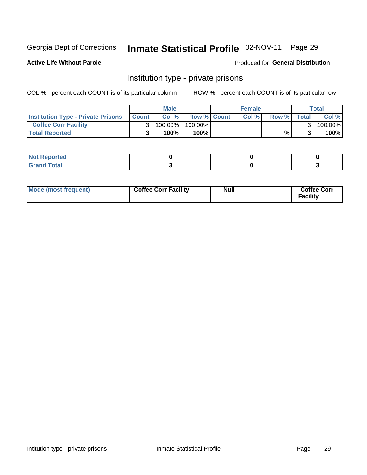# Inmate Statistical Profile 02-NOV-11 Page 29

**Active Life Without Parole** 

Produced for General Distribution

### Institution type - private prisons

COL % - percent each COUNT is of its particular column

|                                           |              | <b>Male</b> |                    | <b>Female</b> |       |              | Total   |
|-------------------------------------------|--------------|-------------|--------------------|---------------|-------|--------------|---------|
| <b>Institution Type - Private Prisons</b> | <b>Count</b> | Col%        | <b>Row % Count</b> | Col %         | Row % | <b>Total</b> | Col %   |
| <b>Coffee Corr Facility</b>               |              | 100.00%     | 100.00%            |               |       |              | 100.00% |
| <b>Total Reported</b>                     |              | $100\%$     | 100%               |               | %     |              | 100%    |

| ortea<br>                          |  |  |
|------------------------------------|--|--|
| $\sim$ $\sim$ $\sim$ $\sim$ $\sim$ |  |  |

| Mode (most frequent) | <b>Coffee Corr Facility</b> | Null | <b>Coffee Corr</b><br><b>Facility</b> |
|----------------------|-----------------------------|------|---------------------------------------|
|----------------------|-----------------------------|------|---------------------------------------|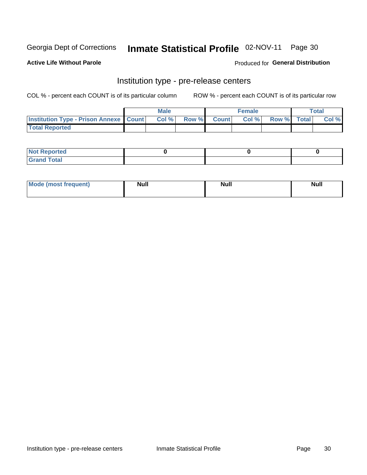# Inmate Statistical Profile 02-NOV-11 Page 30

**Active Life Without Parole** 

Produced for General Distribution

# Institution type - pre-release centers

COL % - percent each COUNT is of its particular column

|                                                   | <b>Male</b> |              |              | Female |             | <b>Total</b> |
|---------------------------------------------------|-------------|--------------|--------------|--------|-------------|--------------|
| <b>Institution Type - Prison Annexe   Count  </b> | Col %       | <b>Row %</b> | <b>Count</b> | Col %  | Row % Total | Col %        |
| <b>Total Reported</b>                             |             |              |              |        |             |              |

| <b>Reported</b><br>I NOT |  |  |
|--------------------------|--|--|
| <b>Total</b><br>$C$ ren  |  |  |

| $^{\prime}$ Mo <sub>t</sub><br>frequent)<br>⊥(mos* | <b>Null</b> | Noll<br><b>vull</b> | <b>Null</b> |
|----------------------------------------------------|-------------|---------------------|-------------|
|                                                    |             |                     |             |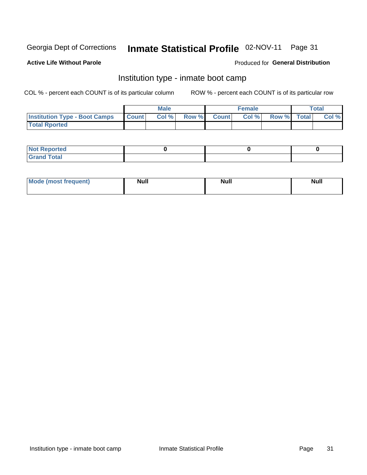#### Inmate Statistical Profile 02-NOV-11 Page 31

#### **Active Life Without Parole**

#### Produced for General Distribution

### Institution type - inmate boot camp

COL % - percent each COUNT is of its particular column

|                                      |              | <b>Male</b> |               |              | <b>Female</b> |             | <b>Total</b> |
|--------------------------------------|--------------|-------------|---------------|--------------|---------------|-------------|--------------|
| <b>Institution Type - Boot Camps</b> | <b>Count</b> | Col %       | <b>Row %I</b> | <b>Count</b> | Col %         | Row % Total | Col %        |
| <b>Total Rported</b>                 |              |             |               |              |               |             |              |

| <b>Not Reported</b> |  |  |
|---------------------|--|--|
| <b>Total</b><br>Cro |  |  |

| <b>I Mode (most frequent)</b> | <b>Null</b> | <b>Null</b> | <b>Null</b> |
|-------------------------------|-------------|-------------|-------------|
|                               |             |             |             |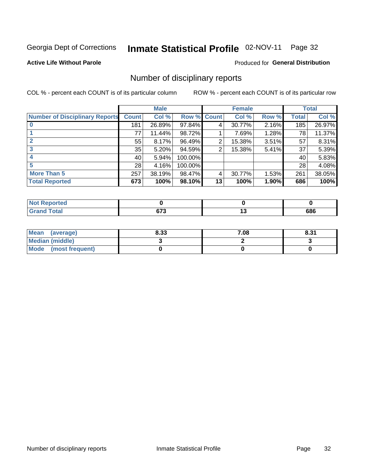# Inmate Statistical Profile 02-NOV-11 Page 32

**Active Life Without Parole** 

#### Produced for General Distribution

### Number of disciplinary reports

COL % - percent each COUNT is of its particular column

|                                       |              | <b>Male</b> |             |    | <b>Female</b> |          |              | <b>Total</b> |
|---------------------------------------|--------------|-------------|-------------|----|---------------|----------|--------------|--------------|
| <b>Number of Disciplinary Reports</b> | <b>Count</b> | Col %       | Row % Count |    | Col %         | Row %    | <b>Total</b> | Col %        |
|                                       | 181          | 26.89%      | 97.84%      | 4  | 30.77%        | $2.16\%$ | 185          | 26.97%       |
|                                       | 77           | 11.44%      | 98.72%      |    | 7.69%         | 1.28%    | 78           | 11.37%       |
|                                       | 55           | 8.17%       | 96.49%      | 2  | 15.38%        | 3.51%    | 57           | 8.31%        |
| 3                                     | 35           | 5.20%       | 94.59%      | 2  | 15.38%        | $5.41\%$ | 37           | 5.39%        |
|                                       | 40           | 5.94%       | 100.00%     |    |               |          | 40           | 5.83%        |
| 5                                     | 28           | 4.16%       | 100.00%     |    |               |          | 28           | 4.08%        |
| <b>More Than 5</b>                    | 257          | 38.19%      | 98.47%      | 4  | 30.77%        | 1.53%    | 261          | 38.05%       |
| <b>Total Reported</b>                 | 673          | 100%        | 98.10%      | 13 | 100%          | 1.90%    | 686          | 100%         |

| วrted<br>NO  |          |     |
|--------------|----------|-----|
| <b>Total</b> | ~70<br>u | 686 |

| Mean (average)       | 8.33 | 7.08 | 8.31 |
|----------------------|------|------|------|
| Median (middle)      |      |      |      |
| Mode (most frequent) |      |      |      |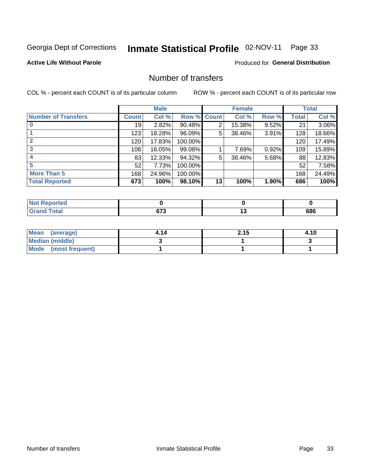# Inmate Statistical Profile 02-NOV-11 Page 33

#### **Active Life Without Parole**

#### **Produced for General Distribution**

### Number of transfers

COL % - percent each COUNT is of its particular column

|                            |         | <b>Male</b> |         |                | <b>Female</b> |          |       | <b>Total</b> |
|----------------------------|---------|-------------|---------|----------------|---------------|----------|-------|--------------|
| <b>Number of Transfers</b> | Count l | Col %       | Row %   | <b>Count</b>   | Col %         | Row %    | Total | Col %        |
|                            | 19      | 2.82%       | 90.48%  | $\overline{2}$ | 15.38%        | $9.52\%$ | 21    | 3.06%        |
|                            | 123     | 18.28%      | 96.09%  | 5              | 38.46%        | 3.91%    | 128   | 18.66%       |
| $\mathbf{2}$               | 120     | 17.83%      | 100.00% |                |               |          | 120   | 17.49%       |
|                            | 108     | 16.05%      | 99.08%  |                | 7.69%         | 0.92%    | 109   | 15.89%       |
|                            | 83      | 12.33%      | 94.32%  | 5              | 38.46%        | 5.68%    | 88    | 12.83%       |
| 5                          | 52      | 7.73%       | 100.00% |                |               |          | 52    | 7.58%        |
| <b>More Than 5</b>         | 168     | 24.96%      | 100.00% |                |               |          | 168   | 24.49%       |
| <b>Total Reported</b>      | 673     | 100%        | 98.10%  | 13             | 100%          | 1.90%    | 686   | 100%         |

| Reported<br>NOT |            |     |     |
|-----------------|------------|-----|-----|
| Total           | ~70<br>. . | . . | 686 |

| Mean (average)       | 4.14 | 2.15 | 4.10 |
|----------------------|------|------|------|
| Median (middle)      |      |      |      |
| Mode (most frequent) |      |      |      |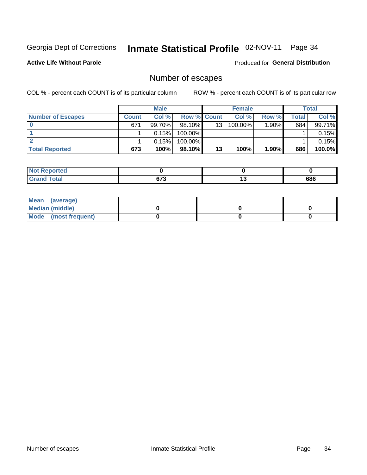# Inmate Statistical Profile 02-NOV-11 Page 34

**Active Life Without Parole** 

Produced for General Distribution

# Number of escapes

COL % - percent each COUNT is of its particular column

|                          |              | <b>Male</b> |                    |    | <b>Female</b> |          |       | Total  |
|--------------------------|--------------|-------------|--------------------|----|---------------|----------|-------|--------|
| <b>Number of Escapes</b> | <b>Count</b> | Col%        | <b>Row % Count</b> |    | Col %         | Row %    | Total | Col %  |
|                          | 671          | $99.70\%$   | $98.10\%$          | 13 | 100.00%       | $1.90\%$ | 684   | 99.71% |
|                          |              | 0.15%       | 100.00%            |    |               |          |       | 0.15%  |
|                          |              | 0.15%       | 100.00%            |    |               |          |       | 0.15%  |
| <b>Total Reported</b>    | 673          | 100%        | 98.10%             | 13 | 100%          | 1.90%    | 686   | 100.0% |

| <b>Not Reported</b>          |     |     |     |
|------------------------------|-----|-----|-----|
| <b>Total</b><br><b>Grand</b> | ~70 | . . | 686 |

| Mean (average)       |  |  |
|----------------------|--|--|
| Median (middle)      |  |  |
| Mode (most frequent) |  |  |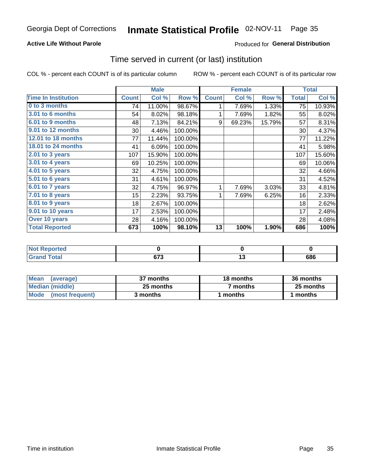# Inmate Statistical Profile 02-NOV-11 Page 35

#### **Active Life Without Parole**

### Produced for General Distribution

### Time served in current (or last) institution

COL % - percent each COUNT is of its particular column

|                              |              | <b>Male</b> |         |              | <b>Female</b> |        |              | <b>Total</b> |
|------------------------------|--------------|-------------|---------|--------------|---------------|--------|--------------|--------------|
| <b>Time In Institution</b>   | <b>Count</b> | Col %       | Row %   | <b>Count</b> | Col %         | Row %  | <b>Total</b> | Col %        |
| 0 to 3 months                | 74           | 11.00%      | 98.67%  | 1            | 7.69%         | 1.33%  | 75           | 10.93%       |
| 3.01 to 6 months             | 54           | 8.02%       | 98.18%  | 1            | 7.69%         | 1.82%  | 55           | 8.02%        |
| 6.01 to 9 months             | 48           | 7.13%       | 84.21%  | 9            | 69.23%        | 15.79% | 57           | 8.31%        |
| 9.01 to 12 months            | 30           | 4.46%       | 100.00% |              |               |        | 30           | 4.37%        |
| 12.01 to 18 months           | 77           | 11.44%      | 100.00% |              |               |        | 77           | 11.22%       |
| <b>18.01 to 24 months</b>    | 41           | 6.09%       | 100.00% |              |               |        | 41           | 5.98%        |
| $2.01$ to 3 years            | 107          | 15.90%      | 100.00% |              |               |        | 107          | 15.60%       |
| $3.01$ to 4 years            | 69           | 10.25%      | 100.00% |              |               |        | 69           | 10.06%       |
| $4.01$ to 5 years            | 32           | 4.75%       | 100.00% |              |               |        | 32           | 4.66%        |
| $\overline{5.01}$ to 6 years | 31           | 4.61%       | 100.00% |              |               |        | 31           | 4.52%        |
| 6.01 to 7 years              | 32           | 4.75%       | 96.97%  | 1            | 7.69%         | 3.03%  | 33           | 4.81%        |
| $7.01$ to 8 years            | 15           | 2.23%       | 93.75%  | 1            | 7.69%         | 6.25%  | 16           | 2.33%        |
| $8.01$ to 9 years            | 18           | 2.67%       | 100.00% |              |               |        | 18           | 2.62%        |
| 9.01 to 10 years             | 17           | 2.53%       | 100.00% |              |               |        | 17           | 2.48%        |
| Over 10 years                | 28           | 4.16%       | 100.00% |              |               |        | 28           | 4.08%        |
| <b>Total Reported</b>        | 673          | 100%        | 98.10%  | 13           | 100%          | 1.90%  | 686          | 100%         |

| <b>Not</b><br>Reported |                 |     |
|------------------------|-----------------|-----|
| <b>Cotal</b>           | $\sim$<br>0 I J | 686 |

| <b>Mean</b><br>(average) | 37 months | 18 months       | 36 months |  |
|--------------------------|-----------|-----------------|-----------|--|
| Median (middle)          | 25 months | months <b>n</b> | 25 months |  |
| Mode (most frequent)     | 3 months  | ' months        | months    |  |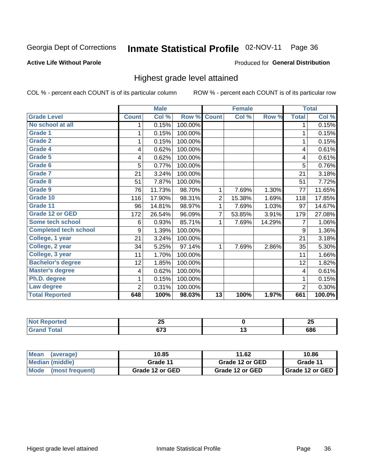# Inmate Statistical Profile 02-NOV-11 Page 36

#### **Active Life Without Parole**

#### Produced for General Distribution

### Highest grade level attained

COL % - percent each COUNT is of its particular column

|                              |                | <b>Male</b> |         |                 | <b>Female</b> |        |                | <b>Total</b> |
|------------------------------|----------------|-------------|---------|-----------------|---------------|--------|----------------|--------------|
| <b>Grade Level</b>           | <b>Count</b>   | Col %       | Row %   | <b>Count</b>    | Col %         | Row %  | <b>Total</b>   | Col %        |
| No school at all             | 1              | 0.15%       | 100.00% |                 |               |        | 1              | 0.15%        |
| <b>Grade 1</b>               |                | 0.15%       | 100.00% |                 |               |        | 1              | 0.15%        |
| <b>Grade 2</b>               | 1              | 0.15%       | 100.00% |                 |               |        | 1              | 0.15%        |
| <b>Grade 4</b>               | 4              | 0.62%       | 100.00% |                 |               |        | 4              | 0.61%        |
| Grade 5                      | 4              | 0.62%       | 100.00% |                 |               |        | 4              | 0.61%        |
| Grade 6                      | 5              | 0.77%       | 100.00% |                 |               |        | 5              | 0.76%        |
| <b>Grade 7</b>               | 21             | 3.24%       | 100.00% |                 |               |        | 21             | 3.18%        |
| <b>Grade 8</b>               | 51             | 7.87%       | 100.00% |                 |               |        | 51             | 7.72%        |
| <b>Grade 9</b>               | 76             | 11.73%      | 98.70%  | 1               | 7.69%         | 1.30%  | 77             | 11.65%       |
| Grade 10                     | 116            | 17.90%      | 98.31%  | $\overline{c}$  | 15.38%        | 1.69%  | 118            | 17.85%       |
| Grade 11                     | 96             | 14.81%      | 98.97%  | 1               | 7.69%         | 1.03%  | 97             | 14.67%       |
| <b>Grade 12 or GED</b>       | 172            | 26.54%      | 96.09%  | 7               | 53.85%        | 3.91%  | 179            | 27.08%       |
| <b>Some tech school</b>      | 6              | 0.93%       | 85.71%  | 1               | 7.69%         | 14.29% | 7              | 1.06%        |
| <b>Completed tech school</b> | 9              | 1.39%       | 100.00% |                 |               |        | 9              | 1.36%        |
| College, 1 year              | 21             | 3.24%       | 100.00% |                 |               |        | 21             | 3.18%        |
| College, 2 year              | 34             | 5.25%       | 97.14%  | 1               | 7.69%         | 2.86%  | 35             | 5.30%        |
| College, 3 year              | 11             | 1.70%       | 100.00% |                 |               |        | 11             | 1.66%        |
| <b>Bachelor's degree</b>     | 12             | 1.85%       | 100.00% |                 |               |        | 12             | 1.82%        |
| <b>Master's degree</b>       | 4              | 0.62%       | 100.00% |                 |               |        | 4              | 0.61%        |
| Ph.D. degree                 | 1              | 0.15%       | 100.00% |                 |               |        | 1              | 0.15%        |
| Law degree                   | $\overline{2}$ | 0.31%       | 100.00% |                 |               |        | $\overline{2}$ | 0.30%        |
| <b>Total Reported</b>        | 648            | 100%        | 98.03%  | $\overline{13}$ | 100%          | 1.97%  | 661            | 100.0%       |

| <b>REDORTED</b> | ሳሮ<br>ZJ | ሳር<br>~ |
|-----------------|----------|---------|
| ota             | ~70<br>u | 686     |

| <b>Mean</b><br>(average) | 10.85           | 11.62           | 10.86             |
|--------------------------|-----------------|-----------------|-------------------|
| <b>Median (middle)</b>   | Grade 11        | Grade 12 or GED | Grade 11          |
| Mode (most frequent)     | Grade 12 or GED | Grade 12 or GED | I Grade 12 or GED |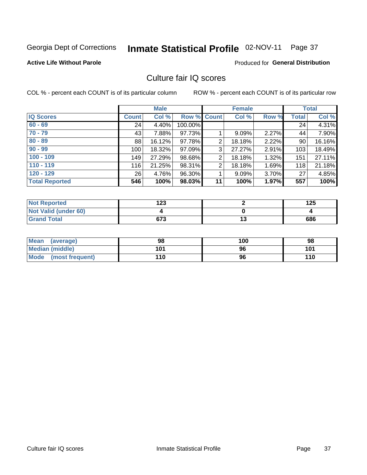# Inmate Statistical Profile 02-NOV-11 Page 37

#### **Active Life Without Parole**

#### Produced for General Distribution

## Culture fair IQ scores

COL % - percent each COUNT is of its particular column

|                       |              | <b>Male</b> |                    |                | <b>Female</b> |       |              | <b>Total</b> |
|-----------------------|--------------|-------------|--------------------|----------------|---------------|-------|--------------|--------------|
| <b>IQ Scores</b>      | <b>Count</b> | Col %       | <b>Row % Count</b> |                | Col %         | Row % | <b>Total</b> | Col %        |
| $60 - 69$             | 24           | 4.40%       | 100.00%            |                |               |       | 24           | 4.31%        |
| $70 - 79$             | 43           | 7.88%       | 97.73%             |                | 9.09%         | 2.27% | 44           | 7.90%        |
| $80 - 89$             | 88           | 16.12%      | 97.78%             | 2              | 18.18%        | 2.22% | 90           | 16.16%       |
| $90 - 99$             | 100          | 18.32%      | 97.09%             | 3              | 27.27%        | 2.91% | 103          | 18.49%       |
| $100 - 109$           | 149          | 27.29%      | 98.68%             | $\overline{2}$ | 18.18%        | 1.32% | 151          | 27.11%       |
| $110 - 119$           | 116          | 21.25%      | 98.31%             | $\overline{2}$ | 18.18%        | 1.69% | 118          | 21.18%       |
| $120 - 129$           | 26           | 4.76%       | 96.30%             |                | 9.09%         | 3.70% | 27           | 4.85%        |
| <b>Total Reported</b> | 546          | 100%        | 98.03%             | 11             | 100%          | 1.97% | 557          | 100%         |

| <b>Not Reported</b>         | 123 |    | 125 |
|-----------------------------|-----|----|-----|
| <b>Not Valid (under 60)</b> |     |    |     |
| <b>Grand Total</b>          | 673 | טו | 686 |

| <b>Mean</b><br>(average)       | 98  | 100 | 98  |
|--------------------------------|-----|-----|-----|
| <b>Median (middle)</b>         | 101 | 96  | 101 |
| <b>Mode</b><br>(most frequent) | 110 | 96  | 110 |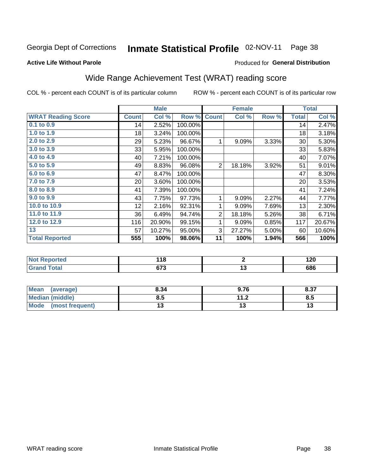#### Inmate Statistical Profile 02-NOV-11 Page 38

#### **Active Life Without Parole**

#### Produced for General Distribution

# Wide Range Achievement Test (WRAT) reading score

COL % - percent each COUNT is of its particular column

ROW % - percent each COUNT is of its particular row

|                           |              | <b>Male</b> |         |                | <b>Female</b> |       |              | <b>Total</b> |
|---------------------------|--------------|-------------|---------|----------------|---------------|-------|--------------|--------------|
| <b>WRAT Reading Score</b> | <b>Count</b> | Col %       | Row %   | <b>Count</b>   | Col %         | Row % | <b>Total</b> | Col %        |
| 0.1 to 0.9                | 14           | 2.52%       | 100.00% |                |               |       | 14           | 2.47%        |
| 1.0 to 1.9                | 18           | 3.24%       | 100.00% |                |               |       | 18           | 3.18%        |
| 2.0 to 2.9                | 29           | 5.23%       | 96.67%  | 1              | 9.09%         | 3.33% | 30           | 5.30%        |
| 3.0 to 3.9                | 33           | 5.95%       | 100.00% |                |               |       | 33           | 5.83%        |
| 4.0 to 4.9                | 40           | 7.21%       | 100.00% |                |               |       | 40           | 7.07%        |
| 5.0 to 5.9                | 49           | 8.83%       | 96.08%  | $\overline{2}$ | 18.18%        | 3.92% | 51           | 9.01%        |
| 6.0 to 6.9                | 47           | 8.47%       | 100.00% |                |               |       | 47           | 8.30%        |
| 7.0 to 7.9                | 20           | 3.60%       | 100.00% |                |               |       | 20           | 3.53%        |
| 8.0 to 8.9                | 41           | 7.39%       | 100.00% |                |               |       | 41           | 7.24%        |
| 9.0 to 9.9                | 43           | 7.75%       | 97.73%  | 1              | 9.09%         | 2.27% | 44           | 7.77%        |
| 10.0 to 10.9              | 12           | 2.16%       | 92.31%  | 1              | 9.09%         | 7.69% | 13           | 2.30%        |
| 11.0 to 11.9              | 36           | 6.49%       | 94.74%  | $\overline{2}$ | 18.18%        | 5.26% | 38           | 6.71%        |
| 12.0 to 12.9              | 116          | 20.90%      | 99.15%  | 1              | 9.09%         | 0.85% | 117          | 20.67%       |
| 13                        | 57           | 10.27%      | 95.00%  | 3              | 27.27%        | 5.00% | 60           | 10.60%       |
| <b>Total Reported</b>     | 555          | 100%        | 98.06%  | 11             | 100%          | 1.94% | 566          | 100%         |
|                           |              |             |         |                |               |       |              |              |
| <b>Not Reported</b>       |              | 118         |         |                | $\mathbf 2$   |       |              | 120          |
| <b>Grand Total</b>        |              | 673         |         |                | 13            |       |              | 686          |

| <b>Mean</b><br>(average)       | 8.34 | 9.76            | 8.37 |
|--------------------------------|------|-----------------|------|
| <b>Median (middle)</b>         | 8.5  | 11 <sub>2</sub> | Ծ.J  |
| <b>Mode</b><br>(most frequent) |      | ıw              | יי   |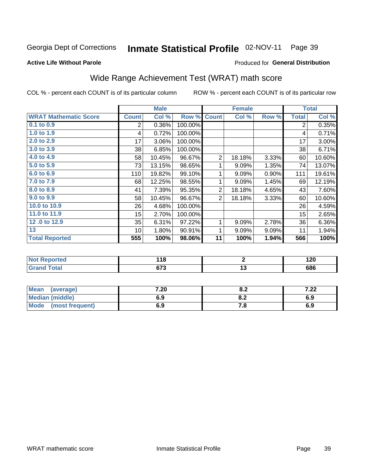#### Inmate Statistical Profile 02-NOV-11 Page 39

#### **Active Life Without Parole**

#### Produced for General Distribution

# Wide Range Achievement Test (WRAT) math score

COL % - percent each COUNT is of its particular column

|                              |                | <b>Male</b> |         |                | <b>Female</b>   |       |              | <b>Total</b> |
|------------------------------|----------------|-------------|---------|----------------|-----------------|-------|--------------|--------------|
| <b>WRAT Mathematic Score</b> | <b>Count</b>   | Col %       | Row %   | <b>Count</b>   | Col %           | Row % | <b>Total</b> | Col %        |
| $0.1$ to $0.9$               | $\overline{c}$ | 0.36%       | 100.00% |                |                 |       | 2            | 0.35%        |
| $1.0$ to 1.9                 | 4              | 0.72%       | 100.00% |                |                 |       | 4            | 0.71%        |
| 2.0 to 2.9                   | 17             | 3.06%       | 100.00% |                |                 |       | 17           | 3.00%        |
| 3.0 to 3.9                   | 38             | 6.85%       | 100.00% |                |                 |       | 38           | 6.71%        |
| 4.0 to 4.9                   | 58             | 10.45%      | 96.67%  | $\overline{2}$ | 18.18%          | 3.33% | 60           | 10.60%       |
| 5.0 to 5.9                   | 73             | 13.15%      | 98.65%  | 1              | 9.09%           | 1.35% | 74           | 13.07%       |
| 6.0 to 6.9                   | 110            | 19.82%      | 99.10%  | 1              | 9.09%           | 0.90% | 111          | 19.61%       |
| 7.0 to 7.9                   | 68             | 12.25%      | 98.55%  | 1              | 9.09%           | 1.45% | 69           | 12.19%       |
| 8.0 to 8.9                   | 41             | 7.39%       | 95.35%  | 2              | 18.18%          | 4.65% | 43           | 7.60%        |
| 9.0 to 9.9                   | 58             | 10.45%      | 96.67%  | $\overline{2}$ | 18.18%          | 3.33% | 60           | 10.60%       |
| 10.0 to 10.9                 | 26             | 4.68%       | 100.00% |                |                 |       | 26           | 4.59%        |
| 11.0 to 11.9                 | 15             | 2.70%       | 100.00% |                |                 |       | 15           | 2.65%        |
| 12.0 to 12.9                 | 35             | 6.31%       | 97.22%  | 1              | 9.09%           | 2.78% | 36           | $6.36\%$     |
| 13                           | 10             | 1.80%       | 90.91%  | 1              | 9.09%           | 9.09% | 11           | 1.94%        |
| <b>Total Reported</b>        | 555            | 100%        | 98.06%  | 11             | 100%            | 1.94% | 566          | 100%         |
|                              |                |             |         |                |                 |       |              |              |
| <b>Not Reported</b>          |                | 118         |         |                | $\mathbf 2$     |       |              | 120          |
| <b>Grand Total</b>           |                | 673         |         |                | $\overline{13}$ |       |              | 686          |

| Mean (average)         | 7.20 | о о<br>o.z | 2 ממ<br>$\mathcal{L}$ |
|------------------------|------|------------|-----------------------|
| <b>Median (middle)</b> | 6.9  | o.z        | 6.9                   |
| Mode (most frequent)   | 6.9  | 7. O       | 6.9                   |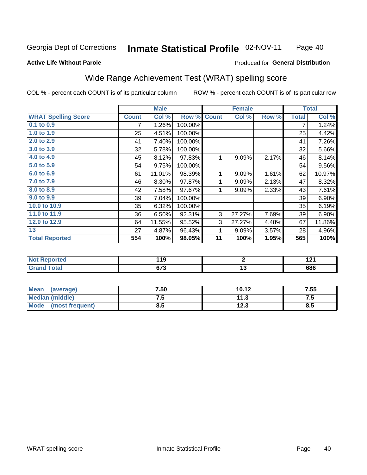#### Inmate Statistical Profile 02-NOV-11 Page 40

#### **Active Life Without Parole**

#### Produced for General Distribution

# Wide Range Achievement Test (WRAT) spelling score

COL % - percent each COUNT is of its particular column

|                            |              | <b>Male</b> |         |              | <b>Female</b>   |       |              | <b>Total</b> |
|----------------------------|--------------|-------------|---------|--------------|-----------------|-------|--------------|--------------|
| <b>WRAT Spelling Score</b> | <b>Count</b> | Col %       | Row %   | <b>Count</b> | Col %           | Row % | <b>Total</b> | Col %        |
| $0.1$ to $0.9$             | 7            | 1.26%       | 100.00% |              |                 |       | 7            | 1.24%        |
| 1.0 to 1.9                 | 25           | 4.51%       | 100.00% |              |                 |       | 25           | 4.42%        |
| 2.0 to 2.9                 | 41           | 7.40%       | 100.00% |              |                 |       | 41           | 7.26%        |
| 3.0 to 3.9                 | 32           | 5.78%       | 100.00% |              |                 |       | 32           | 5.66%        |
| 4.0 to 4.9                 | 45           | 8.12%       | 97.83%  | 1            | 9.09%           | 2.17% | 46           | 8.14%        |
| 5.0 to 5.9                 | 54           | 9.75%       | 100.00% |              |                 |       | 54           | 9.56%        |
| 6.0 to 6.9                 | 61           | 11.01%      | 98.39%  | 1            | 9.09%           | 1.61% | 62           | 10.97%       |
| 7.0 to 7.9                 | 46           | 8.30%       | 97.87%  | 1            | 9.09%           | 2.13% | 47           | 8.32%        |
| 8.0 to 8.9                 | 42           | 7.58%       | 97.67%  | 1            | 9.09%           | 2.33% | 43           | 7.61%        |
| 9.0 to 9.9                 | 39           | 7.04%       | 100.00% |              |                 |       | 39           | 6.90%        |
| 10.0 to 10.9               | 35           | 6.32%       | 100.00% |              |                 |       | 35           | 6.19%        |
| 11.0 to 11.9               | 36           | 6.50%       | 92.31%  | 3            | 27.27%          | 7.69% | 39           | 6.90%        |
| 12.0 to 12.9               | 64           | 11.55%      | 95.52%  | 3            | 27.27%          | 4.48% | 67           | 11.86%       |
| 13                         | 27           | 4.87%       | 96.43%  | 1            | 9.09%           | 3.57% | 28           | 4.96%        |
| <b>Total Reported</b>      | 554          | 100%        | 98.05%  | 11           | 100%            | 1.95% | 565          | 100%         |
|                            |              |             |         |              |                 |       |              |              |
| <b>Not Reported</b>        |              | 119         |         |              | $\mathbf{2}$    |       |              | 121          |
| <b>Grand Total</b>         |              | 673         |         |              | $\overline{13}$ |       |              | 686          |
|                            |              |             |         |              |                 |       |              |              |

| <b>Mean</b><br>(average) | 7.50 | 10.12         | 7.55 |
|--------------------------|------|---------------|------|
| Median (middle)          | ن. ا | 11 2<br>- 1.0 | ن. ، |
| Mode<br>(most frequent)  | ช.ว  | 12.3          | ၓ.Ე  |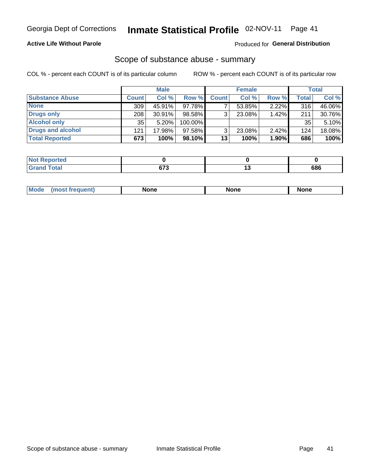### **Active Life Without Parole**

#### Produced for General Distribution

### Scope of substance abuse - summary

COL % - percent each COUNT is of its particular column

|                        |              | <b>Male</b> |           |              | <b>Female</b> |          |              | Total  |
|------------------------|--------------|-------------|-----------|--------------|---------------|----------|--------------|--------|
| <b>Substance Abuse</b> | <b>Count</b> | Col %       | Row %     | <b>Count</b> | Col %         | Row %    | <b>Total</b> | Col %  |
| <b>None</b>            | 309          | 45.91%      | 97.78%    |              | 53.85%        | $2.22\%$ | 316          | 46.06% |
| <b>Drugs only</b>      | 208          | 30.91%      | 98.58%    |              | 23.08%        | 1.42%    | 211          | 30.76% |
| <b>Alcohol only</b>    | 35           | $5.20\%$    | 100.00%   |              |               |          | 35           | 5.10%  |
| Drugs and alcohol      | 121          | 17.98%      | $97.58\%$ |              | 23.08%        | 2.42%    | 124          | 18.08% |
| <b>Total Reported</b>  | 673          | 100%        | 98.10%    | 13           | 100%          | 1.90%    | 686          | 100%   |

| <b>Reported</b><br>' Not     |     |     |
|------------------------------|-----|-----|
| <b>Total</b><br><b>Grand</b> | ~70 | 686 |

| Mode<br>None<br>None<br>None<br>quenu |
|---------------------------------------|
|---------------------------------------|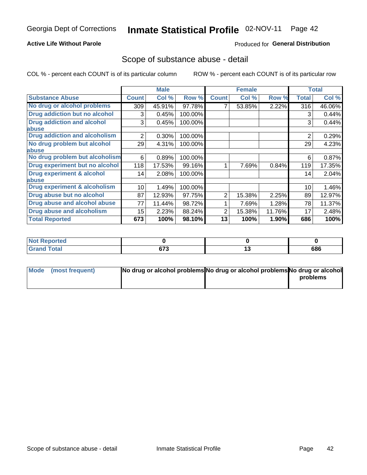### **Active Life Without Parole**

### **Produced for General Distribution**

### Scope of substance abuse - detail

COL % - percent each COUNT is of its particular column

|                                      |              | <b>Male</b> |         |              | <b>Female</b> |        |                | <b>Total</b> |
|--------------------------------------|--------------|-------------|---------|--------------|---------------|--------|----------------|--------------|
| <b>Substance Abuse</b>               | <b>Count</b> | Col %       | Row %   | <b>Count</b> | Col %         | Row %  | Total          | Col %        |
| No drug or alcohol problems          | 309          | 45.91%      | 97.78%  |              | 53.85%        | 2.22%  | 316            | 46.06%       |
| Drug addiction but no alcohol        | 3            | 0.45%       | 100.00% |              |               |        | 3              | 0.44%        |
| <b>Drug addiction and alcohol</b>    | 3            | 0.45%       | 100.00% |              |               |        | 3              | 0.44%        |
| abuse                                |              |             |         |              |               |        |                |              |
| <b>Drug addiction and alcoholism</b> | 2            | 0.30%       | 100.00% |              |               |        | $\overline{2}$ | 0.29%        |
| No drug problem but alcohol          | 29           | 4.31%       | 100.00% |              |               |        | 29             | 4.23%        |
| abuse                                |              |             |         |              |               |        |                |              |
| No drug problem but alcoholism       | 6            | 0.89%       | 100.00% |              |               |        | 6              | 0.87%        |
| Drug experiment but no alcohol       | 118          | 17.53%      | 99.16%  |              | 7.69%         | 0.84%  | 119            | 17.35%       |
| <b>Drug experiment &amp; alcohol</b> | 14           | 2.08%       | 100.00% |              |               |        | 14             | 2.04%        |
| abuse                                |              |             |         |              |               |        |                |              |
| Drug experiment & alcoholism         | 10           | 1.49%       | 100.00% |              |               |        | 10             | 1.46%        |
| Drug abuse but no alcohol            | 87           | 12.93%      | 97.75%  | 2            | 15.38%        | 2.25%  | 89             | 12.97%       |
| Drug abuse and alcohol abuse         | 77           | 11.44%      | 98.72%  |              | 7.69%         | 1.28%  | 78             | 11.37%       |
| <b>Drug abuse and alcoholism</b>     | 15           | 2.23%       | 88.24%  | 2            | 15.38%        | 11.76% | 17             | 2.48%        |
| <b>Total Reported</b>                | 673          | 100%        | 98.10%  | 13           | 100%          | 1.90%  | 686            | 100%         |

| ported               |              |    |     |
|----------------------|--------------|----|-----|
| <b>otal</b><br>_____ | ~70<br>u 1 J | יי | 686 |

| Mode (most frequent) | No drug or alcohol problems No drug or alcohol problems No drug or alcohol |          |
|----------------------|----------------------------------------------------------------------------|----------|
|                      |                                                                            | problems |
|                      |                                                                            |          |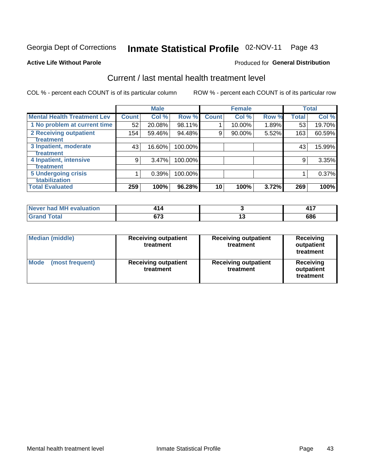# Inmate Statistical Profile 02-NOV-11 Page 43

#### **Active Life Without Parole**

#### Produced for General Distribution

# Current / last mental health treatment level

COL % - percent each COUNT is of its particular column

|                                    |              | <b>Male</b> |         |              | <b>Female</b> |       |              | <b>Total</b> |
|------------------------------------|--------------|-------------|---------|--------------|---------------|-------|--------------|--------------|
| <b>Mental Health Treatment Lev</b> | <b>Count</b> | Col %       | Row %   | <b>Count</b> | Col %         | Row % | <b>Total</b> | Col %        |
| 1 No problem at current time       | 52           | 20.08%      | 98.11%  |              | 10.00%        | 1.89% | 53           | 19.70%       |
| 2 Receiving outpatient             | 154          | 59.46%      | 94.48%  | 9            | 90.00%        | 5.52% | 163          | 60.59%       |
| <b>Treatment</b>                   |              |             |         |              |               |       |              |              |
| 3 Inpatient, moderate              | 43           | 16.60%      | 100.00% |              |               |       | 43           | 15.99%       |
| <b>Treatment</b>                   |              |             |         |              |               |       |              |              |
| 4 Inpatient, intensive             | 9            | 3.47%       | 100.00% |              |               |       | 9            | 3.35%        |
| Treatment                          |              |             |         |              |               |       |              |              |
| <b>5 Undergoing crisis</b>         |              | 0.39%       | 100.00% |              |               |       |              | 0.37%        |
| <b>stabilization</b>               |              |             |         |              |               |       |              |              |
| <b>Total Evaluated</b>             | 259          | 100%        | 96.28%  | 10           | 100%          | 3.72% | 269          | 100%         |

| Never had MH<br>evaluation |                    |            | .   |
|----------------------------|--------------------|------------|-----|
| $f$ atal                   | 070<br>37 J<br>- - | 1 v<br>$-$ | 686 |

| <b>Median (middle)</b>  | <b>Receiving outpatient</b><br>treatment | <b>Receiving outpatient</b><br>treatment | <b>Receiving</b><br>outpatient<br>treatment |  |
|-------------------------|------------------------------------------|------------------------------------------|---------------------------------------------|--|
| Mode<br>(most frequent) | <b>Receiving outpatient</b><br>treatment | <b>Receiving outpatient</b><br>treatment | <b>Receiving</b><br>outpatient<br>treatment |  |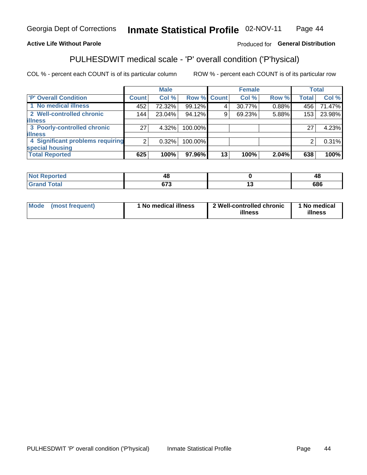#### Inmate Statistical Profile 02-NOV-11 Page 44

### **Active Life Without Parole**

### Produced for General Distribution

# PULHESDWIT medical scale - 'P' overall condition ('P'hysical)

COL % - percent each COUNT is of its particular column

|                                  |                 | <b>Male</b> |             |    | <b>Female</b> |       |              | <b>Total</b> |
|----------------------------------|-----------------|-------------|-------------|----|---------------|-------|--------------|--------------|
| 'P' Overall Condition            | Count l         | Col %       | Row % Count |    | Col %         | Row % | <b>Total</b> | Col %        |
| 1 No medical illness             | 452             | 72.32%      | 99.12%      |    | 30.77%        | 0.88% | 456          | 71.47%       |
| 2 Well-controlled chronic        | 144             | 23.04%      | 94.12%      | 9  | 69.23%        | 5.88% | 153          | 23.98%       |
| <b>illness</b>                   |                 |             |             |    |               |       |              |              |
| 3 Poorly-controlled chronic      | 27 <sup>1</sup> | $4.32\%$    | 100.00%     |    |               |       | 27           | 4.23%        |
| <b>illness</b>                   |                 |             |             |    |               |       |              |              |
| 4 Significant problems requiring | 2               | 0.32%       | 100.00%     |    |               |       | 2            | 0.31%        |
| special housing                  |                 |             |             |    |               |       |              |              |
| <b>Total Reported</b>            | 625             | 100%        | 97.96%      | 13 | 100%          | 2.04% | 638          | 100%         |

| ueo           |                | 4۲  |
|---------------|----------------|-----|
| <u>i</u> Utal | $\sim$<br>- 11 | 686 |

| <b>Mode</b> | (most frequent) | 1 No medical illness | 2 Well-controlled chronic<br>illness | 1 No medical<br>illness |
|-------------|-----------------|----------------------|--------------------------------------|-------------------------|
|-------------|-----------------|----------------------|--------------------------------------|-------------------------|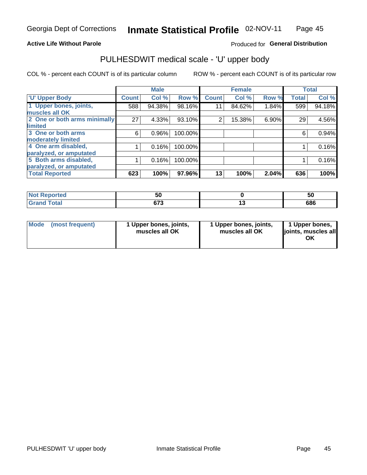#### **Active Life Without Parole**

### Produced for General Distribution

# PULHESDWIT medical scale - 'U' upper body

COL % - percent each COUNT is of its particular column

|                              |              | <b>Male</b> |         |              | <b>Female</b> |       |              | <b>Total</b> |
|------------------------------|--------------|-------------|---------|--------------|---------------|-------|--------------|--------------|
| <b>'U' Upper Body</b>        | <b>Count</b> | Col %       | Row %   | <b>Count</b> | Col %         | Row % | <b>Total</b> | Col %        |
| 1 Upper bones, joints,       | 588          | 94.38%      | 98.16%  | 11           | 84.62%        | 1.84% | 599          | 94.18%       |
| muscles all OK               |              |             |         |              |               |       |              |              |
| 2 One or both arms minimally | 27           | 4.33%       | 93.10%  | 2            | 15.38%        | 6.90% | 29           | 4.56%        |
| limited                      |              |             |         |              |               |       |              |              |
| 3 One or both arms           | 6            | 0.96%       | 100.00% |              |               |       | 6            | 0.94%        |
| moderately limited           |              |             |         |              |               |       |              |              |
| 4 One arm disabled,          |              | 0.16%       | 100.00% |              |               |       |              | 0.16%        |
| paralyzed, or amputated      |              |             |         |              |               |       |              |              |
| 5 Both arms disabled,        |              | 0.16%       | 100.00% |              |               |       |              | 0.16%        |
| paralyzed, or amputated      |              |             |         |              |               |       |              |              |
| <b>Total Reported</b>        | 623          | 100%        | 97.96%  | 13           | 100%          | 2.04% | 636          | 100%         |

| <b>Not Reported</b> | <u>JL</u>          | 50      |
|---------------------|--------------------|---------|
| <b>Grand Total</b>  | <b>C70</b><br>ט ונ | <br>686 |

|  | Mode (most frequent) | 1 Upper bones, joints,<br>muscles all OK | 1 Upper bones, joints,<br>muscles all OK | 1 Upper bones,<br>ljoints, muscles all<br>ΟK |
|--|----------------------|------------------------------------------|------------------------------------------|----------------------------------------------|
|--|----------------------|------------------------------------------|------------------------------------------|----------------------------------------------|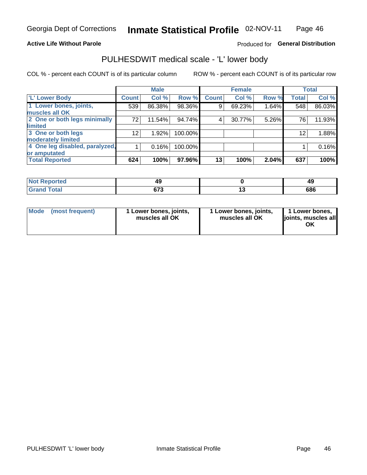#### **Active Life Without Parole**

Produced for General Distribution

# PULHESDWIT medical scale - 'L' lower body

COL % - percent each COUNT is of its particular column

|                                    | <b>Male</b> |              | <b>Female</b>                                             |       |              | <b>Total</b>   |
|------------------------------------|-------------|--------------|-----------------------------------------------------------|-------|--------------|----------------|
| <b>Count!</b>                      | Col %       | <b>Count</b> | Col %                                                     | Row % | <b>Total</b> | Col %          |
| 539                                | 86.38%      | 9            | 69.23%                                                    |       | 548          | 86.03%         |
|                                    |             |              |                                                           |       |              |                |
| 2 One or both legs minimally<br>72 | 11.54%      | 4            | 30.77%                                                    |       | 76           | 11.93%         |
|                                    |             |              |                                                           |       |              |                |
| 12                                 | 1.92%       |              |                                                           |       | 12           | 1.88%          |
|                                    |             |              |                                                           |       |              |                |
| 4 One leg disabled, paralyzed,     | 0.16%       |              |                                                           |       |              | 0.16%          |
|                                    |             |              |                                                           |       |              |                |
| 624                                | 100%        | 13           | 100%                                                      | 2.04% | 637          | 100%           |
|                                    |             |              | Row %<br>98.36%<br>94.74%<br>100.00%<br>100.00%<br>97.96% |       |              | 1.64%<br>5.26% |

| <b>Not Reported</b> |           | 49  |
|---------------------|-----------|-----|
| <b>Grand Total</b>  | ~70<br>۰. | 686 |

| Mode | (most frequent) | 1 Lower bones, joints,<br>muscles all OK | 1 Lower bones, joints,<br>muscles all OK | 1 Lower bones,<br>ljoints, muscles all<br>OK |
|------|-----------------|------------------------------------------|------------------------------------------|----------------------------------------------|
|------|-----------------|------------------------------------------|------------------------------------------|----------------------------------------------|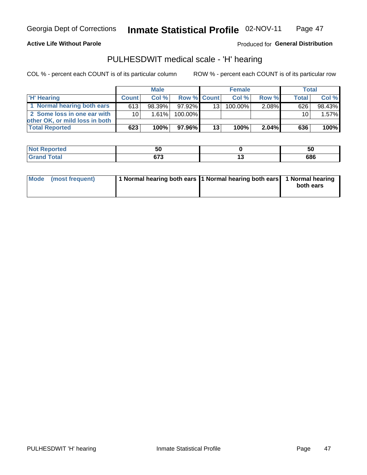**Active Life Without Parole** 

Produced for General Distribution

## PULHESDWIT medical scale - 'H' hearing

COL % - percent each COUNT is of its particular column

|                                |                 | <b>Male</b> |                    |     | <b>Female</b> |          | <b>Total</b> |        |
|--------------------------------|-----------------|-------------|--------------------|-----|---------------|----------|--------------|--------|
| 'H' Hearing                    | <b>Count</b>    | Col%        | <b>Row % Count</b> |     | Col%          | Row %    | <b>Total</b> | Col %  |
| 1 Normal hearing both ears     | 613             | 98.39%      | 97.92%             | 131 | $100.00\%$    | 2.08%    | 626          | 98.43% |
| 2 Some loss in one ear with    | 10 <sub>1</sub> | 1.61%       | 100.00%            |     |               |          | 10           | 1.57%  |
| other OK, or mild loss in both |                 |             |                    |     |               |          |              |        |
| <b>Total Reported</b>          | 623             | 100%        | 97.96%             | 13  | 100%          | $2.04\%$ | 636          | 100%   |

| m | - -<br>v<br>$ -$ |        | ວບ  |
|---|------------------|--------|-----|
|   | $\sim$<br>$ -$   | $\sim$ | 686 |

|  | Mode (most frequent) | 1 Normal hearing both ears 1 Normal hearing both ears 1 Normal hearing |  | both ears |
|--|----------------------|------------------------------------------------------------------------|--|-----------|
|--|----------------------|------------------------------------------------------------------------|--|-----------|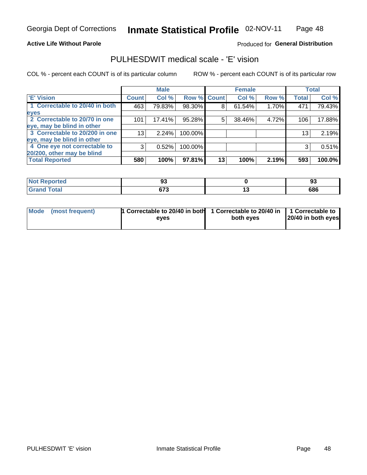#### **Active Life Without Parole**

#### Produced for General Distribution

## PULHESDWIT medical scale - 'E' vision

COL % - percent each COUNT is of its particular column

|                                |                 | <b>Male</b> |             |    | <b>Female</b> |       |              | <b>Total</b> |
|--------------------------------|-----------------|-------------|-------------|----|---------------|-------|--------------|--------------|
| <b>E' Vision</b>               | <b>Count</b>    | Col %       | Row % Count |    | Col %         | Row % | <b>Total</b> | Col %        |
| 1 Correctable to 20/40 in both | 463             | 79.83%      | 98.30%      | 8  | 61.54%        | 1.70% | 471          | 79.43%       |
| eyes                           |                 |             |             |    |               |       |              |              |
| 2 Correctable to 20/70 in one  | 101             | 17.41%      | 95.28%      | 5  | 38.46%        | 4.72% | 106          | 17.88%       |
| eye, may be blind in other     |                 |             |             |    |               |       |              |              |
| 3 Correctable to 20/200 in one | 13 <sub>1</sub> | $2.24\%$    | 100.00%     |    |               |       | 13           | 2.19%        |
| eye, may be blind in other     |                 |             |             |    |               |       |              |              |
| 4 One eye not correctable to   | 3               | 0.52%       | 100.00%     |    |               |       | 3            | 0.51%        |
| 20/200, other may be blind     |                 |             |             |    |               |       |              |              |
| <b>Total Reported</b>          | 580             | 100%        | 97.81%      | 13 | 100%          | 2.19% | 593          | 100.0%       |

| <b>Not Reported</b> | ◡                   |     | n.<br><br>ີ |
|---------------------|---------------------|-----|-------------|
| Total               | <b>C70</b><br>v 1 J | . . | 686         |

| Mode (most frequent) | <sup>1</sup> Correctable to 20/40 in both 1 Correctable to 20/40 in 1 Correctable to<br>eves | both eyes | 20/40 in both eyes |
|----------------------|----------------------------------------------------------------------------------------------|-----------|--------------------|
|                      |                                                                                              |           |                    |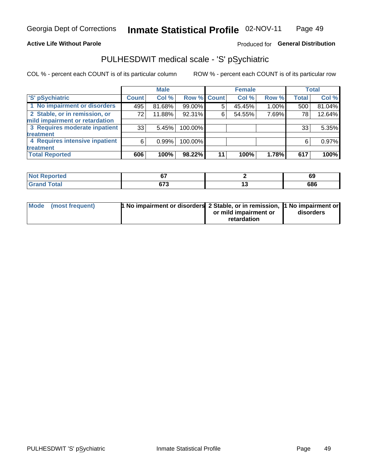#### **Active Life Without Parole**

### Produced for General Distribution

# PULHESDWIT medical scale - 'S' pSychiatric

COL % - percent each COUNT is of its particular column

|                                |              | <b>Male</b> |                    |    | <b>Female</b> |       |              | Total  |
|--------------------------------|--------------|-------------|--------------------|----|---------------|-------|--------------|--------|
| 'S' pSychiatric                | <b>Count</b> | Col %       | <b>Row % Count</b> |    | Col %         | Row % | <b>Total</b> | Col %  |
| 1 No impairment or disorders   | 495          | 81.68%      | 99.00%             | 5  | 45.45%        | 1.00% | 500          | 81.04% |
| 2 Stable, or in remission, or  | 72           | 11.88%      | 92.31%             | 6  | 54.55%        | 7.69% | 78           | 12.64% |
| mild impairment or retardation |              |             |                    |    |               |       |              |        |
| 3 Requires moderate inpatient  | 33           | 5.45%       | 100.00%            |    |               |       | 33           | 5.35%  |
| treatment                      |              |             |                    |    |               |       |              |        |
| 4 Requires intensive inpatient | 6            | 0.99%       | 100.00%            |    |               |       | 6            | 0.97%  |
| treatment                      |              |             |                    |    |               |       |              |        |
| <b>Total Reported</b>          | 606          | 100%        | 98.22%             | 11 | 100%          | 1.78% | 617          | 100%   |

| med | $\sim$<br>v.       | - 1<br>৩১ |
|-----|--------------------|-----------|
|     | ~70<br>נ וט<br>- - | 686       |

| Mode (most frequent) | <sup>1</sup> No impairment or disorders 2 Stable, or in remission, <sup>1</sup> No impairment or |                       |           |
|----------------------|--------------------------------------------------------------------------------------------------|-----------------------|-----------|
|                      |                                                                                                  | or mild impairment or | disorders |
|                      |                                                                                                  | retardation           |           |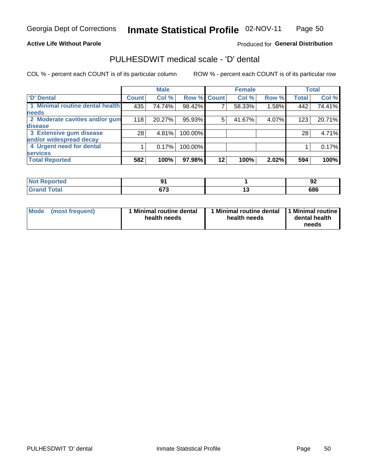### **Active Life Without Parole**

### Produced for General Distribution

## PULHESDWIT medical scale - 'D' dental

COL % - percent each COUNT is of its particular column

|                                 |                 | <b>Male</b> |             |    | <b>Female</b> |       |              | <b>Total</b> |
|---------------------------------|-----------------|-------------|-------------|----|---------------|-------|--------------|--------------|
| <b>D'</b> Dental                | <b>Count</b>    | Col %       | Row % Count |    | Col %         | Row % | <b>Total</b> | Col %        |
| 1 Minimal routine dental health | 435             | 74.74%      | 98.42%      |    | 58.33%        | 1.58% | 442          | 74.41%       |
| <b>needs</b>                    |                 |             |             |    |               |       |              |              |
| 2 Moderate cavities and/or gum  | 118             | 20.27%      | 95.93%      | 5  | 41.67%        | 4.07% | 123          | 20.71%       |
| disease                         |                 |             |             |    |               |       |              |              |
| 3 Extensive gum disease         | 28 <sub>1</sub> | 4.81%       | 100.00%     |    |               |       | 28           | 4.71%        |
| and/or widespread decay         |                 |             |             |    |               |       |              |              |
| 4 Urgent need for dental        |                 | 0.17%       | 100.00%     |    |               |       |              | 0.17%        |
| <b>services</b>                 |                 |             |             |    |               |       |              |              |
| <b>Total Reported</b>           | 582             | 100%        | 97.98%      | 12 | 100%          | 2.02% | 594          | 100%         |

| <b>Construction Construction</b><br>rtea<br>w.<br>. |     |    | . .<br>◡ |
|-----------------------------------------------------|-----|----|----------|
| $F0+0$                                              | ~70 | __ | 686      |

| <b>Mode</b> | (most frequent) | Minimal routine dental<br>health needs | 1 Minimal routine dental 11 Minimal routine<br>health needs | dental health<br>needs |
|-------------|-----------------|----------------------------------------|-------------------------------------------------------------|------------------------|
|-------------|-----------------|----------------------------------------|-------------------------------------------------------------|------------------------|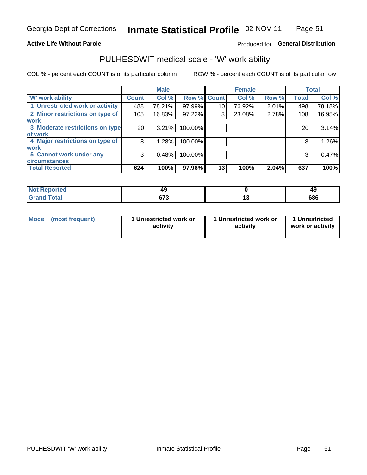#### **Active Life Without Parole**

### Produced for General Distribution

## PULHESDWIT medical scale - 'W' work ability

COL % - percent each COUNT is of its particular column

|                                 |                 | <b>Male</b> |         |             | <b>Female</b> |       |              | <b>Total</b> |
|---------------------------------|-----------------|-------------|---------|-------------|---------------|-------|--------------|--------------|
| <b>W' work ability</b>          | <b>Count</b>    | Col %       |         | Row % Count | Col %         | Row % | <b>Total</b> | Col %        |
| 1 Unrestricted work or activity | 488             | 78.21%      | 97.99%  | 10          | 76.92%        | 2.01% | 498          | 78.18%       |
| 2 Minor restrictions on type of | 105             | 16.83%      | 97.22%  | 3           | 23.08%        | 2.78% | 108          | 16.95%       |
| <b>work</b>                     |                 |             |         |             |               |       |              |              |
| 3 Moderate restrictions on type | 20 <sub>1</sub> | 3.21%       | 100.00% |             |               |       | 20           | 3.14%        |
| of work                         |                 |             |         |             |               |       |              |              |
| 4 Major restrictions on type of | 8               | 1.28%       | 100.00% |             |               |       | 8            | 1.26%        |
| <b>work</b>                     |                 |             |         |             |               |       |              |              |
| 5 Cannot work under any         | 3               | 0.48%       | 100.00% |             |               |       | 3            | 0.47%        |
| <b>circumstances</b>            |                 |             |         |             |               |       |              |              |
| <b>Total Reported</b>           | 624             | 100%        | 97.96%  | 13          | 100%          | 2.04% | 637          | 100%         |

| <b>Not Reported</b> | л.                  | 49  |
|---------------------|---------------------|-----|
| <b>Grand Total</b>  | <b>C70</b><br>v 1 J | 686 |

| <b>Mode</b> | (most frequent) | 1 Unrestricted work or<br>activity | 1 Unrestricted work or<br>activity | 1 Unrestricted<br>work or activity |
|-------------|-----------------|------------------------------------|------------------------------------|------------------------------------|
|-------------|-----------------|------------------------------------|------------------------------------|------------------------------------|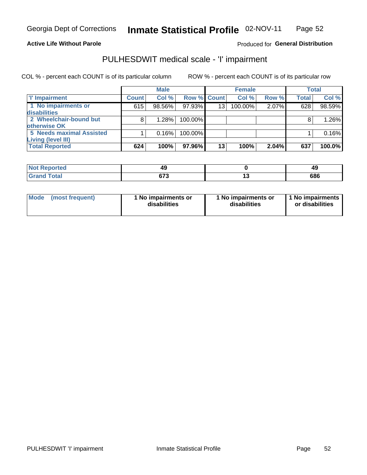**Active Life Without Parole** 

Produced for General Distribution

# PULHESDWIT medical scale - 'I' impairment

|                          |              | <b>Male</b> |                    |                 | <b>Female</b> |          |              | <b>Total</b> |
|--------------------------|--------------|-------------|--------------------|-----------------|---------------|----------|--------------|--------------|
| 'I' Impairment           | <b>Count</b> | Col %       | <b>Row % Count</b> |                 | Col %         | Row %    | <b>Total</b> | Col %        |
| 1 No impairments or      | 615          | 98.56%      | 97.93%             | 13 <sub>1</sub> | 100.00%       | 2.07%    | 628          | 98.59%       |
| disabilities             |              |             |                    |                 |               |          |              |              |
| 2 Wheelchair-bound but   | 8            | 1.28%       | 100.00%            |                 |               |          |              | 1.26%        |
| otherwise OK             |              |             |                    |                 |               |          |              |              |
| 5 Needs maximal Assisted |              | 0.16%       | 100.00%            |                 |               |          |              | 0.16%        |
| Living (level III)       |              |             |                    |                 |               |          |              |              |
| <b>Total Reported</b>    | 624          | 100%        | 97.96%I            | 13              | 100%          | $2.04\%$ | 637          | 100.0%       |

| <b>Not Reported</b> | 40<br>т.       | 45  |
|---------------------|----------------|-----|
| <b>otal</b>         | $\sim$<br>נו ו | 686 |

| <b>Mode</b>     | 1 No impairments or | 1 No impairments or | 1 1 No impairments |
|-----------------|---------------------|---------------------|--------------------|
| (most frequent) | disabilities        | disabilities        | or disabilities    |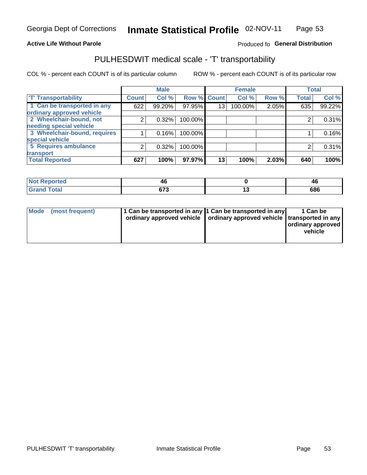#### **Active Life Without Parole**

#### Produced fo General Distribution

# PULHESDWIT medical scale - 'T' transportability

COL % - percent each COUNT is of its particular column

|                              |              | <b>Male</b> |         |             | <b>Female</b> |       |              | <b>Total</b> |
|------------------------------|--------------|-------------|---------|-------------|---------------|-------|--------------|--------------|
| <b>T' Transportability</b>   | <b>Count</b> | Col %       |         | Row % Count | Col %         | Row % | <b>Total</b> | Col %        |
| 1 Can be transported in any  | 622          | 99.20%      | 97.95%  | 13          | 100.00%       | 2.05% | 635          | 99.22%       |
| ordinary approved vehicle    |              |             |         |             |               |       |              |              |
| 2 Wheelchair-bound, not      | 2            | 0.32%       | 100.00% |             |               |       |              | 0.31%        |
| needing special vehicle      |              |             |         |             |               |       |              |              |
| 3 Wheelchair-bound, requires |              | 0.16%       | 100.00% |             |               |       |              | 0.16%        |
| special vehicle              |              |             |         |             |               |       |              |              |
| 5 Requires ambulance         | 2            | 0.32%       | 100.00% |             |               |       |              | 0.31%        |
| transport                    |              |             |         |             |               |       |              |              |
| <b>Total Reported</b>        | 627          | 100%        | 97.97%  | 13          | 100%          | 2.03% | 640          | 100%         |

| ported<br>- 131 | 4Ο           | ⁄1 I<br>≖ч |
|-----------------|--------------|------------|
|                 | ~70<br>u 1 J | 686        |

| <b>Mode</b> | (most frequent) | 1 Can be transported in any 1 Can be transported in any | ordinary approved vehicle   ordinary approved vehicle   transported in any | 1 Can be<br>  ordinary approved  <br>vehicle |
|-------------|-----------------|---------------------------------------------------------|----------------------------------------------------------------------------|----------------------------------------------|
|-------------|-----------------|---------------------------------------------------------|----------------------------------------------------------------------------|----------------------------------------------|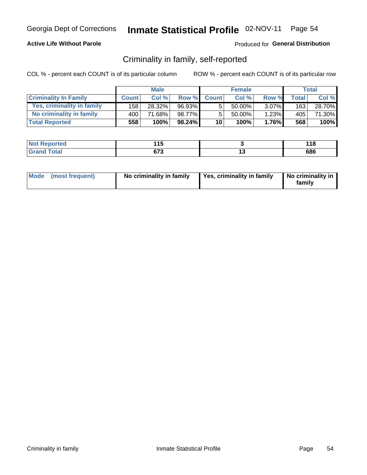### **Active Life Without Parole**

### Produced for General Distribution

## Criminality in family, self-reported

COL % - percent each COUNT is of its particular column

|                              |              | <b>Male</b> |           |                 | <b>Female</b> |          |       | Total  |
|------------------------------|--------------|-------------|-----------|-----------------|---------------|----------|-------|--------|
| <b>Criminality In Family</b> | <b>Count</b> | Col %       | Row %     | <b>Count</b>    | Col %         | Row %    | Total | Col %  |
| Yes, criminality in family   | 158 l        | 28.32%      | 96.93%    | 5               | 50.00%        | $3.07\%$ | 163   | 28.70% |
| No criminality in family     | 400'         | 71.68%      | 98.77%    | 5               | $50.00\%$     | 1.23%    | 405   | 71.30% |
| <b>Total Reported</b>        | 558          | 100%        | $98.24\%$ | 10 <sub>1</sub> | 100%          | 1.76%    | 568   | 100%   |

| Reported<br>' NOT | - -<br>             | 118 |
|-------------------|---------------------|-----|
| <b>otal</b>       | <b>C70</b><br>0 I J | 686 |

|  | Mode (most frequent) | No criminality in family | Yes, criminality in family | No criminality in<br>family |
|--|----------------------|--------------------------|----------------------------|-----------------------------|
|--|----------------------|--------------------------|----------------------------|-----------------------------|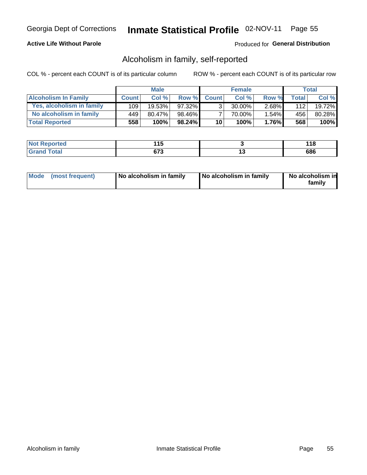### **Active Life Without Parole**

### Produced for General Distribution

## Alcoholism in family, self-reported

COL % - percent each COUNT is of its particular column

|                             |              | <b>Male</b> |        |                 | <b>Female</b> |          |       | Total  |
|-----------------------------|--------------|-------------|--------|-----------------|---------------|----------|-------|--------|
| <b>Alcoholism In Family</b> | <b>Count</b> | Col%        | Row %  | <b>Count</b>    | Col %         | Row %    | Total | Col %  |
| Yes, alcoholism in family   | 109          | $19.53\%$   | 97.32% | વ               | 30.00%        | $2.68\%$ | 112   | 19.72% |
| No alcoholism in family     | 449          | 80.47%      | 98.46% |                 | 70.00%        | $1.54\%$ | 456   | 80.28% |
| <b>Total Reported</b>       | 558          | 100%        | 98.24% | 10 <sup>1</sup> | 100%          | $1.76\%$ | 568   | 100%   |

| <b>Not Reported</b>     | 1 A C<br>- 1   |     | . IU |
|-------------------------|----------------|-----|------|
| <b>Total</b><br>' Grano | $\sim$<br>נ וט | . v | 686  |

|  | Mode (most frequent) | No alcoholism in family | No alcoholism in family | No alcoholism in<br>family |
|--|----------------------|-------------------------|-------------------------|----------------------------|
|--|----------------------|-------------------------|-------------------------|----------------------------|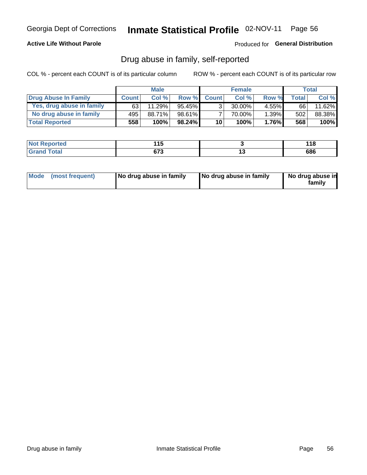### **Active Life Without Parole**

Produced for General Distribution

## Drug abuse in family, self-reported

COL % - percent each COUNT is of its particular column

|                           |              | <b>Male</b> |           |                 | <b>Female</b> |          |       | Total  |
|---------------------------|--------------|-------------|-----------|-----------------|---------------|----------|-------|--------|
| Drug Abuse In Family      | <b>Count</b> | Col %       | Row %     | <b>Count</b>    | Col%          | Row %    | Total | Col %  |
| Yes, drug abuse in family | 63           | 11.29%      | 95.45%    | 3 <sub>1</sub>  | $30.00\%$     | $4.55\%$ | 66    | 11.62% |
| No drug abuse in family   | 495          | 88.71%      | 98.61%    | 7               | 70.00%        | 1.39%    | 502   | 88.38% |
| <b>Total Reported</b>     | 558          | 100%        | $98.24\%$ | 10 <sub>1</sub> | 100%          | $1.76\%$ | 568   | 100%   |

| <b>Not Reported</b>     | 1 A C<br>- 1   |     | . IU |
|-------------------------|----------------|-----|------|
| <b>Total</b><br>' Grano | $\sim$<br>נ וט | . v | 686  |

|  | Mode (most frequent) | No drug abuse in family | No drug abuse in family | No drug abuse in<br>family |
|--|----------------------|-------------------------|-------------------------|----------------------------|
|--|----------------------|-------------------------|-------------------------|----------------------------|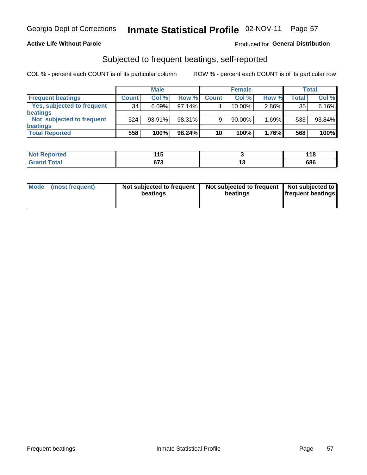### **Active Life Without Parole**

#### Produced for General Distribution

## Subjected to frequent beatings, self-reported

COL % - percent each COUNT is of its particular column

|                                   |              | <b>Male</b> |           |              | <b>Female</b> |       |       | Total  |
|-----------------------------------|--------------|-------------|-----------|--------------|---------------|-------|-------|--------|
| <b>Frequent beatings</b>          | <b>Count</b> | Col %       | Row %     | <b>Count</b> | Col %         | Row % | Total | Col %  |
| <b>Yes, subjected to frequent</b> | 34           | 6.09%       | 97.14%    |              | 10.00%        | 2.86% | 35    | 6.16%  |
| <b>beatings</b>                   |              |             |           |              |               |       |       |        |
| Not subjected to frequent         | 524          | 93.91%      | 98.31%    | 9            | 90.00%        | 1.69% | 533   | 93.84% |
| <b>beatings</b>                   |              |             |           |              |               |       |       |        |
| <b>Total Reported</b>             | 558          | 100%        | $98.24\%$ | 10           | 100%          | 1.76% | 568   | 100%   |

| <b>Not Reported</b> | . .         |     | 440<br>. |
|---------------------|-------------|-----|----------|
| <b>Total</b>        | 070<br>נ וכ | . . | 686      |

| (most frequent)<br>Not subjected to frequent<br><b>Mode</b><br>beatings | Not subjected to frequent   Not subjected to<br>beatings | <b>frequent beatings</b> |
|-------------------------------------------------------------------------|----------------------------------------------------------|--------------------------|
|-------------------------------------------------------------------------|----------------------------------------------------------|--------------------------|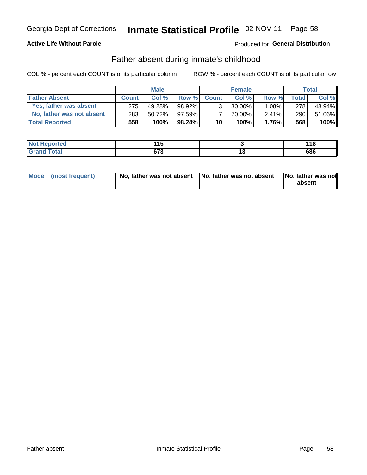### **Active Life Without Parole**

### **Produced for General Distribution**

## Father absent during inmate's childhood

COL % - percent each COUNT is of its particular column

|                           | <b>Male</b>  |        | <b>Female</b> |                 |           | Total    |         |         |
|---------------------------|--------------|--------|---------------|-----------------|-----------|----------|---------|---------|
| <b>Father Absent</b>      | <b>Count</b> | Col%   | Row %         | <b>Count</b>    | Col %     | Row %    | Total i | Col %   |
| Yes, father was absent    | 275          | 49.28% | 98.92%        | 3 <sub>1</sub>  | $30.00\%$ | $1.08\%$ | 278     | 48.94%  |
| No, father was not absent | 283          | 50.72% | $97.59\%$     |                 | 70.00%    | $2.41\%$ | 290     | 51.06%  |
| <b>Total Reported</b>     | 558          | 100%   | $98.24\%$     | 10 <sup>1</sup> | 100%      | $1.76\%$ | 568     | $100\%$ |

| <b>Not Reported</b>     | .<br>יי     | 440<br>. I C |
|-------------------------|-------------|--------------|
| <b>Total</b><br>' Grand | ~70<br>נ וט | 686          |

|  | Mode (most frequent) | No, father was not absent No, father was not absent |  | No, father was not<br>absent |
|--|----------------------|-----------------------------------------------------|--|------------------------------|
|--|----------------------|-----------------------------------------------------|--|------------------------------|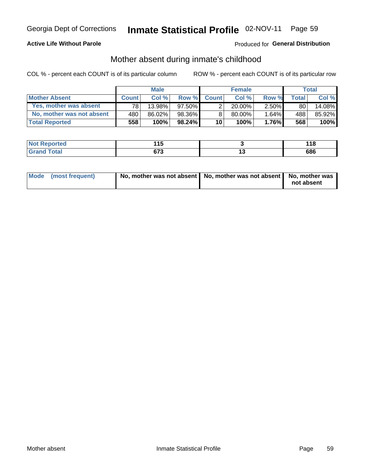### **Active Life Without Parole**

### **Produced for General Distribution**

## Mother absent during inmate's childhood

COL % - percent each COUNT is of its particular column

|                           |              | <b>Male</b> |           |                 | <b>Female</b> |          |              | Total  |
|---------------------------|--------------|-------------|-----------|-----------------|---------------|----------|--------------|--------|
| <b>Mother Absent</b>      | <b>Count</b> | Col%        | Row %     | <b>Count</b>    | Col%          | Row %    | <b>Total</b> | Col %  |
| Yes, mother was absent    | 781          | 13.98%      | $97.50\%$ | 2               | $20.00\%$     | $2.50\%$ | 80           | 14.08% |
| No, mother was not absent | 480          | 86.02%      | 98.36%    | 8               | 80.00%        | 1.64%    | 488          | 85.92% |
| <b>Total Reported</b>     | 558          | 100%        | $98.24\%$ | 10 <sup>1</sup> | 100%          | $1.76\%$ | 568          | 100%   |

| <b>Not</b><br>Reported | . .<br>. .  |     | 118 |
|------------------------|-------------|-----|-----|
| <b>otal</b><br>_______ | ~70<br>ખા ડ | $-$ | 686 |

| Mode (most frequent) | No, mother was not absent   No, mother was not absent   No, mother was | not absent |
|----------------------|------------------------------------------------------------------------|------------|
|----------------------|------------------------------------------------------------------------|------------|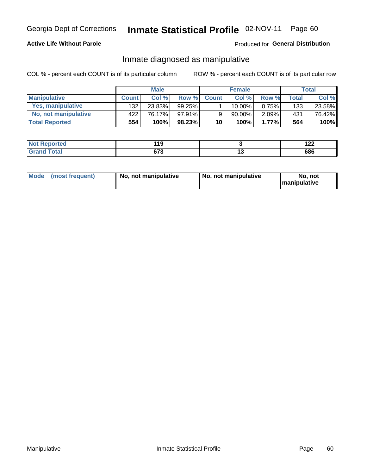### **Active Life Without Parole**

### Produced for General Distribution

## Inmate diagnosed as manipulative

COL % - percent each COUNT is of its particular column

|                          | <b>Male</b>  |        | <b>Female</b> |                 |             | Total |              |        |
|--------------------------|--------------|--------|---------------|-----------------|-------------|-------|--------------|--------|
| <b>Manipulative</b>      | <b>Count</b> | Col %  | Row %         | <b>Count</b>    | Col %       | Row % | <b>Total</b> | Col %  |
| <b>Yes, manipulative</b> | 132          | 23.83% | $99.25\%$     |                 | $10.00\%$ . | 0.75% | 133          | 23.58% |
| No, not manipulative     | 422          | 76.17% | $97.91\%$     | 9               | 90.00%      | 2.09% | 431          | 76.42% |
| <b>Total Reported</b>    | 554          | 100%   | $98.23\%$     | 10 <sup>1</sup> | 100%        | 1.77% | 564          | 100%   |

| <b>Not Reported</b>   | 440<br>. .          |     | י ה<br>'''' |
|-----------------------|---------------------|-----|-------------|
| 「otal<br><b>Grano</b> | <b>C70</b><br>0 I J | . . | 686         |

|  | Mode (most frequent) | No, not manipulative | No, not manipulative | No. not<br><b>I</b> manipulative |
|--|----------------------|----------------------|----------------------|----------------------------------|
|--|----------------------|----------------------|----------------------|----------------------------------|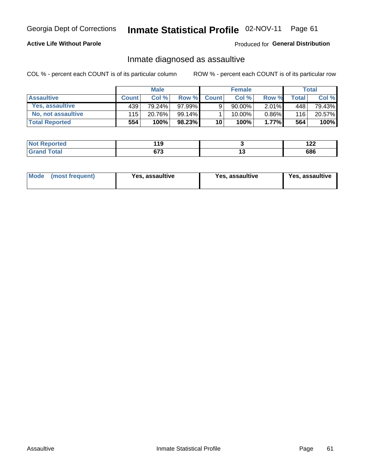# Inmate Statistical Profile 02-NOV-11 Page 61

### **Active Life Without Parole**

Produced for General Distribution

## Inmate diagnosed as assaultive

COL % - percent each COUNT is of its particular column

|                       | <b>Male</b>  |        | <b>Female</b> |              |        | Total    |       |        |
|-----------------------|--------------|--------|---------------|--------------|--------|----------|-------|--------|
| <b>Assaultive</b>     | <b>Count</b> | Col%   | Row %         | <b>Count</b> | Col%   | Row %    | Total | Col %  |
| Yes, assaultive       | 439          | 79.24% | $97.99\%$     | 9            | 90.00% | $2.01\%$ | 448   | 79.43% |
| No, not assaultive    | 115          | 20.76% | 99.14%        |              | 10.00% | $0.86\%$ | 116   | 20.57% |
| <b>Total Reported</b> | 554          | 100%   | 98.23%        | 10           | 100%   | $1.77\%$ | 564   | 100%   |

| <b>Not</b><br>Reported | 440<br>טו   |    | $\sim$<br>17L |
|------------------------|-------------|----|---------------|
| <b>Total</b>           | 070<br>נ וט | ıJ | 686           |

| Mode (most frequent)<br>Yes, assaultive | Yes, assaultive | <b>Yes, assaultive</b> |
|-----------------------------------------|-----------------|------------------------|
|-----------------------------------------|-----------------|------------------------|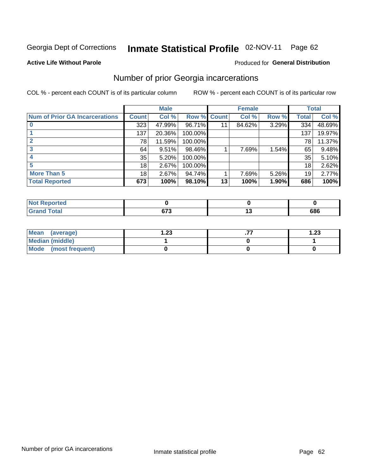#### Inmate Statistical Profile 02-NOV-11 Page 62

#### **Active Life Without Parole**

#### Produced for General Distribution

## Number of prior Georgia incarcerations

COL % - percent each COUNT is of its particular column

|                                       |              | <b>Male</b> |                    |    | <b>Female</b> |       |       | <b>Total</b> |
|---------------------------------------|--------------|-------------|--------------------|----|---------------|-------|-------|--------------|
| <b>Num of Prior GA Incarcerations</b> | <b>Count</b> | Col %       | <b>Row % Count</b> |    | Col %         | Row % | Total | Col %        |
|                                       | 323          | 47.99%      | 96.71%             | 11 | 84.62%        | 3.29% | 334   | 48.69%       |
|                                       | 137          | 20.36%      | 100.00%            |    |               |       | 137   | 19.97%       |
|                                       | 78           | 11.59%      | 100.00%            |    |               |       | 78    | 11.37%       |
|                                       | 64           | 9.51%       | 98.46%             |    | 7.69%         | 1.54% | 65    | 9.48%        |
|                                       | 35           | 5.20%       | 100.00%            |    |               |       | 35    | 5.10%        |
|                                       | 18           | 2.67%       | 100.00%            |    |               |       | 18    | 2.62%        |
| <b>More Than 5</b>                    | 18           | 2.67%       | 94.74%             |    | 7.69%         | 5.26% | 19    | 2.77%        |
| <b>Total Reported</b>                 | 673          | 100%        | 98.10%             | 13 | 100%          | 1.90% | 686   | 100%         |

| A (÷IO)     |                |     |
|-------------|----------------|-----|
| <b>otal</b> | ^¬^<br>$\cdot$ | 686 |

| Mean (average)       | 1.23 | 1.23 |
|----------------------|------|------|
| Median (middle)      |      |      |
| Mode (most frequent) |      |      |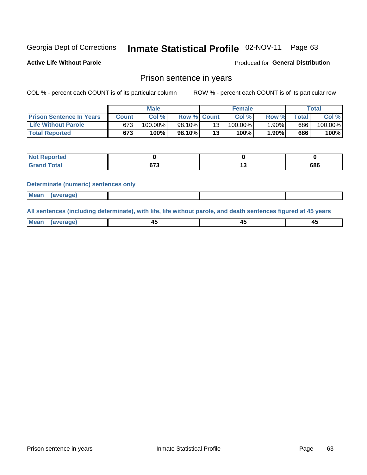#### Inmate Statistical Profile 02-NOV-11 Page 63

**Active Life Without Parole** 

Produced for General Distribution

### Prison sentence in years

COL % - percent each COUNT is of its particular column

ROW % - percent each COUNT is of its particular row

|                                 |         | <b>Male</b> |                    |                 | <b>Female</b> |       |             | Total   |
|---------------------------------|---------|-------------|--------------------|-----------------|---------------|-------|-------------|---------|
| <b>Prison Sentence In Years</b> | Count l | Col %       | <b>Row % Count</b> |                 | Col %         | Row % | $\tau$ otal | Col %   |
| <b>Life Without Parole</b>      | 673     | $100.00\%$  | 98.10%             | 13              | $100.00\%$    | 1.90% | 686         | 100.00% |
| <b>Total Reported</b>           | 673     | 100%        | 98.10%             | 13 <sub>1</sub> | 100%          | 1.90% | 686         | 100%    |

| <b>Not Reported</b> |               |     |
|---------------------|---------------|-----|
| <b>Grand Total</b>  | $\sim$<br>,,, | 686 |

#### **Determinate (numeric) sentences only**

| <b>Mean</b><br><i>(average)</i> |  |
|---------------------------------|--|
|---------------------------------|--|

All sentences (including determinate), with life, life without parole, and death sentences figured at 45 years

| l Mea<br>апе<br>. | -⊷ |  |
|-------------------|----|--|
|                   |    |  |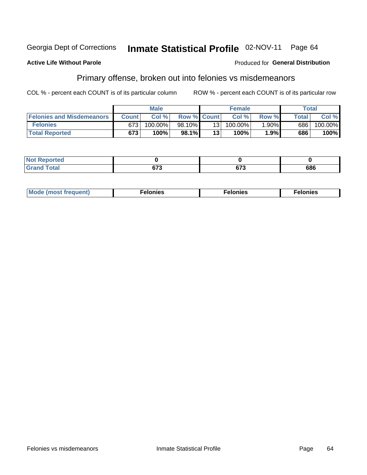#### **Active Life Without Parole**

#### Produced for General Distribution

## Primary offense, broken out into felonies vs misdemeanors

COL % - percent each COUNT is of its particular column

|                                  |              | <b>Male</b> |                    |                 | <b>Female</b> |          |              | Total   |
|----------------------------------|--------------|-------------|--------------------|-----------------|---------------|----------|--------------|---------|
| <b>Felonies and Misdemeanors</b> | <b>Count</b> | Col%        | <b>Row % Count</b> |                 | Col%          | Row %    | <b>Total</b> | Col %   |
| <b>Felonies</b>                  | 673          | 100.00%     | 98.10%             | 13 <sub>1</sub> | $100.00\%$    | $1.90\%$ | 686          | 100.00% |
| <b>Total Reported</b>            | 673          | $100\%$ .   | 98.1%              | 13 <sub>1</sub> | 100%          | 1.9%     | 686          | 100%    |

| <b>Not Reported</b>            |        |        |     |
|--------------------------------|--------|--------|-----|
| <b>Cotal</b><br>Gran<br>$\sim$ | $\sim$ | $\sim$ | 686 |

| <b>Mode</b><br>frequent)<br>nies<br>≧ (most tr.<br>. | onies<br>. | lonies<br>ею<br>____ |
|------------------------------------------------------|------------|----------------------|
|------------------------------------------------------|------------|----------------------|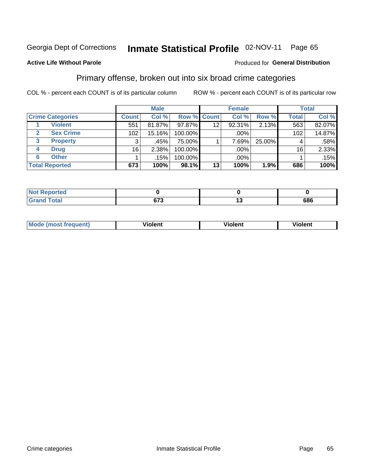#### Inmate Statistical Profile 02-NOV-11 Page 65

#### **Active Life Without Parole**

#### Produced for General Distribution

## Primary offense, broken out into six broad crime categories

COL % - percent each COUNT is of its particular column

|                         |              | <b>Male</b> |         |                    | <b>Female</b> |        |              | <b>Total</b> |
|-------------------------|--------------|-------------|---------|--------------------|---------------|--------|--------------|--------------|
| <b>Crime Categories</b> | <b>Count</b> | Col %       |         | <b>Row % Count</b> | Col %         | Row %  | <b>Total</b> | Col %        |
| <b>Violent</b>          | 551          | 81.87%      | 97.87%  | 12                 | 92.31%        | 2.13%  | 563          | 82.07%       |
| <b>Sex Crime</b>        | 102          | 15.16%      | 100.00% |                    | .00%          |        | 102          | 14.87%       |
| <b>Property</b><br>3    | 3            | .45%        | 75.00%  |                    | 7.69%         | 25.00% | 4            | .58%         |
| <b>Drug</b><br>4        | 16           | 2.38%       | 100.00% |                    | .00%          |        | 16           | 2.33%        |
| <b>Other</b><br>6       |              | .15%        | 100.00% |                    | .00%          |        |              | .15%         |
| <b>Total Reported</b>   | 673          | 100%        | 98.1%   | 13                 | 100%          | 1.9%   | 686          | 100%         |

| <b>Not Reported</b> |            |     |
|---------------------|------------|-----|
| <b>Total</b>        | ~70<br>. . | 686 |

| М | ,,, | - -- -<br>וחו | m |
|---|-----|---------------|---|
|   |     |               |   |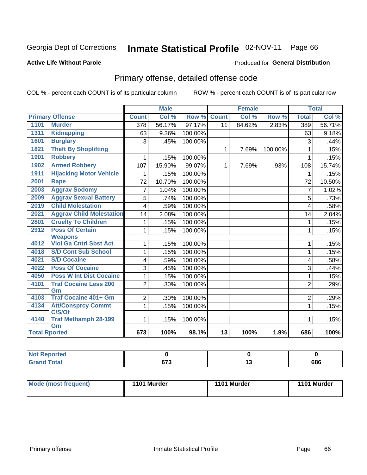#### Inmate Statistical Profile 02-NOV-11 Page 66

#### **Active Life Without Parole**

#### Produced for General Distribution

# Primary offense, detailed offense code

COL % - percent each COUNT is of its particular column

|                      |                                     | <b>Male</b><br><b>Female</b> |        |         | <b>Total</b>    |        |         |                |        |
|----------------------|-------------------------------------|------------------------------|--------|---------|-----------------|--------|---------|----------------|--------|
|                      | <b>Primary Offense</b>              | <b>Count</b>                 | Col %  | Row %   | <b>Count</b>    | Col %  | Row %   | <b>Total</b>   | Col %  |
| 1101                 | <b>Murder</b>                       | $\overline{378}$             | 56.17% | 97.17%  | 11              | 84.62% | 2.83%   | 389            | 56.71% |
| 1311                 | <b>Kidnapping</b>                   | 63                           | 9.36%  | 100.00% |                 |        |         | 63             | 9.18%  |
| 1601                 | <b>Burglary</b>                     | 3                            | .45%   | 100.00% |                 |        |         | 3              | .44%   |
| 1821                 | <b>Theft By Shoplifting</b>         |                              |        |         | 1               | 7.69%  | 100.00% | $\mathbf{1}$   | .15%   |
| 1901                 | <b>Robbery</b>                      | 1                            | .15%   | 100.00% |                 |        |         | $\mathbf{1}$   | .15%   |
| 1902                 | <b>Armed Robbery</b>                | 107                          | 15.90% | 99.07%  | $\mathbf{1}$    | 7.69%  | .93%    | 108            | 15.74% |
| 1911                 | <b>Hijacking Motor Vehicle</b>      | 1                            | .15%   | 100.00% |                 |        |         | 1              | .15%   |
| 2001                 | Rape                                | 72                           | 10.70% | 100.00% |                 |        |         | 72             | 10.50% |
| 2003                 | <b>Aggrav Sodomy</b>                | 7                            | 1.04%  | 100.00% |                 |        |         | $\overline{7}$ | 1.02%  |
| 2009                 | <b>Aggrav Sexual Battery</b>        | 5                            | .74%   | 100.00% |                 |        |         | 5              | .73%   |
| 2019                 | <b>Child Molestation</b>            | 4                            | .59%   | 100.00% |                 |        |         | 4              | .58%   |
| 2021                 | <b>Aggrav Child Molestation</b>     | 14                           | 2.08%  | 100.00% |                 |        |         | 14             | 2.04%  |
| 2801                 | <b>Cruelty To Children</b>          | 1                            | .15%   | 100.00% |                 |        |         | 1              | .15%   |
| 2912                 | <b>Poss Of Certain</b>              | 1                            | .15%   | 100.00% |                 |        |         | 1              | .15%   |
|                      | <b>Weapons</b>                      |                              |        |         |                 |        |         |                |        |
| 4012                 | <b>Viol Ga Cntrl Sbst Act</b>       | 1                            | .15%   | 100.00% |                 |        |         | 1              | .15%   |
| 4018                 | <b>S/D Cont Sub School</b>          | 1                            | .15%   | 100.00% |                 |        |         | $\mathbf{1}$   | .15%   |
| 4021                 | <b>S/D Cocaine</b>                  | 4                            | .59%   | 100.00% |                 |        |         | 4              | .58%   |
| 4022                 | <b>Poss Of Cocaine</b>              | 3                            | .45%   | 100.00% |                 |        |         | 3              | .44%   |
| 4050                 | <b>Poss W Int Dist Cocaine</b>      | 1                            | .15%   | 100.00% |                 |        |         | $\mathbf{1}$   | .15%   |
| 4101                 | <b>Traf Cocaine Less 200</b>        | $\overline{2}$               | .30%   | 100.00% |                 |        |         | $\overline{2}$ | .29%   |
|                      | Gm                                  |                              |        |         |                 |        |         |                |        |
| 4103                 | <b>Traf Cocaine 401+ Gm</b>         | $\overline{2}$               | .30%   | 100.00% |                 |        |         | 2              | .29%   |
| 4134                 | <b>Att/Consprcy Commt</b><br>C/S/Of | 1                            | .15%   | 100.00% |                 |        |         | $\mathbf{1}$   | .15%   |
| 4140                 | <b>Traf Methamph 28-199</b><br>Gm   | 1                            | .15%   | 100.00% |                 |        |         | 1              | .15%   |
| <b>Total Rported</b> |                                     | 673                          | 100%   | 98.1%   | $\overline{13}$ | 100%   | 1.9%    | 686            | 100%   |

| <b>Not Reported</b> |              |         |
|---------------------|--------------|---------|
| <b>c</b> otal       | 070<br>. . J | <br>686 |

| Mode (most frequent) | 1101 Murder | 1101 Murder | 1101 Murder |
|----------------------|-------------|-------------|-------------|
|----------------------|-------------|-------------|-------------|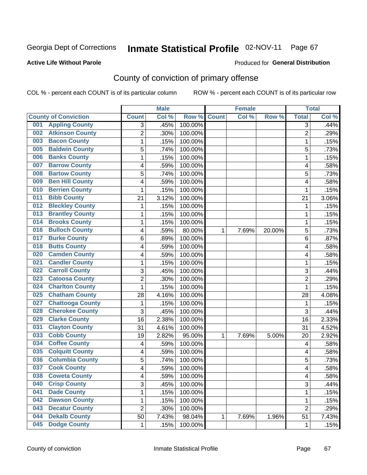#### **Active Life Without Parole**

#### Produced for **General Distribution**

# County of conviction of primary offense

|                                |                | <b>Male</b> |         | <b>Female</b> |       |        | <b>Total</b>   |       |
|--------------------------------|----------------|-------------|---------|---------------|-------|--------|----------------|-------|
| <b>County of Conviction</b>    | <b>Count</b>   | Col %       | Row %   | <b>Count</b>  | Col % | Row %  | <b>Total</b>   | Col % |
| <b>Appling County</b><br>001   | 3              | .45%        | 100.00% |               |       |        | $\overline{3}$ | .44%  |
| <b>Atkinson County</b><br>002  | $\overline{2}$ | .30%        | 100.00% |               |       |        | $\overline{2}$ | .29%  |
| <b>Bacon County</b><br>003     | 1              | .15%        | 100.00% |               |       |        | $\mathbf{1}$   | .15%  |
| <b>Baldwin County</b><br>005   | 5              | .74%        | 100.00% |               |       |        | 5              | .73%  |
| <b>Banks County</b><br>006     | 1              | .15%        | 100.00% |               |       |        | $\mathbf{1}$   | .15%  |
| <b>Barrow County</b><br>007    | 4              | .59%        | 100.00% |               |       |        | 4              | .58%  |
| <b>Bartow County</b><br>008    | 5              | .74%        | 100.00% |               |       |        | 5              | .73%  |
| <b>Ben Hill County</b><br>009  | 4              | .59%        | 100.00% |               |       |        | 4              | .58%  |
| <b>Berrien County</b><br>010   | 1              | .15%        | 100.00% |               |       |        | 1              | .15%  |
| <b>Bibb County</b><br>011      | 21             | 3.12%       | 100.00% |               |       |        | 21             | 3.06% |
| <b>Bleckley County</b><br>012  | 1              | .15%        | 100.00% |               |       |        | 1              | .15%  |
| <b>Brantley County</b><br>013  | 1              | .15%        | 100.00% |               |       |        | $\mathbf{1}$   | .15%  |
| <b>Brooks County</b><br>014    | 1              | .15%        | 100.00% |               |       |        | $\mathbf{1}$   | .15%  |
| <b>Bulloch County</b><br>016   | 4              | .59%        | 80.00%  | 1             | 7.69% | 20.00% | 5              | .73%  |
| <b>Burke County</b><br>017     | 6              | .89%        | 100.00% |               |       |        | 6              | .87%  |
| <b>Butts County</b><br>018     | 4              | .59%        | 100.00% |               |       |        | 4              | .58%  |
| <b>Camden County</b><br>020    | 4              | .59%        | 100.00% |               |       |        | 4              | .58%  |
| <b>Candler County</b><br>021   | 1              | .15%        | 100.00% |               |       |        | $\mathbf{1}$   | .15%  |
| <b>Carroll County</b><br>022   | 3              | .45%        | 100.00% |               |       |        | 3              | .44%  |
| <b>Catoosa County</b><br>023   | $\overline{2}$ | .30%        | 100.00% |               |       |        | $\overline{2}$ | .29%  |
| <b>Charlton County</b><br>024  | 1              | .15%        | 100.00% |               |       |        | $\mathbf{1}$   | .15%  |
| <b>Chatham County</b><br>025   | 28             | 4.16%       | 100.00% |               |       |        | 28             | 4.08% |
| <b>Chattooga County</b><br>027 | 1              | .15%        | 100.00% |               |       |        | 1              | .15%  |
| <b>Cherokee County</b><br>028  | 3              | .45%        | 100.00% |               |       |        | 3              | .44%  |
| <b>Clarke County</b><br>029    | 16             | 2.38%       | 100.00% |               |       |        | 16             | 2.33% |
| <b>Clayton County</b><br>031   | 31             | 4.61%       | 100.00% |               |       |        | 31             | 4.52% |
| <b>Cobb County</b><br>033      | 19             | 2.82%       | 95.00%  | 1             | 7.69% | 5.00%  | 20             | 2.92% |
| <b>Coffee County</b><br>034    | 4              | .59%        | 100.00% |               |       |        | 4              | .58%  |
| <b>Colquitt County</b><br>035  | 4              | .59%        | 100.00% |               |       |        | 4              | .58%  |
| <b>Columbia County</b><br>036  | 5              | .74%        | 100.00% |               |       |        | 5              | .73%  |
| <b>Cook County</b><br>037      | 4              | .59%        | 100.00% |               |       |        | 4              | .58%  |
| 038<br><b>Coweta County</b>    | 4              | .59%        | 100.00% |               |       |        | 4              | .58%  |
| <b>Crisp County</b><br>040     | 3              | .45%        | 100.00% |               |       |        | 3              | .44%  |
| <b>Dade County</b><br>041      | 1              | .15%        | 100.00% |               |       |        | $\mathbf{1}$   | .15%  |
| <b>Dawson County</b><br>042    | 1              | .15%        | 100.00% |               |       |        | 1              | .15%  |
| <b>Decatur County</b><br>043   | $\overline{2}$ | .30%        | 100.00% |               |       |        | $\overline{2}$ | .29%  |
| <b>Dekalb County</b><br>044    | 50             | 7.43%       | 98.04%  | 1             | 7.69% | 1.96%  | 51             | 7.43% |
| <b>Dodge County</b><br>045     | $\mathbf 1$    | .15%        | 100.00% |               |       |        | 1              | .15%  |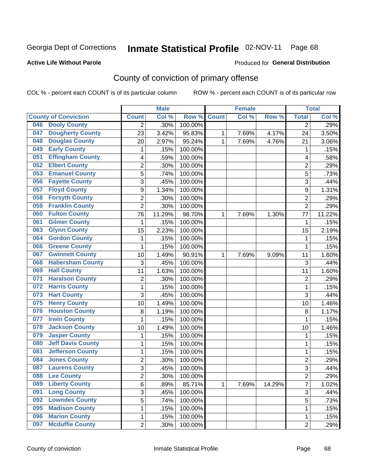#### **Active Life Without Parole**

#### Produced for **General Distribution**

# County of conviction of primary offense

|                                 |                | <b>Male</b> |         | <b>Female</b> |       |        | <b>Total</b>   |        |
|---------------------------------|----------------|-------------|---------|---------------|-------|--------|----------------|--------|
| <b>County of Conviction</b>     | <b>Count</b>   | Col %       | Row %   | <b>Count</b>  | Col % | Row %  | <b>Total</b>   | Col %  |
| <b>Dooly County</b><br>046      | 2              | .30%        | 100.00% |               |       |        | 2              | .29%   |
| <b>Dougherty County</b><br>047  | 23             | 3.42%       | 95.83%  | 1             | 7.69% | 4.17%  | 24             | 3.50%  |
| <b>Douglas County</b><br>048    | 20             | 2.97%       | 95.24%  | 1             | 7.69% | 4.76%  | 21             | 3.06%  |
| <b>Early County</b><br>049      | 1              | .15%        | 100.00% |               |       |        | 1              | .15%   |
| <b>Effingham County</b><br>051  | 4              | .59%        | 100.00% |               |       |        | 4              | .58%   |
| <b>Elbert County</b><br>052     | $\overline{2}$ | .30%        | 100.00% |               |       |        | $\overline{2}$ | .29%   |
| <b>Emanuel County</b><br>053    | 5              | .74%        | 100.00% |               |       |        | 5              | .73%   |
| <b>Fayette County</b><br>056    | 3              | .45%        | 100.00% |               |       |        | 3              | .44%   |
| <b>Floyd County</b><br>057      | 9              | 1.34%       | 100.00% |               |       |        | 9              | 1.31%  |
| <b>Forsyth County</b><br>058    | $\overline{2}$ | .30%        | 100.00% |               |       |        | $\overline{2}$ | .29%   |
| <b>Franklin County</b><br>059   | $\overline{2}$ | .30%        | 100.00% |               |       |        | $\overline{2}$ | .29%   |
| <b>Fulton County</b><br>060     | 76             | 11.29%      | 98.70%  | 1             | 7.69% | 1.30%  | 77             | 11.22% |
| <b>Gilmer County</b><br>061     | 1              | .15%        | 100.00% |               |       |        | 1              | .15%   |
| <b>Glynn County</b><br>063      | 15             | 2.23%       | 100.00% |               |       |        | 15             | 2.19%  |
| <b>Gordon County</b><br>064     | 1              | .15%        | 100.00% |               |       |        | 1              | .15%   |
| <b>Greene County</b><br>066     | 1              | .15%        | 100.00% |               |       |        | 1              | .15%   |
| <b>Gwinnett County</b><br>067   | 10             | 1.49%       | 90.91%  | 1             | 7.69% | 9.09%  | 11             | 1.60%  |
| <b>Habersham County</b><br>068  | 3              | .45%        | 100.00% |               |       |        | 3              | .44%   |
| <b>Hall County</b><br>069       | 11             | 1.63%       | 100.00% |               |       |        | 11             | 1.60%  |
| <b>Haralson County</b><br>071   | $\mathbf 2$    | .30%        | 100.00% |               |       |        | $\overline{2}$ | .29%   |
| <b>Harris County</b><br>072     | $\mathbf{1}$   | .15%        | 100.00% |               |       |        | $\mathbf{1}$   | .15%   |
| <b>Hart County</b><br>073       | 3              | .45%        | 100.00% |               |       |        | 3              | .44%   |
| <b>Henry County</b><br>075      | 10             | 1.49%       | 100.00% |               |       |        | 10             | 1.46%  |
| <b>Houston County</b><br>076    | 8              | 1.19%       | 100.00% |               |       |        | 8              | 1.17%  |
| <b>Irwin County</b><br>077      | 1              | .15%        | 100.00% |               |       |        | $\mathbf{1}$   | .15%   |
| <b>Jackson County</b><br>078    | 10             | 1.49%       | 100.00% |               |       |        | 10             | 1.46%  |
| <b>Jasper County</b><br>079     | 1              | .15%        | 100.00% |               |       |        | 1              | .15%   |
| <b>Jeff Davis County</b><br>080 | 1              | .15%        | 100.00% |               |       |        | 1              | .15%   |
| <b>Jefferson County</b><br>081  | 1              | .15%        | 100.00% |               |       |        | 1              | .15%   |
| <b>Jones County</b><br>084      | $\overline{2}$ | .30%        | 100.00% |               |       |        | $\overline{2}$ | .29%   |
| <b>Laurens County</b><br>087    | 3              | .45%        | 100.00% |               |       |        | 3              | .44%   |
| 088<br><b>Lee County</b>        | 2              | .30%        | 100.00% |               |       |        | 2              | .29%   |
| <b>Liberty County</b><br>089    | 6              | .89%        | 85.71%  | 1             | 7.69% | 14.29% | $\overline{7}$ | 1.02%  |
| <b>Long County</b><br>091       | 3              | .45%        | 100.00% |               |       |        | 3              | .44%   |
| <b>Lowndes County</b><br>092    | 5              | .74%        | 100.00% |               |       |        | 5              | .73%   |
| <b>Madison County</b><br>095    | 1              | .15%        | 100.00% |               |       |        | 1              | .15%   |
| <b>Marion County</b><br>096     | 1              | .15%        | 100.00% |               |       |        | 1              | .15%   |
| <b>Mcduffie County</b><br>097   | $\overline{2}$ | .30%        | 100.00% |               |       |        | $\overline{2}$ | .29%   |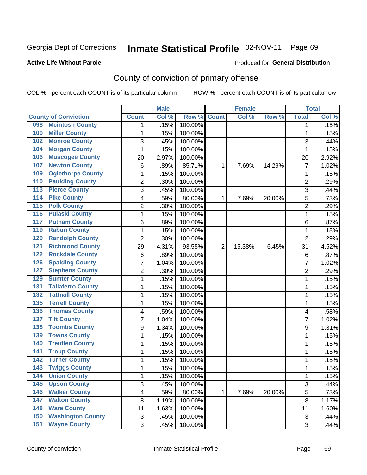#### **Active Life Without Parole**

#### Produced for **General Distribution**

# County of conviction of primary offense

|                                 |                | <b>Male</b> |         | <b>Female</b>  |        |        | <b>Total</b>              |       |
|---------------------------------|----------------|-------------|---------|----------------|--------|--------|---------------------------|-------|
| <b>County of Conviction</b>     | <b>Count</b>   | Col %       | Row %   | <b>Count</b>   | Col %  | Row %  | <b>Total</b>              | Col % |
| <b>Mcintosh County</b><br>098   | 1              | .15%        | 100.00% |                |        |        | 1                         | .15%  |
| <b>Miller County</b><br>100     | 1              | .15%        | 100.00% |                |        |        | 1                         | .15%  |
| <b>Monroe County</b><br>102     | 3              | .45%        | 100.00% |                |        |        | 3                         | .44%  |
| <b>Morgan County</b><br>104     | $\mathbf{1}$   | .15%        | 100.00% |                |        |        | 1                         | .15%  |
| <b>Muscogee County</b><br>106   | 20             | 2.97%       | 100.00% |                |        |        | 20                        | 2.92% |
| <b>Newton County</b><br>107     | 6              | .89%        | 85.71%  | 1              | 7.69%  | 14.29% | $\overline{7}$            | 1.02% |
| <b>Oglethorpe County</b><br>109 | 1              | .15%        | 100.00% |                |        |        | 1                         | .15%  |
| <b>Paulding County</b><br>110   | $\overline{2}$ | .30%        | 100.00% |                |        |        | $\overline{2}$            | .29%  |
| <b>Pierce County</b><br>113     | 3              | .45%        | 100.00% |                |        |        | 3                         | .44%  |
| <b>Pike County</b><br>114       | 4              | .59%        | 80.00%  | 1              | 7.69%  | 20.00% | 5                         | .73%  |
| <b>Polk County</b><br>115       | 2              | .30%        | 100.00% |                |        |        | $\overline{2}$            | .29%  |
| <b>Pulaski County</b><br>116    | 1              | .15%        | 100.00% |                |        |        | $\mathbf 1$               | .15%  |
| <b>Putnam County</b><br>117     | 6              | .89%        | 100.00% |                |        |        | 6                         | .87%  |
| <b>Rabun County</b><br>119      | 1              | .15%        | 100.00% |                |        |        | 1                         | .15%  |
| <b>Randolph County</b><br>120   | $\overline{2}$ | .30%        | 100.00% |                |        |        | $\overline{2}$            | .29%  |
| <b>Richmond County</b><br>121   | 29             | 4.31%       | 93.55%  | $\overline{2}$ | 15.38% | 6.45%  | 31                        | 4.52% |
| <b>Rockdale County</b><br>122   | $\,6$          | .89%        | 100.00% |                |        |        | 6                         | .87%  |
| <b>Spalding County</b><br>126   | 7              | 1.04%       | 100.00% |                |        |        | $\overline{7}$            | 1.02% |
| <b>Stephens County</b><br>127   | 2              | .30%        | 100.00% |                |        |        | $\overline{2}$            | .29%  |
| <b>Sumter County</b><br>129     | 1              | .15%        | 100.00% |                |        |        | $\mathbf 1$               | .15%  |
| <b>Taliaferro County</b><br>131 | 1              | .15%        | 100.00% |                |        |        | 1                         | .15%  |
| <b>Tattnall County</b><br>132   | 1              | .15%        | 100.00% |                |        |        | $\mathbf 1$               | .15%  |
| <b>Terrell County</b><br>135    | 1              | .15%        | 100.00% |                |        |        | 1                         | .15%  |
| <b>Thomas County</b><br>136     | 4              | .59%        | 100.00% |                |        |        | 4                         | .58%  |
| <b>Tift County</b><br>137       | 7              | 1.04%       | 100.00% |                |        |        | 7                         | 1.02% |
| <b>Toombs County</b><br>138     | 9              | 1.34%       | 100.00% |                |        |        | 9                         | 1.31% |
| <b>Towns County</b><br>139      | 1              | .15%        | 100.00% |                |        |        | 1                         | .15%  |
| <b>Treutlen County</b><br>140   | 1              | .15%        | 100.00% |                |        |        | 1                         | .15%  |
| <b>Troup County</b><br>141      | 1              | .15%        | 100.00% |                |        |        | 1                         | .15%  |
| <b>Turner County</b><br>142     | 1              | .15%        | 100.00% |                |        |        | $\mathbf 1$               | .15%  |
| <b>Twiggs County</b><br>143     | 1              | .15%        | 100.00% |                |        |        | 1                         | .15%  |
| 144<br><b>Union County</b>      | 1              | .15%        | 100.00% |                |        |        | 1                         | .15%  |
| <b>Upson County</b><br>145      | 3              | .45%        | 100.00% |                |        |        | 3                         | .44%  |
| 146<br><b>Walker County</b>     | 4              | .59%        | 80.00%  | $\mathbf{1}$   | 7.69%  | 20.00% | 5                         | .73%  |
| <b>Walton County</b><br>147     | 8              | 1.19%       | 100.00% |                |        |        | 8                         | 1.17% |
| <b>Ware County</b><br>148       | 11             | 1.63%       | 100.00% |                |        |        | 11                        | 1.60% |
| <b>Washington County</b><br>150 | $\sqrt{3}$     | .45%        | 100.00% |                |        |        | $\ensuremath{\mathsf{3}}$ | .44%  |
| <b>Wayne County</b><br>151      | 3              | .45%        | 100.00% |                |        |        | 3                         | .44%  |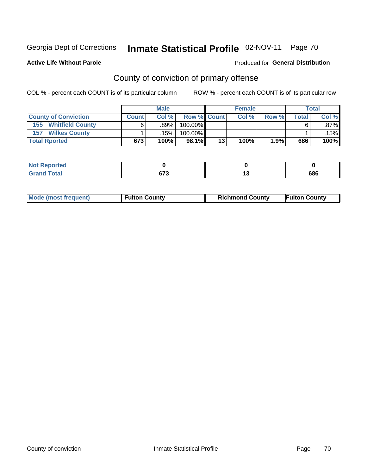#### **Active Life Without Parole**

#### Produced for **General Distribution**

# County of conviction of primary offense

|                                | <b>Male</b>  |                   |             |    | <b>Female</b> | <b>Total</b> |              |         |
|--------------------------------|--------------|-------------------|-------------|----|---------------|--------------|--------------|---------|
| <b>County of Conviction</b>    | <b>Count</b> | Col %             | Row % Count |    | Col %         | Row %        | <b>Total</b> | Col %   |
| <b>Whitfield County</b><br>155 |              | .89%              | 100.00%     |    |               |              |              | $.87\%$ |
| <b>Wilkes County</b><br>157    |              | .15% <sup> </sup> | 100.00%     |    |               |              |              | .15%    |
| <b>Total Rported</b>           | 673          | 100%              | 98.1%       | 13 | 100%          | 1.9%         | 686          | 100%    |

| <b>orted</b> |            |     |
|--------------|------------|-----|
| <b>otal</b>  | 672<br>o r | 686 |

| <b>Mode (most frequent)</b> | <b>Fulton County</b> | <b>Richmond County</b> | <b>Fulton County</b> |
|-----------------------------|----------------------|------------------------|----------------------|
|                             |                      |                        |                      |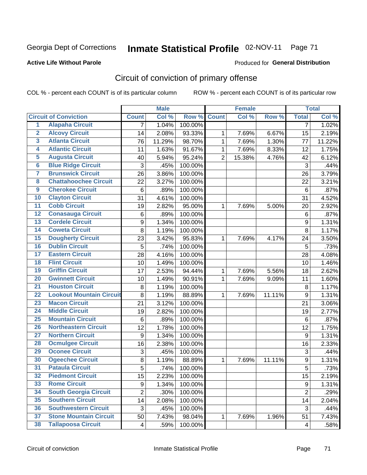#### **Active Life Without Parole**

#### Produced for **General Distribution**

# Circuit of conviction of primary offense

|                         |                                 |                | <b>Male</b> |         | <b>Female</b>  |        |        | <b>Total</b>     |        |
|-------------------------|---------------------------------|----------------|-------------|---------|----------------|--------|--------|------------------|--------|
|                         | <b>Circuit of Conviction</b>    | <b>Count</b>   | Col %       | Row %   | <b>Count</b>   | Col %  | Row %  | <b>Total</b>     | Col %  |
| $\overline{1}$          | <b>Alapaha Circuit</b>          | $\overline{7}$ | 1.04%       | 100.00% |                |        |        | 7                | 1.02%  |
| $\overline{2}$          | <b>Alcovy Circuit</b>           | 14             | 2.08%       | 93.33%  | 1              | 7.69%  | 6.67%  | 15               | 2.19%  |
| $\overline{\mathbf{3}}$ | <b>Atlanta Circuit</b>          | 76             | 11.29%      | 98.70%  | $\mathbf{1}$   | 7.69%  | 1.30%  | 77               | 11.22% |
| 4                       | <b>Atlantic Circuit</b>         | 11             | 1.63%       | 91.67%  | 1              | 7.69%  | 8.33%  | 12               | 1.75%  |
| 5                       | <b>Augusta Circuit</b>          | 40             | 5.94%       | 95.24%  | $\overline{2}$ | 15.38% | 4.76%  | 42               | 6.12%  |
| $6\phantom{a}$          | <b>Blue Ridge Circuit</b>       | 3              | .45%        | 100.00% |                |        |        | 3                | .44%   |
| 7                       | <b>Brunswick Circuit</b>        | 26             | 3.86%       | 100.00% |                |        |        | 26               | 3.79%  |
| 8                       | <b>Chattahoochee Circuit</b>    | 22             | 3.27%       | 100.00% |                |        |        | 22               | 3.21%  |
| $\overline{9}$          | <b>Cherokee Circuit</b>         | 6              | .89%        | 100.00% |                |        |        | 6                | .87%   |
| 10                      | <b>Clayton Circuit</b>          | 31             | 4.61%       | 100.00% |                |        |        | 31               | 4.52%  |
| $\overline{11}$         | <b>Cobb Circuit</b>             | 19             | 2.82%       | 95.00%  | 1              | 7.69%  | 5.00%  | 20               | 2.92%  |
| $\overline{12}$         | <b>Conasauga Circuit</b>        | 6              | .89%        | 100.00% |                |        |        | $\,6$            | .87%   |
| $\overline{13}$         | <b>Cordele Circuit</b>          | 9              | 1.34%       | 100.00% |                |        |        | $\boldsymbol{9}$ | 1.31%  |
| 14                      | <b>Coweta Circuit</b>           | 8              | 1.19%       | 100.00% |                |        |        | 8                | 1.17%  |
| 15                      | <b>Dougherty Circuit</b>        | 23             | 3.42%       | 95.83%  | 1              | 7.69%  | 4.17%  | 24               | 3.50%  |
| 16                      | <b>Dublin Circuit</b>           | 5              | .74%        | 100.00% |                |        |        | 5                | .73%   |
| 17                      | <b>Eastern Circuit</b>          | 28             | 4.16%       | 100.00% |                |        |        | 28               | 4.08%  |
| 18                      | <b>Flint Circuit</b>            | 10             | 1.49%       | 100.00% |                |        |        | 10               | 1.46%  |
| 19                      | <b>Griffin Circuit</b>          | 17             | 2.53%       | 94.44%  | 1              | 7.69%  | 5.56%  | 18               | 2.62%  |
| 20                      | <b>Gwinnett Circuit</b>         | 10             | 1.49%       | 90.91%  | $\mathbf 1$    | 7.69%  | 9.09%  | 11               | 1.60%  |
| $\overline{21}$         | <b>Houston Circuit</b>          | 8              | 1.19%       | 100.00% |                |        |        | 8                | 1.17%  |
| $\overline{22}$         | <b>Lookout Mountain Circuit</b> | 8              | 1.19%       | 88.89%  | $\mathbf 1$    | 7.69%  | 11.11% | 9                | 1.31%  |
| 23                      | <b>Macon Circuit</b>            | 21             | 3.12%       | 100.00% |                |        |        | 21               | 3.06%  |
| $\overline{24}$         | <b>Middle Circuit</b>           | 19             | 2.82%       | 100.00% |                |        |        | 19               | 2.77%  |
| $\overline{25}$         | <b>Mountain Circuit</b>         | 6              | .89%        | 100.00% |                |        |        | 6                | .87%   |
| 26                      | <b>Northeastern Circuit</b>     | 12             | 1.78%       | 100.00% |                |        |        | 12               | 1.75%  |
| $\overline{27}$         | <b>Northern Circuit</b>         | 9              | 1.34%       | 100.00% |                |        |        | $\boldsymbol{9}$ | 1.31%  |
| 28                      | <b>Ocmulgee Circuit</b>         | 16             | 2.38%       | 100.00% |                |        |        | 16               | 2.33%  |
| 29                      | <b>Oconee Circuit</b>           | 3              | .45%        | 100.00% |                |        |        | 3                | .44%   |
| 30                      | <b>Ogeechee Circuit</b>         | 8              | 1.19%       | 88.89%  | $\mathbf 1$    | 7.69%  | 11.11% | $\boldsymbol{9}$ | 1.31%  |
| $\overline{31}$         | <b>Pataula Circuit</b>          | $\overline{5}$ | .74%        | 100.00% |                |        |        | $\overline{5}$   | .73%   |
| 32                      | <b>Piedmont Circuit</b>         | 15             | 2.23%       | 100.00% |                |        |        | 15               | 2.19%  |
| 33                      | <b>Rome Circuit</b>             | 9              | 1.34%       | 100.00% |                |        |        | 9                | 1.31%  |
| 34                      | <b>South Georgia Circuit</b>    | $\overline{2}$ | .30%        | 100.00% |                |        |        | $\overline{2}$   | .29%   |
| 35                      | <b>Southern Circuit</b>         | 14             | 2.08%       | 100.00% |                |        |        | 14               | 2.04%  |
| 36                      | <b>Southwestern Circuit</b>     | 3              | .45%        | 100.00% |                |        |        | 3                | .44%   |
| 37                      | <b>Stone Mountain Circuit</b>   | 50             | 7.43%       | 98.04%  | 1              | 7.69%  | 1.96%  | 51               | 7.43%  |
| 38                      | <b>Tallapoosa Circuit</b>       | 4              | .59%        | 100.00% |                |        |        | 4                | .58%   |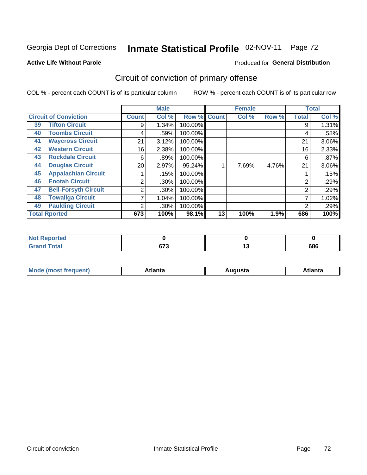#### **Active Life Without Parole**

#### Produced for **General Distribution**

# Circuit of conviction of primary offense

|                              |                             | <b>Male</b><br><b>Female</b> |       |         |              | <b>Total</b> |       |                |       |
|------------------------------|-----------------------------|------------------------------|-------|---------|--------------|--------------|-------|----------------|-------|
| <b>Circuit of Conviction</b> |                             | <b>Count</b>                 | Col % | Row %   | <b>Count</b> | Col %        | Row % | <b>Total</b>   | Col % |
| 39                           | <b>Tifton Circuit</b>       | 9                            | 1.34% | 100.00% |              |              |       | 9              | 1.31% |
| 40                           | <b>Toombs Circuit</b>       | 4                            | .59%  | 100.00% |              |              |       | 4              | .58%  |
| 41                           | <b>Waycross Circuit</b>     | 21                           | 3.12% | 100.00% |              |              |       | 21             | 3.06% |
| 42                           | <b>Western Circuit</b>      | 16                           | 2.38% | 100.00% |              |              |       | 16             | 2.33% |
| 43                           | <b>Rockdale Circuit</b>     | 6                            | .89%  | 100.00% |              |              |       | 6              | .87%  |
| 44                           | <b>Douglas Circuit</b>      | 20                           | 2.97% | 95.24%  |              | 7.69%        | 4.76% | 21             | 3.06% |
| 45                           | <b>Appalachian Circuit</b>  |                              | .15%  | 100.00% |              |              |       |                | .15%  |
| 46                           | <b>Enotah Circuit</b>       | 2                            | .30%  | 100.00% |              |              |       | 2              | .29%  |
| 47                           | <b>Bell-Forsyth Circuit</b> | 2                            | .30%  | 100.00% |              |              |       | $\overline{2}$ | .29%  |
| 48                           | <b>Towaliga Circuit</b>     |                              | 1.04% | 100.00% |              |              |       |                | 1.02% |
| 49                           | <b>Paulding Circuit</b>     | 2                            | .30%  | 100.00% |              |              |       | 2              | .29%  |
|                              | <b>Total Rported</b>        | 673                          | 100%  | 98.1%   | 13           | 100%         | 1.9%  | 686            | 100%  |

| <b>eported</b>        |     |     |
|-----------------------|-----|-----|
| <b>otal</b><br>$\sim$ | ~70 | 686 |

| М<br>. Innás<br>.<br>.<br>wanta<br>Πū<br>31.<br>$\sim$ $\sim$ $\sim$ |
|----------------------------------------------------------------------|
|----------------------------------------------------------------------|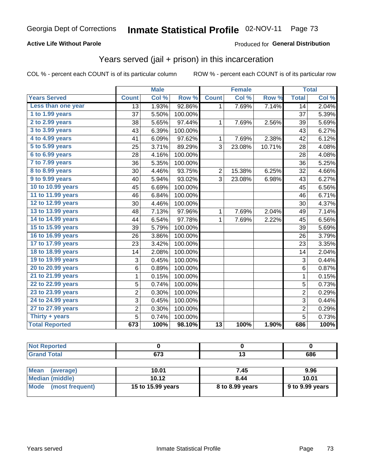#### **Active Life Without Parole**

#### Produced for **General Distribution**

### Years served (jail + prison) in this incarceration

|                       |                | <b>Male</b> |         |                 | <b>Female</b> |        |                | <b>Total</b> |
|-----------------------|----------------|-------------|---------|-----------------|---------------|--------|----------------|--------------|
| <b>Years Served</b>   | <b>Count</b>   | Col %       | Row %   | <b>Count</b>    | Col %         | Row %  | <b>Total</b>   | Col %        |
| Less than one year    | 13             | 1.93%       | 92.86%  | 1.              | 7.69%         | 7.14%  | 14             | 2.04%        |
| 1 to 1.99 years       | 37             | 5.50%       | 100.00% |                 |               |        | 37             | 5.39%        |
| 2 to 2.99 years       | 38             | 5.65%       | 97.44%  | 1               | 7.69%         | 2.56%  | 39             | 5.69%        |
| 3 to 3.99 years       | 43             | 6.39%       | 100.00% |                 |               |        | 43             | 6.27%        |
| 4 to 4.99 years       | 41             | 6.09%       | 97.62%  | 1               | 7.69%         | 2.38%  | 42             | 6.12%        |
| 5 to 5.99 years       | 25             | 3.71%       | 89.29%  | 3               | 23.08%        | 10.71% | 28             | 4.08%        |
| 6 to 6.99 years       | 28             | 4.16%       | 100.00% |                 |               |        | 28             | 4.08%        |
| 7 to 7.99 years       | 36             | 5.35%       | 100.00% |                 |               |        | 36             | 5.25%        |
| 8 to 8.99 years       | 30             | 4.46%       | 93.75%  | $\overline{2}$  | 15.38%        | 6.25%  | 32             | 4.66%        |
| 9 to 9.99 years       | 40             | 5.94%       | 93.02%  | 3               | 23.08%        | 6.98%  | 43             | 6.27%        |
| 10 to 10.99 years     | 45             | 6.69%       | 100.00% |                 |               |        | 45             | 6.56%        |
| 11 to 11.99 years     | 46             | 6.84%       | 100.00% |                 |               |        | 46             | 6.71%        |
| 12 to 12.99 years     | 30             | 4.46%       | 100.00% |                 |               |        | 30             | 4.37%        |
| 13 to 13.99 years     | 48             | 7.13%       | 97.96%  | $\mathbf{1}$    | 7.69%         | 2.04%  | 49             | 7.14%        |
| 14 to 14.99 years     | 44             | 6.54%       | 97.78%  | 1               | 7.69%         | 2.22%  | 45             | 6.56%        |
| 15 to 15.99 years     | 39             | 5.79%       | 100.00% |                 |               |        | 39             | 5.69%        |
| 16 to 16.99 years     | 26             | 3.86%       | 100.00% |                 |               |        | 26             | 3.79%        |
| 17 to 17.99 years     | 23             | 3.42%       | 100.00% |                 |               |        | 23             | 3.35%        |
| 18 to 18.99 years     | 14             | 2.08%       | 100.00% |                 |               |        | 14             | 2.04%        |
| 19 to 19.99 years     | 3              | 0.45%       | 100.00% |                 |               |        | 3              | 0.44%        |
| 20 to 20.99 years     | 6              | 0.89%       | 100.00% |                 |               |        | $6\phantom{1}$ | 0.87%        |
| 21 to 21.99 years     | $\mathbf 1$    | 0.15%       | 100.00% |                 |               |        | $\mathbf 1$    | 0.15%        |
| 22 to 22.99 years     | 5              | 0.74%       | 100.00% |                 |               |        | 5              | 0.73%        |
| 23 to 23.99 years     | 2              | 0.30%       | 100.00% |                 |               |        | $\overline{c}$ | 0.29%        |
| 24 to 24.99 years     | 3              | 0.45%       | 100.00% |                 |               |        | 3              | 0.44%        |
| 27 to 27.99 years     | $\overline{c}$ | 0.30%       | 100.00% |                 |               |        | $\overline{2}$ | 0.29%        |
| Thirty $+$ years      | 5              | 0.74%       | 100.00% |                 |               |        | $\overline{5}$ | 0.73%        |
| <b>Total Reported</b> | 673            | 100%        | 98.10%  | $\overline{13}$ | 100%          | 1.90%  | 686            | 100%         |

| Reported<br>NOT.            |             |     |
|-----------------------------|-------------|-----|
| <b>Total</b><br><b>C.L.</b> | 570<br>נ וט | 686 |

| Mean<br>(average)    | 10.01             | 7.45            | 9.96            |
|----------------------|-------------------|-----------------|-----------------|
| Median (middle)      | 10.12             | 8.44            | 10.01           |
| Mode (most frequent) | 15 to 15.99 years | 8 to 8.99 years | 9 to 9.99 years |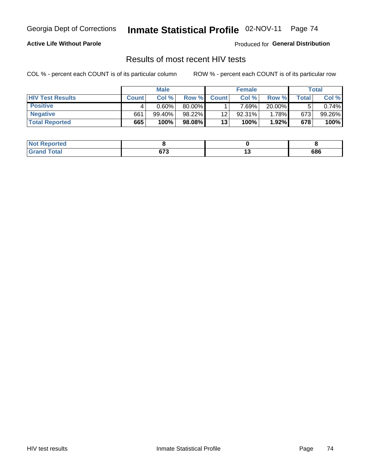#### **Active Life Without Parole**

Produced for **General Distribution**

### Results of most recent HIV tests

|                         |              | <b>Male</b> |        |              | <b>Female</b> |        |         | Total  |
|-------------------------|--------------|-------------|--------|--------------|---------------|--------|---------|--------|
| <b>HIV Test Results</b> | <b>Count</b> | Col%        | Row %I | <b>Count</b> | Col %         | Row %  | Total i | Col %  |
| <b>Positive</b>         |              | $0.60\%$    | 80.00% |              | $7.69\%$      | 20.00% |         | 0.74%  |
| <b>Negative</b>         | 661          | 99.40%      | 98.22% | 12           | 92.31%        | 1.78%  | 673     | 99.26% |
| <b>Total Reported</b>   | 665          | 100%        | 98.08% | 13           | 100%          | 1.92%  | 678     | 100%   |

| <b>Not Reported</b> |                 |     |
|---------------------|-----------------|-----|
| <b>Grand Total</b>  | $\sim$<br>০ ৷ ১ | 686 |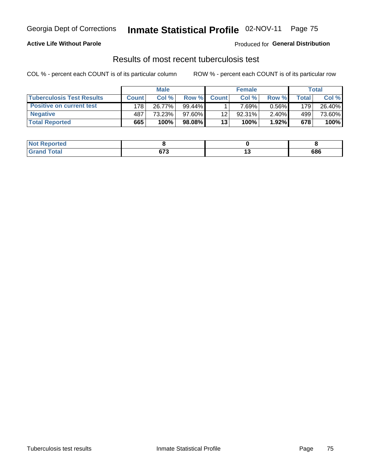#### **Active Life Without Parole**

Produced for **General Distribution**

### Results of most recent tuberculosis test

|                                  |              | <b>Male</b> |        |              | <b>Female</b> |          |       | Total  |
|----------------------------------|--------------|-------------|--------|--------------|---------------|----------|-------|--------|
| <b>Tuberculosis Test Results</b> | <b>Count</b> | Col%        | Row %  | <b>Count</b> | Col%          | Row %    | Total | Col %  |
| <b>Positive on current test</b>  | 178          | 26.77%      | 99.44% |              | $7.69\%$      | $0.56\%$ | 179   | 26.40% |
| <b>Negative</b>                  | 487          | 73.23%      | 97.60% | 12           | 92.31%        | 2.40%    | 499   | 73.60% |
| <b>Total Reported</b>            | 665          | 100%        | 98.08% | 13           | 100%          | $1.92\%$ | 678   | 100%   |

| <b>Not Reported</b>         |                |        |     |
|-----------------------------|----------------|--------|-----|
| <b>Total</b><br><b>Gran</b> | $\sim$<br>ט וט | $\sim$ | 686 |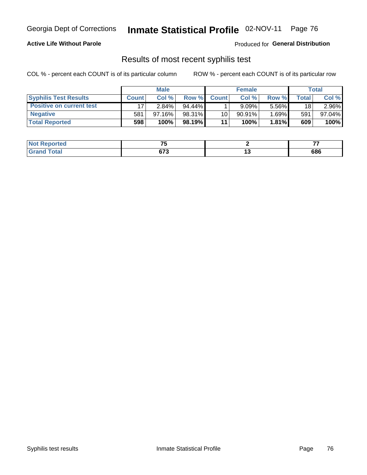#### **Active Life Without Parole**

Produced for **General Distribution**

### Results of most recent syphilis test

|                                 | <b>Male</b>  |           |           | <b>Female</b> |           |          | Total |        |
|---------------------------------|--------------|-----------|-----------|---------------|-----------|----------|-------|--------|
| <b>Syphilis Test Results</b>    | <b>Count</b> | Col %     | Row %     | <b>Count</b>  | Col %     | Row %    | Total | Col %  |
| <b>Positive on current test</b> |              | $2.84\%$  | $94.44\%$ |               | 9.09%     | 5.56%    | 18    | 2.96%  |
| <b>Negative</b>                 | 581          | $97.16\%$ | 98.31%    | 10            | $90.91\%$ | $1.69\%$ | 591   | 97.04% |
| <b>Total Reported</b>           | 598          | 100%      | 98.19%    | 11            | 100%      | $1.81\%$ | 609   | 100%   |

| <b>Not Reported</b> | --              |        |     |
|---------------------|-----------------|--------|-----|
| <b>Grand Total</b>  | $\sim$<br>০ / ১ | $\sim$ | 686 |